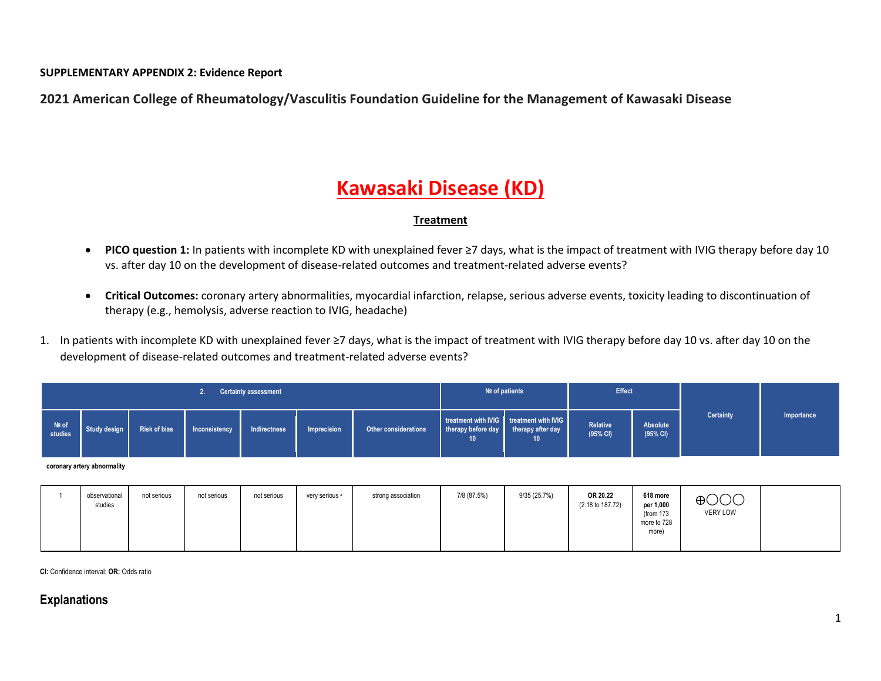**SUPPLEMENTARY APPENDIX 2: Evidence Report**

**2021 American College of Rheumatology/Vasculitis Foundation Guideline for the Management of Kawasaki Disease**

## **Kawasaki Disease (KD)**

#### **Treatment**

- **PICO question 1:** In patients with incomplete KD with unexplained fever ≥7 days, what is the impact of treatment with IVIG therapy before day 10 vs. after day 10 on the development of disease-related outcomes and treatment-related adverse events?
- **Critical Outcomes:** coronary artery abnormalities, myocardial infarction, relapse, serious adverse events, toxicity leading to discontinuation of therapy (e.g., hemolysis, adverse reaction to IVIG, headache)
- 1. In patients with incomplete KD with unexplained fever ≥7 days, what is the impact of treatment with IVIG therapy before day 10 vs. after day 10 on the development of disease-related outcomes and treatment-related adverse events?

| <b>Certainty assessment</b> |                     |               |              |             |                             |                    | Nº of patients                                                     | <b>Effect</b>        |                      |           |            |
|-----------------------------|---------------------|---------------|--------------|-------------|-----------------------------|--------------------|--------------------------------------------------------------------|----------------------|----------------------|-----------|------------|
| Notes Study design          | <b>Risk of bias</b> | Inconsistency | Indirectness | Imprecision | <b>Other considerations</b> | therapy before day | treatment with IVIG treatment with IVIG<br>therapy after day<br>10 | Relative<br>(95% CI) | Absolute<br>(95% CI) | Certainty | Importance |

**coronary artery abnormality**

|  | observational<br>studies | not serious | not serious | not serious | very serious a | strong association | 7/8 (87.5%) | 9/35(25.7%) | OR 20.22<br>(2.18 to 187.72) | 618 more<br>per 1,000<br>(from 173<br>more to 728<br>more) | $\bigoplus$ OOO<br><b>VERY LOW</b> |  |
|--|--------------------------|-------------|-------------|-------------|----------------|--------------------|-------------|-------------|------------------------------|------------------------------------------------------------|------------------------------------|--|
|--|--------------------------|-------------|-------------|-------------|----------------|--------------------|-------------|-------------|------------------------------|------------------------------------------------------------|------------------------------------|--|

**CI:** Confidence interval; **OR:** Odds ratio

### **Explanations**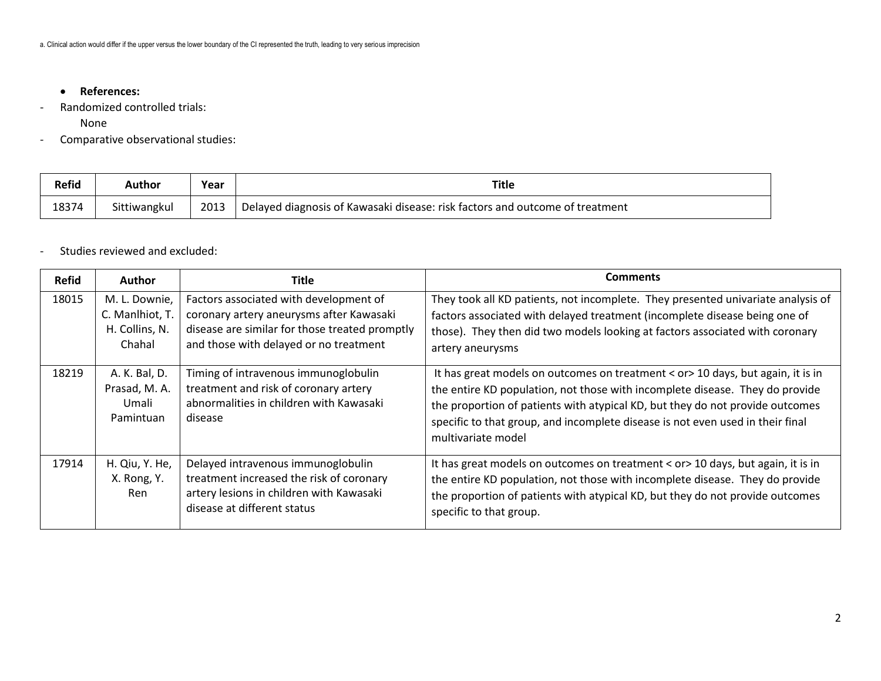#### • **References:**

- Randomized controlled trials:

None

- Comparative observational studies:

| <b>Refid</b> | Author       | Year | Title                                                                        |
|--------------|--------------|------|------------------------------------------------------------------------------|
| 18374        | Sittiwangkul | 2013 | Delayed diagnosis of Kawasaki disease: risk factors and outcome of treatment |

#### - Studies reviewed and excluded:

| <b>Refid</b> | <b>Author</b>                                                | <b>Title</b>                                                                                                                                                                   | <b>Comments</b>                                                                                                                                                                                                                                                                                                                                           |
|--------------|--------------------------------------------------------------|--------------------------------------------------------------------------------------------------------------------------------------------------------------------------------|-----------------------------------------------------------------------------------------------------------------------------------------------------------------------------------------------------------------------------------------------------------------------------------------------------------------------------------------------------------|
| 18015        | M. L. Downie,<br>C. Manlhiot, T.<br>H. Collins, N.<br>Chahal | Factors associated with development of<br>coronary artery aneurysms after Kawasaki<br>disease are similar for those treated promptly<br>and those with delayed or no treatment | They took all KD patients, not incomplete. They presented univariate analysis of<br>factors associated with delayed treatment (incomplete disease being one of<br>those). They then did two models looking at factors associated with coronary<br>artery aneurysms                                                                                        |
| 18219        | A. K. Bal, D.<br>Prasad, M. A.<br>Umali<br>Pamintuan         | Timing of intravenous immunoglobulin<br>treatment and risk of coronary artery<br>abnormalities in children with Kawasaki<br>disease                                            | It has great models on outcomes on treatment < or > 10 days, but again, it is in<br>the entire KD population, not those with incomplete disease. They do provide<br>the proportion of patients with atypical KD, but they do not provide outcomes<br>specific to that group, and incomplete disease is not even used in their final<br>multivariate model |
| 17914        | H. Qiu, Y. He,<br>X. Rong, Y.<br><b>Ren</b>                  | Delayed intravenous immunoglobulin<br>treatment increased the risk of coronary<br>artery lesions in children with Kawasaki<br>disease at different status                      | It has great models on outcomes on treatment < or> 10 days, but again, it is in<br>the entire KD population, not those with incomplete disease. They do provide<br>the proportion of patients with atypical KD, but they do not provide outcomes<br>specific to that group.                                                                               |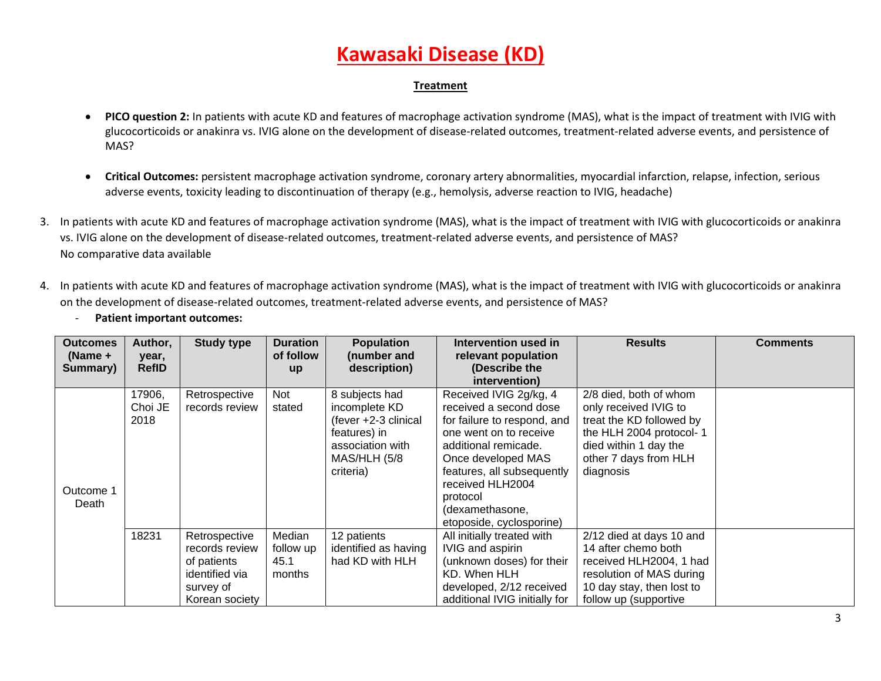#### **Treatment**

- **PICO question 2:** In patients with acute KD and features of macrophage activation syndrome (MAS), what is the impact of treatment with IVIG with glucocorticoids or anakinra vs. IVIG alone on the development of disease-related outcomes, treatment-related adverse events, and persistence of MAS?
- **Critical Outcomes:** persistent macrophage activation syndrome, coronary artery abnormalities, myocardial infarction, relapse, infection, serious adverse events, toxicity leading to discontinuation of therapy (e.g., hemolysis, adverse reaction to IVIG, headache)
- 3. In patients with acute KD and features of macrophage activation syndrome (MAS), what is the impact of treatment with IVIG with glucocorticoids or anakinra vs. IVIG alone on the development of disease-related outcomes, treatment-related adverse events, and persistence of MAS? No comparative data available
- 4. In patients with acute KD and features of macrophage activation syndrome (MAS), what is the impact of treatment with IVIG with glucocorticoids or anakinra on the development of disease-related outcomes, treatment-related adverse events, and persistence of MAS?
	- **Patient important outcomes:**

| <b>Outcomes</b><br>(Name +<br>Summary) | Author,<br>year,<br>RefID | <b>Study type</b>                                                                               | <b>Duration</b><br>of follow<br><b>up</b> | <b>Population</b><br>(number and<br>description)                                                                         | Intervention used in<br>relevant population<br>(Describe the<br>intervention)                                                                                                                                                                                        | <b>Results</b>                                                                                                                                                        | <b>Comments</b> |
|----------------------------------------|---------------------------|-------------------------------------------------------------------------------------------------|-------------------------------------------|--------------------------------------------------------------------------------------------------------------------------|----------------------------------------------------------------------------------------------------------------------------------------------------------------------------------------------------------------------------------------------------------------------|-----------------------------------------------------------------------------------------------------------------------------------------------------------------------|-----------------|
| Outcome 1<br>Death                     | 17906,<br>Choi JE<br>2018 | Retrospective<br>records review                                                                 | Not<br>stated                             | 8 subjects had<br>incomplete KD<br>(fever +2-3 clinical<br>features) in<br>association with<br>MAS/HLH (5/8<br>criteria) | Received IVIG 2g/kg, 4<br>received a second dose<br>for failure to respond, and<br>one went on to receive<br>additional remicade.<br>Once developed MAS<br>features, all subsequently<br>received HLH2004<br>protocol<br>(dexamethasone,<br>etoposide, cyclosporine) | 2/8 died, both of whom<br>only received IVIG to<br>treat the KD followed by<br>the HLH 2004 protocol-1<br>died within 1 day the<br>other 7 days from HLH<br>diagnosis |                 |
|                                        | 18231                     | Retrospective<br>records review<br>of patients<br>identified via<br>survey of<br>Korean society | Median<br>follow up<br>45.1<br>months     | 12 patients<br>identified as having<br>had KD with HLH                                                                   | All initially treated with<br>IVIG and aspirin<br>(unknown doses) for their<br>KD. When HLH<br>developed, 2/12 received<br>additional IVIG initially for                                                                                                             | 2/12 died at days 10 and<br>14 after chemo both<br>received HLH2004, 1 had<br>resolution of MAS during<br>10 day stay, then lost to<br>follow up (supportive          |                 |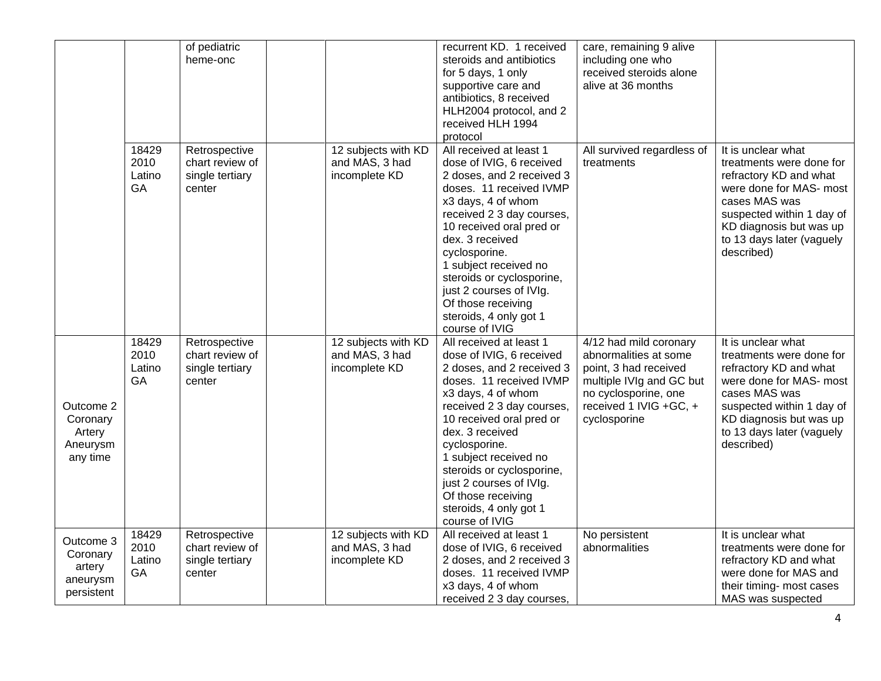|                                                           |                               | of pediatric<br>heme-onc                                      |                                                        | recurrent KD. 1 received<br>steroids and antibiotics<br>for 5 days, 1 only<br>supportive care and<br>antibiotics, 8 received<br>HLH2004 protocol, and 2<br>received HLH 1994<br>protocol                                                                                                                                                                                          | care, remaining 9 alive<br>including one who<br>received steroids alone<br>alive at 36 months                                                                          |                                                                                                                                                                                                                         |
|-----------------------------------------------------------|-------------------------------|---------------------------------------------------------------|--------------------------------------------------------|-----------------------------------------------------------------------------------------------------------------------------------------------------------------------------------------------------------------------------------------------------------------------------------------------------------------------------------------------------------------------------------|------------------------------------------------------------------------------------------------------------------------------------------------------------------------|-------------------------------------------------------------------------------------------------------------------------------------------------------------------------------------------------------------------------|
|                                                           | 18429<br>2010<br>Latino<br>GA | Retrospective<br>chart review of<br>single tertiary<br>center | 12 subjects with KD<br>and MAS, 3 had<br>incomplete KD | All received at least 1<br>dose of IVIG, 6 received<br>2 doses, and 2 received 3<br>doses. 11 received IVMP<br>x3 days, 4 of whom<br>received 2 3 day courses,<br>10 received oral pred or<br>dex. 3 received<br>cyclosporine.<br>1 subject received no<br>steroids or cyclosporine,<br>just 2 courses of IVIg.<br>Of those receiving<br>steroids, 4 only got 1<br>course of IVIG | All survived regardless of<br>treatments                                                                                                                               | It is unclear what<br>treatments were done for<br>refractory KD and what<br>were done for MAS- most<br>cases MAS was<br>suspected within 1 day of<br>KD diagnosis but was up<br>to 13 days later (vaguely<br>described) |
| Outcome 2<br>Coronary<br>Artery<br>Aneurysm<br>any time   | 18429<br>2010<br>Latino<br>GA | Retrospective<br>chart review of<br>single tertiary<br>center | 12 subjects with KD<br>and MAS, 3 had<br>incomplete KD | All received at least 1<br>dose of IVIG, 6 received<br>2 doses, and 2 received 3<br>doses. 11 received IVMP<br>x3 days, 4 of whom<br>received 2 3 day courses,<br>10 received oral pred or<br>dex. 3 received<br>cyclosporine.<br>1 subject received no<br>steroids or cyclosporine,<br>just 2 courses of IVIg.<br>Of those receiving<br>steroids, 4 only got 1<br>course of IVIG | 4/12 had mild coronary<br>abnormalities at some<br>point, 3 had received<br>multiple IVIg and GC but<br>no cyclosporine, one<br>received 1 IVIG +GC, +<br>cyclosporine | It is unclear what<br>treatments were done for<br>refractory KD and what<br>were done for MAS- most<br>cases MAS was<br>suspected within 1 day of<br>KD diagnosis but was up<br>to 13 days later (vaguely<br>described) |
| Outcome 3<br>Coronary<br>artery<br>aneurysm<br>persistent | 18429<br>2010<br>Latino<br>GA | Retrospective<br>chart review of<br>single tertiary<br>center | 12 subjects with KD<br>and MAS, 3 had<br>incomplete KD | All received at least 1<br>dose of IVIG, 6 received<br>2 doses, and 2 received 3<br>doses. 11 received IVMP<br>x3 days, 4 of whom<br>received 2 3 day courses,                                                                                                                                                                                                                    | No persistent<br>abnormalities                                                                                                                                         | It is unclear what<br>treatments were done for<br>refractory KD and what<br>were done for MAS and<br>their timing- most cases<br>MAS was suspected                                                                      |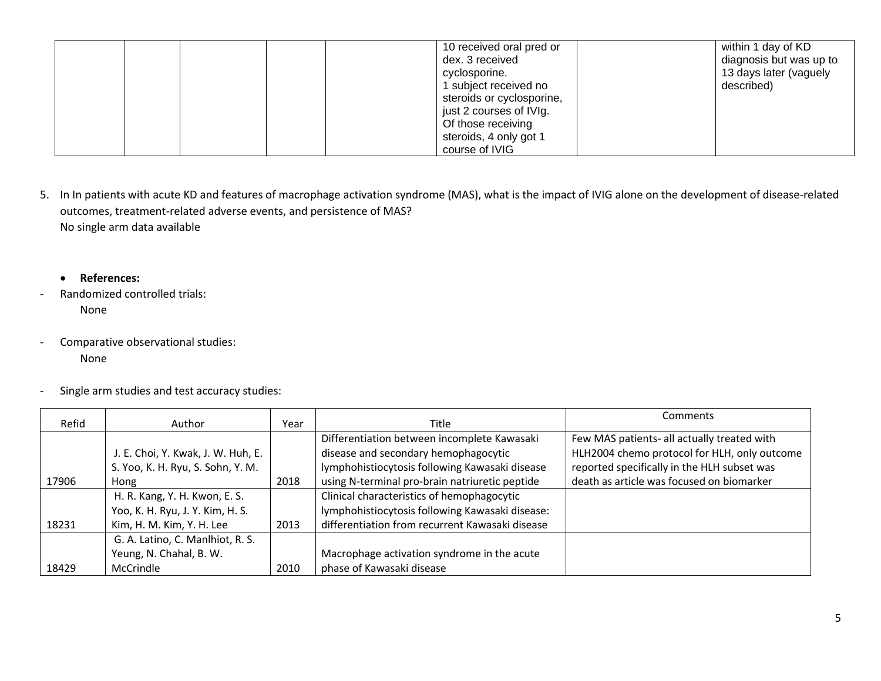| 10 received oral pred or<br>dex. 3 received<br>cyclosporine.<br>I subject received no<br>steroids or cyclosporine, | within 1 day of KD<br>diagnosis but was up to<br>13 days later (vaguely<br>described) |
|--------------------------------------------------------------------------------------------------------------------|---------------------------------------------------------------------------------------|
| just 2 courses of IVIg.<br>Of those receiving<br>steroids, 4 only got 1<br>course of IVIG                          |                                                                                       |

- 5. In In patients with acute KD and features of macrophage activation syndrome (MAS), what is the impact of IVIG alone on the development of disease-related outcomes, treatment-related adverse events, and persistence of MAS? No single arm data available
	- **References:**
- Randomized controlled trials: None
- Comparative observational studies: None
- Single arm studies and test accuracy studies:

| Refid | Author                             | Year | Title                                           | Comments                                     |
|-------|------------------------------------|------|-------------------------------------------------|----------------------------------------------|
|       |                                    |      | Differentiation between incomplete Kawasaki     | Few MAS patients- all actually treated with  |
|       | J. E. Choi, Y. Kwak, J. W. Huh, E. |      | disease and secondary hemophagocytic            | HLH2004 chemo protocol for HLH, only outcome |
|       | S. Yoo, K. H. Ryu, S. Sohn, Y. M.  |      | lymphohistiocytosis following Kawasaki disease  | reported specifically in the HLH subset was  |
| 17906 | Hong                               | 2018 | using N-terminal pro-brain natriuretic peptide  | death as article was focused on biomarker    |
|       | H. R. Kang, Y. H. Kwon, E. S.      |      | Clinical characteristics of hemophagocytic      |                                              |
|       | Yoo, K. H. Ryu, J. Y. Kim, H. S.   |      | lymphohistiocytosis following Kawasaki disease: |                                              |
| 18231 | Kim, H. M. Kim, Y. H. Lee          | 2013 | differentiation from recurrent Kawasaki disease |                                              |
|       | G. A. Latino, C. Manlhiot, R. S.   |      |                                                 |                                              |
|       | Yeung, N. Chahal, B. W.            |      | Macrophage activation syndrome in the acute     |                                              |
| 18429 | McCrindle                          | 2010 | phase of Kawasaki disease                       |                                              |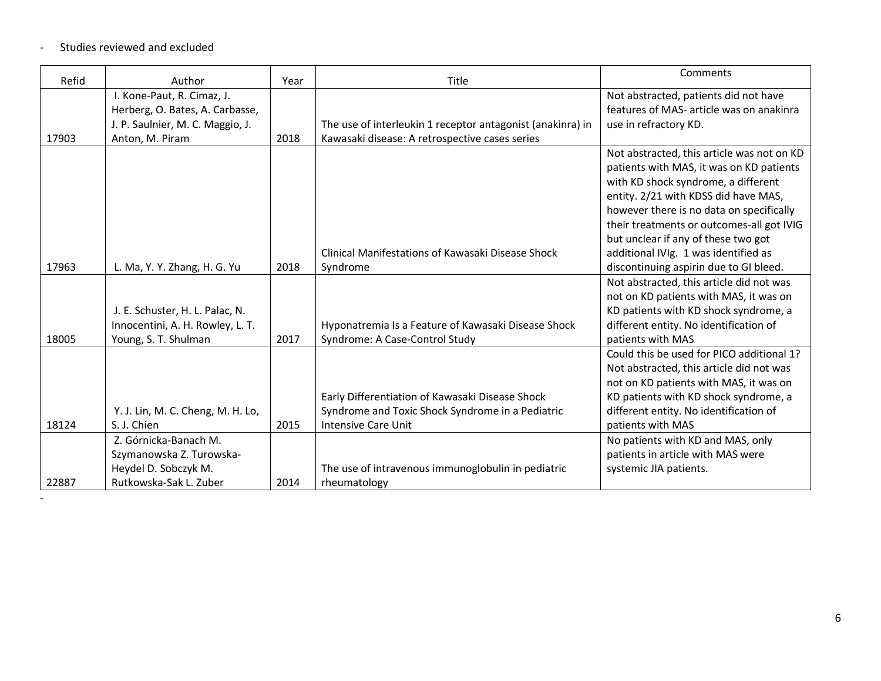- Studies reviewed and excluded

-

| Refid | Author                            | Year | Title                                                      | Comments                                   |
|-------|-----------------------------------|------|------------------------------------------------------------|--------------------------------------------|
|       | I. Kone-Paut, R. Cimaz, J.        |      |                                                            | Not abstracted, patients did not have      |
|       | Herberg, O. Bates, A. Carbasse,   |      |                                                            | features of MAS- article was on anakinra   |
|       | J. P. Saulnier, M. C. Maggio, J.  |      | The use of interleukin 1 receptor antagonist (anakinra) in | use in refractory KD.                      |
| 17903 | Anton, M. Piram                   | 2018 | Kawasaki disease: A retrospective cases series             |                                            |
|       |                                   |      |                                                            | Not abstracted, this article was not on KD |
|       |                                   |      |                                                            | patients with MAS, it was on KD patients   |
|       |                                   |      |                                                            | with KD shock syndrome, a different        |
|       |                                   |      |                                                            | entity. 2/21 with KDSS did have MAS,       |
|       |                                   |      |                                                            | however there is no data on specifically   |
|       |                                   |      |                                                            | their treatments or outcomes-all got IVIG  |
|       |                                   |      |                                                            | but unclear if any of these two got        |
|       |                                   |      | Clinical Manifestations of Kawasaki Disease Shock          | additional IVIg. 1 was identified as       |
| 17963 | L. Ma, Y. Y. Zhang, H. G. Yu      | 2018 | Syndrome                                                   | discontinuing aspirin due to GI bleed.     |
|       |                                   |      |                                                            | Not abstracted, this article did not was   |
|       |                                   |      |                                                            | not on KD patients with MAS, it was on     |
|       | J. E. Schuster, H. L. Palac, N.   |      |                                                            | KD patients with KD shock syndrome, a      |
|       | Innocentini, A. H. Rowley, L. T.  |      | Hyponatremia Is a Feature of Kawasaki Disease Shock        | different entity. No identification of     |
| 18005 | Young, S. T. Shulman              | 2017 | Syndrome: A Case-Control Study                             | patients with MAS                          |
|       |                                   |      |                                                            | Could this be used for PICO additional 1?  |
|       |                                   |      |                                                            | Not abstracted, this article did not was   |
|       |                                   |      |                                                            | not on KD patients with MAS, it was on     |
|       |                                   |      | Early Differentiation of Kawasaki Disease Shock            | KD patients with KD shock syndrome, a      |
|       | Y. J. Lin, M. C. Cheng, M. H. Lo, |      | Syndrome and Toxic Shock Syndrome in a Pediatric           | different entity. No identification of     |
| 18124 | S. J. Chien                       | 2015 | <b>Intensive Care Unit</b>                                 | patients with MAS                          |
|       | Z. Górnicka-Banach M.             |      |                                                            | No patients with KD and MAS, only          |
|       | Szymanowska Z. Turowska-          |      |                                                            | patients in article with MAS were          |
|       | Heydel D. Sobczyk M.              |      | The use of intravenous immunoglobulin in pediatric         | systemic JIA patients.                     |
| 22887 | Rutkowska-Sak L. Zuber            | 2014 | rheumatology                                               |                                            |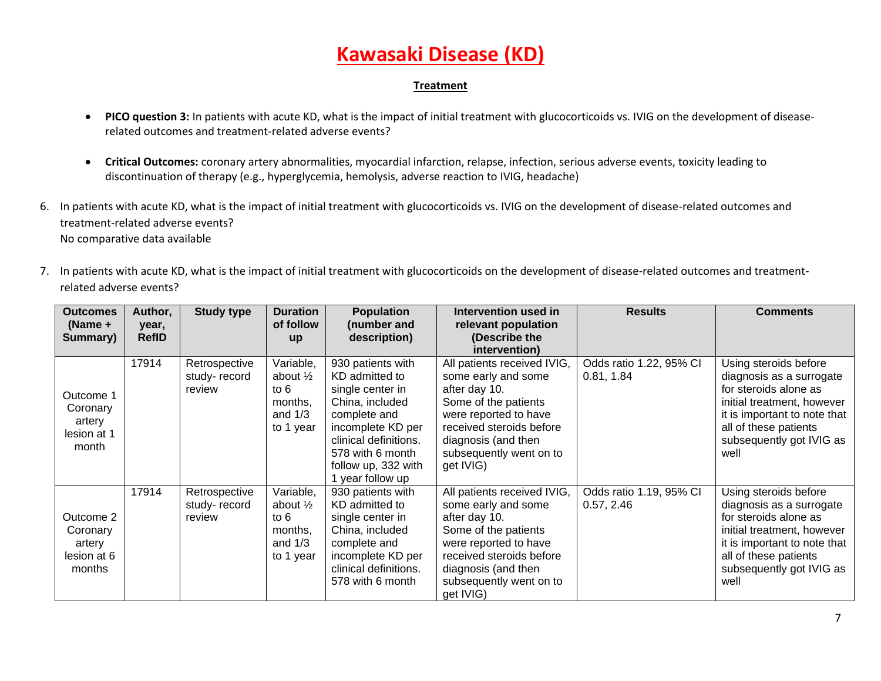#### **Treatment**

- **PICO question 3:** In patients with acute KD, what is the impact of initial treatment with glucocorticoids vs. IVIG on the development of diseaserelated outcomes and treatment-related adverse events?
- **Critical Outcomes:** coronary artery abnormalities, myocardial infarction, relapse, infection, serious adverse events, toxicity leading to discontinuation of therapy (e.g., hyperglycemia, hemolysis, adverse reaction to IVIG, headache)
- 6. In patients with acute KD, what is the impact of initial treatment with glucocorticoids vs. IVIG on the development of disease-related outcomes and treatment-related adverse events? No comparative data available
- 7. In patients with acute KD, what is the impact of initial treatment with glucocorticoids on the development of disease-related outcomes and treatmentrelated adverse events?

| <b>Outcomes</b><br>(Name +<br>Summary)                   | Author,<br>year,<br><b>RefID</b> | <b>Study type</b>                       | <b>Duration</b><br>of follow                                                    | <b>Population</b><br>(number and<br>description)                                                                                                                                                      | Intervention used in<br>relevant population<br>(Describe the                                                                                                                                                    | <b>Results</b>                        | <b>Comments</b>                                                                                                                                                                                       |
|----------------------------------------------------------|----------------------------------|-----------------------------------------|---------------------------------------------------------------------------------|-------------------------------------------------------------------------------------------------------------------------------------------------------------------------------------------------------|-----------------------------------------------------------------------------------------------------------------------------------------------------------------------------------------------------------------|---------------------------------------|-------------------------------------------------------------------------------------------------------------------------------------------------------------------------------------------------------|
|                                                          |                                  |                                         | up                                                                              |                                                                                                                                                                                                       | intervention)                                                                                                                                                                                                   |                                       |                                                                                                                                                                                                       |
| Outcome 1<br>Coronary<br>artery<br>lesion at 1<br>month  | 17914                            | Retrospective<br>study-record<br>review | Variable,<br>about $\frac{1}{2}$<br>to $6$<br>months,<br>and $1/3$<br>to 1 year | 930 patients with<br>KD admitted to<br>single center in<br>China, included<br>complete and<br>incomplete KD per<br>clinical definitions.<br>578 with 6 month<br>follow up, 332 with<br>year follow up | All patients received IVIG,<br>some early and some<br>after day 10.<br>Some of the patients<br>were reported to have<br>received steroids before<br>diagnosis (and then<br>subsequently went on to<br>get IVIG) | Odds ratio 1.22, 95% CI<br>0.81, 1.84 | Using steroids before<br>diagnosis as a surrogate<br>for steroids alone as<br>initial treatment, however<br>it is important to note that<br>all of these patients<br>subsequently got IVIG as<br>well |
| Outcome 2<br>Coronary<br>artery<br>lesion at 6<br>months | 17914                            | Retrospective<br>study-record<br>review | Variable,<br>about $\frac{1}{2}$<br>to $6$<br>months,<br>and $1/3$<br>to 1 year | 930 patients with<br>KD admitted to<br>single center in<br>China, included<br>complete and<br>incomplete KD per<br>clinical definitions.<br>578 with 6 month                                          | All patients received IVIG,<br>some early and some<br>after day 10.<br>Some of the patients<br>were reported to have<br>received steroids before<br>diagnosis (and then<br>subsequently went on to<br>get IVIG) | Odds ratio 1.19, 95% CI<br>0.57, 2.46 | Using steroids before<br>diagnosis as a surrogate<br>for steroids alone as<br>initial treatment, however<br>it is important to note that<br>all of these patients<br>subsequently got IVIG as<br>well |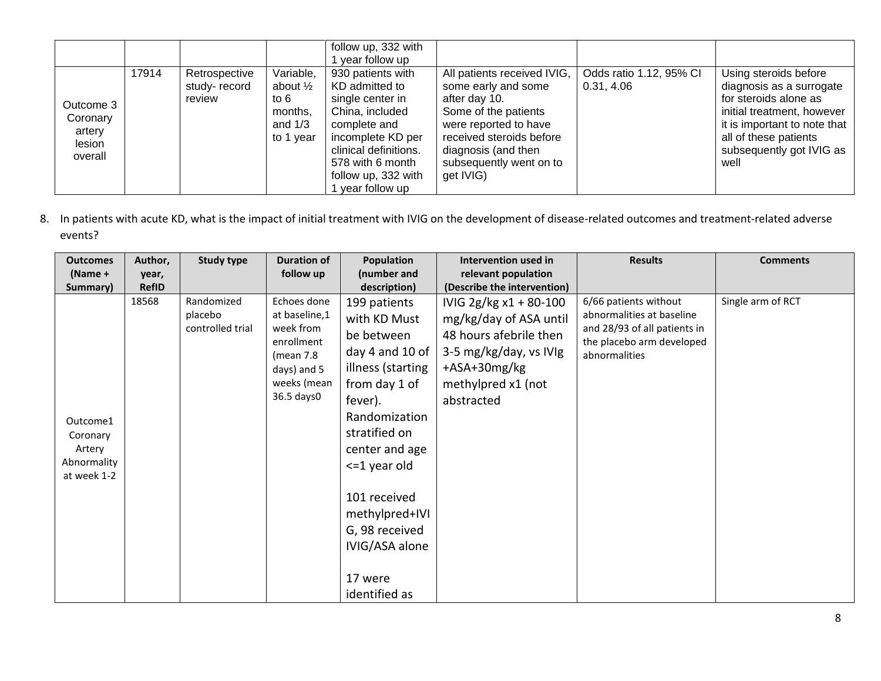|                                                      |       |                                         |                                                                               | follow up, 332 with<br>year follow up                                                                                                                                                                 |                                                                                                                                                                                                                 |                                       |                                                                                                                                                                                                       |
|------------------------------------------------------|-------|-----------------------------------------|-------------------------------------------------------------------------------|-------------------------------------------------------------------------------------------------------------------------------------------------------------------------------------------------------|-----------------------------------------------------------------------------------------------------------------------------------------------------------------------------------------------------------------|---------------------------------------|-------------------------------------------------------------------------------------------------------------------------------------------------------------------------------------------------------|
| Outcome 3<br>Coronary<br>artery<br>lesion<br>overall | 17914 | Retrospective<br>study-record<br>review | Variable,<br>about $\frac{1}{2}$<br>to 6<br>months,<br>and $1/3$<br>to 1 year | 930 patients with<br>KD admitted to<br>single center in<br>China, included<br>complete and<br>incomplete KD per<br>clinical definitions.<br>578 with 6 month<br>follow up, 332 with<br>year follow up | All patients received IVIG,<br>some early and some<br>after day 10.<br>Some of the patients<br>were reported to have<br>received steroids before<br>diagnosis (and then<br>subsequently went on to<br>get IVIG) | Odds ratio 1.12, 95% CI<br>0.31, 4.06 | Using steroids before<br>diagnosis as a surrogate<br>for steroids alone as<br>initial treatment, however<br>it is important to note that<br>all of these patients<br>subsequently got IVIG as<br>well |

8. In patients with acute KD, what is the impact of initial treatment with IVIG on the development of disease-related outcomes and treatment-related adverse events?

| <b>Outcomes</b> | Author,               | Study type       | <b>Duration of</b>                                  | Population                   | Intervention used in                               | <b>Results</b>               | <b>Comments</b>   |
|-----------------|-----------------------|------------------|-----------------------------------------------------|------------------------------|----------------------------------------------------|------------------------------|-------------------|
| $(Name +$       | year,                 |                  | follow up                                           | (number and                  | relevant population                                |                              |                   |
| Summary)        | <b>RefID</b><br>18568 | Randomized       | Echoes done                                         | description)                 | (Describe the intervention)                        | 6/66 patients without        | Single arm of RCT |
|                 |                       | placebo          | at baseline,1                                       | 199 patients<br>with KD Must | IVIG $2g/kg x1 + 80-100$<br>mg/kg/day of ASA until | abnormalities at baseline    |                   |
|                 |                       | controlled trial | week from<br>enrollment<br>(mean 7.8<br>days) and 5 | be between                   | 48 hours afebrile then                             | and 28/93 of all patients in |                   |
|                 |                       |                  |                                                     | day 4 and 10 of $\vert$      | 3-5 mg/kg/day, vs IVIg                             | the placebo arm developed    |                   |
|                 |                       |                  |                                                     | illness (starting            | +ASA+30mg/kg                                       | abnormalities                |                   |
|                 |                       |                  | weeks (mean                                         | from day 1 of                | methylpred x1 (not                                 |                              |                   |
|                 |                       |                  | 36.5 days0                                          | fever).                      | abstracted                                         |                              |                   |
| Outcome1        |                       |                  |                                                     | Randomization                |                                                    |                              |                   |
| Coronary        |                       |                  |                                                     | stratified on                |                                                    |                              |                   |
| Artery          |                       |                  |                                                     | center and age               |                                                    |                              |                   |
| Abnormality     |                       |                  |                                                     | $\leq$ 1 year old            |                                                    |                              |                   |
| at week 1-2     |                       |                  |                                                     |                              |                                                    |                              |                   |
|                 |                       |                  |                                                     | 101 received                 |                                                    |                              |                   |
|                 |                       |                  |                                                     | methylpred+IVI               |                                                    |                              |                   |
|                 |                       |                  |                                                     | G, 98 received               |                                                    |                              |                   |
|                 |                       |                  |                                                     | IVIG/ASA alone               |                                                    |                              |                   |
|                 |                       |                  |                                                     |                              |                                                    |                              |                   |
|                 |                       |                  |                                                     | 17 were                      |                                                    |                              |                   |
|                 |                       |                  |                                                     | identified as                |                                                    |                              |                   |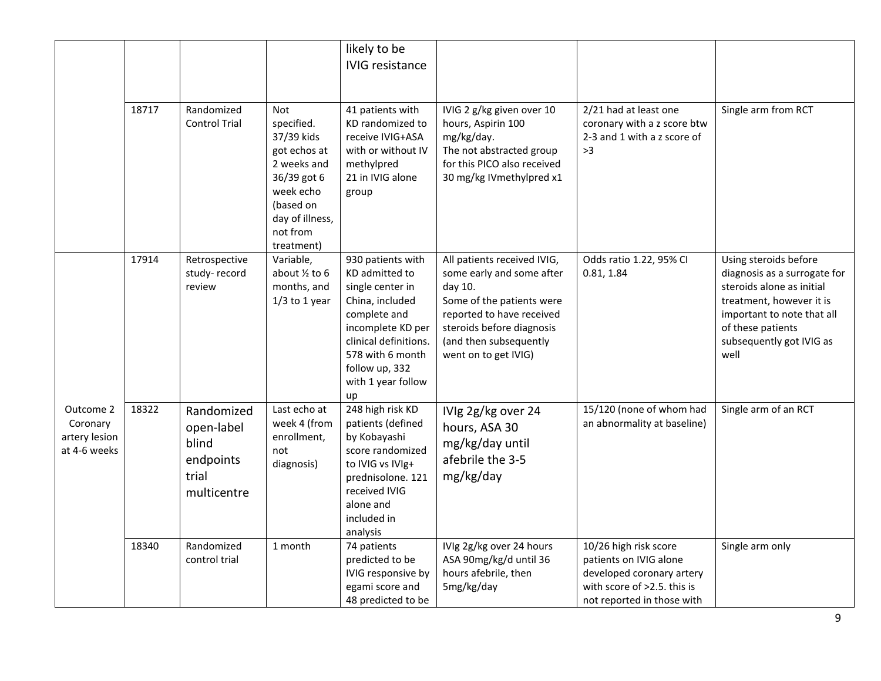|                                                        |       |                                                                        |                                                                                                                                                             | likely to be<br><b>IVIG resistance</b>                                                                                                                                                                     |                                                                                                                                                                                                              |                                                                                                                                           |                                                                                                                                                                                                       |
|--------------------------------------------------------|-------|------------------------------------------------------------------------|-------------------------------------------------------------------------------------------------------------------------------------------------------------|------------------------------------------------------------------------------------------------------------------------------------------------------------------------------------------------------------|--------------------------------------------------------------------------------------------------------------------------------------------------------------------------------------------------------------|-------------------------------------------------------------------------------------------------------------------------------------------|-------------------------------------------------------------------------------------------------------------------------------------------------------------------------------------------------------|
|                                                        | 18717 | Randomized<br><b>Control Trial</b>                                     | <b>Not</b><br>specified.<br>37/39 kids<br>got echos at<br>2 weeks and<br>36/39 got 6<br>week echo<br>(based on<br>day of illness,<br>not from<br>treatment) | 41 patients with<br>KD randomized to<br>receive IVIG+ASA<br>with or without IV<br>methylpred<br>21 in IVIG alone<br>group                                                                                  | IVIG 2 g/kg given over 10<br>hours, Aspirin 100<br>mg/kg/day.<br>The not abstracted group<br>for this PICO also received<br>30 mg/kg IVmethylpred x1                                                         | 2/21 had at least one<br>coronary with a z score btw<br>2-3 and 1 with a z score of<br>$>3$                                               | Single arm from RCT                                                                                                                                                                                   |
|                                                        | 17914 | Retrospective<br>study-record<br>review                                | Variable,<br>about $\frac{1}{2}$ to 6<br>months, and<br>$1/3$ to 1 year                                                                                     | 930 patients with<br>KD admitted to<br>single center in<br>China, included<br>complete and<br>incomplete KD per<br>clinical definitions.<br>578 with 6 month<br>follow up, 332<br>with 1 year follow<br>up | All patients received IVIG,<br>some early and some after<br>day 10.<br>Some of the patients were<br>reported to have received<br>steroids before diagnosis<br>(and then subsequently<br>went on to get IVIG) | Odds ratio 1.22, 95% CI<br>0.81, 1.84                                                                                                     | Using steroids before<br>diagnosis as a surrogate for<br>steroids alone as initial<br>treatment, however it is<br>important to note that all<br>of these patients<br>subsequently got IVIG as<br>well |
| Outcome 2<br>Coronary<br>artery lesion<br>at 4-6 weeks | 18322 | Randomized<br>open-label<br>blind<br>endpoints<br>trial<br>multicentre | Last echo at<br>week 4 (from<br>enrollment,<br>not<br>diagnosis)                                                                                            | 248 high risk KD<br>patients (defined<br>by Kobayashi<br>score randomized<br>to IVIG vs IVIg+<br>prednisolone. 121<br>received IVIG<br>alone and<br>included in<br>analysis                                | IVIg 2g/kg over 24<br>hours, ASA 30<br>mg/kg/day until<br>afebrile the 3-5<br>mg/kg/day                                                                                                                      | 15/120 (none of whom had<br>an abnormality at baseline)                                                                                   | Single arm of an RCT                                                                                                                                                                                  |
|                                                        | 18340 | Randomized<br>control trial                                            | 1 month                                                                                                                                                     | 74 patients<br>predicted to be<br>IVIG responsive by<br>egami score and<br>48 predicted to be                                                                                                              | IVIg 2g/kg over 24 hours<br>ASA 90mg/kg/d until 36<br>hours afebrile, then<br>5mg/kg/day                                                                                                                     | 10/26 high risk score<br>patients on IVIG alone<br>developed coronary artery<br>with score of >2.5. this is<br>not reported in those with | Single arm only                                                                                                                                                                                       |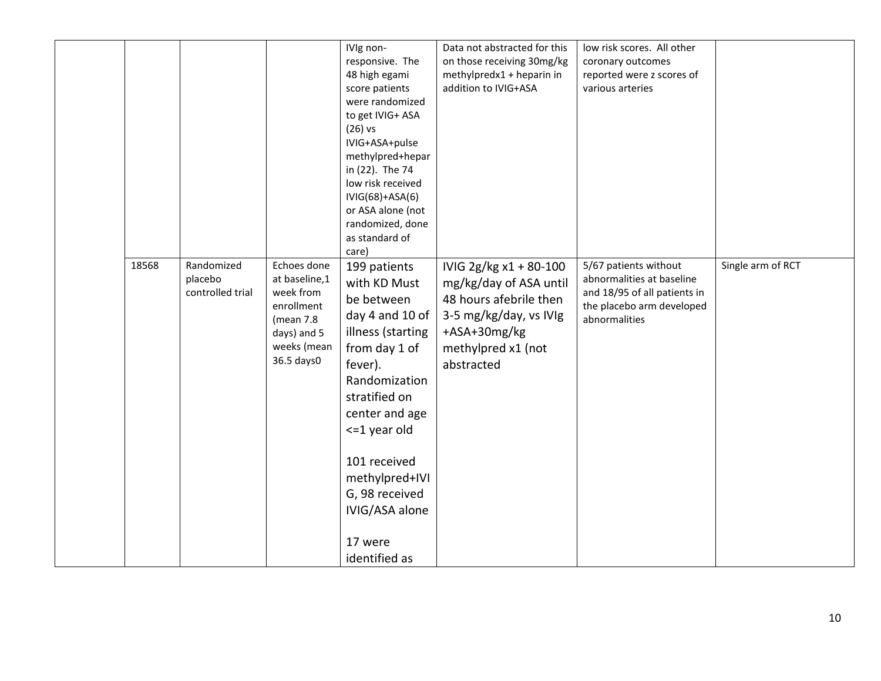|       |                  |               | IVIg non-         | Data not abstracted for this | low risk scores. All other   |                   |
|-------|------------------|---------------|-------------------|------------------------------|------------------------------|-------------------|
|       |                  |               | responsive. The   | on those receiving 30mg/kg   | coronary outcomes            |                   |
|       |                  |               | 48 high egami     | methylpredx1 + heparin in    | reported were z scores of    |                   |
|       |                  |               | score patients    | addition to IVIG+ASA         | various arteries             |                   |
|       |                  |               | were randomized   |                              |                              |                   |
|       |                  |               | to get IVIG+ ASA  |                              |                              |                   |
|       |                  |               | $(26)$ vs         |                              |                              |                   |
|       |                  |               | IVIG+ASA+pulse    |                              |                              |                   |
|       |                  |               | methylpred+hepar  |                              |                              |                   |
|       |                  |               | in (22). The 74   |                              |                              |                   |
|       |                  |               | low risk received |                              |                              |                   |
|       |                  |               | $IVIG(68)+ASA(6)$ |                              |                              |                   |
|       |                  |               | or ASA alone (not |                              |                              |                   |
|       |                  |               | randomized, done  |                              |                              |                   |
|       |                  |               | as standard of    |                              |                              |                   |
|       |                  |               | care)             |                              |                              |                   |
| 18568 | Randomized       | Echoes done   | 199 patients      | IVIG 2g/kg x1 + 80-100       | 5/67 patients without        | Single arm of RCT |
|       | placebo          | at baseline,1 | with KD Must      | mg/kg/day of ASA until       | abnormalities at baseline    |                   |
|       | controlled trial | week from     | be between        | 48 hours afebrile then       | and 18/95 of all patients in |                   |
|       |                  | enrollment    | day 4 and 10 of   | 3-5 mg/kg/day, vs IVIg       | the placebo arm developed    |                   |
|       |                  | (mean 7.8     | illness (starting | +ASA+30mg/kg                 | abnormalities                |                   |
|       |                  | days) and 5   |                   |                              |                              |                   |
|       |                  | weeks (mean   | from day 1 of     | methylpred x1 (not           |                              |                   |
|       |                  | 36.5 days0    | fever).           | abstracted                   |                              |                   |
|       |                  |               | Randomization     |                              |                              |                   |
|       |                  |               | stratified on     |                              |                              |                   |
|       |                  |               | center and age    |                              |                              |                   |
|       |                  |               |                   |                              |                              |                   |
|       |                  |               | <= 1 year old     |                              |                              |                   |
|       |                  |               |                   |                              |                              |                   |
|       |                  |               | 101 received      |                              |                              |                   |
|       |                  |               | methylpred+IVI    |                              |                              |                   |
|       |                  |               | G, 98 received    |                              |                              |                   |
|       |                  |               | IVIG/ASA alone    |                              |                              |                   |
|       |                  |               |                   |                              |                              |                   |
|       |                  |               |                   |                              |                              |                   |
|       |                  |               | 17 were           |                              |                              |                   |
|       |                  |               | identified as     |                              |                              |                   |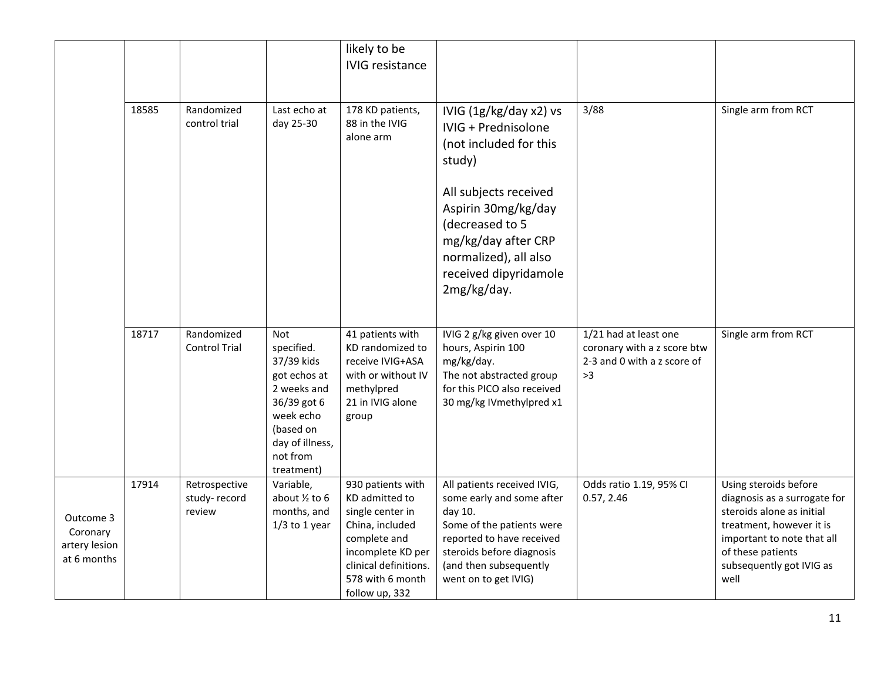|                                                       |       |                                         |                                                                                                                                                             | likely to be<br><b>IVIG</b> resistance                                                                                                                                         |                                                                                                                                                                                                                                              |                                                                                           |                                                                                                                                                                                                       |
|-------------------------------------------------------|-------|-----------------------------------------|-------------------------------------------------------------------------------------------------------------------------------------------------------------|--------------------------------------------------------------------------------------------------------------------------------------------------------------------------------|----------------------------------------------------------------------------------------------------------------------------------------------------------------------------------------------------------------------------------------------|-------------------------------------------------------------------------------------------|-------------------------------------------------------------------------------------------------------------------------------------------------------------------------------------------------------|
|                                                       | 18585 | Randomized<br>control trial             | Last echo at<br>day 25-30                                                                                                                                   | 178 KD patients,<br>88 in the IVIG<br>alone arm                                                                                                                                | IVIG (1g/kg/day x2) vs<br>IVIG + Prednisolone<br>(not included for this<br>study)<br>All subjects received<br>Aspirin 30mg/kg/day<br>(decreased to 5<br>mg/kg/day after CRP<br>normalized), all also<br>received dipyridamole<br>2mg/kg/day. | 3/88                                                                                      | Single arm from RCT                                                                                                                                                                                   |
|                                                       | 18717 | Randomized<br><b>Control Trial</b>      | <b>Not</b><br>specified.<br>37/39 kids<br>got echos at<br>2 weeks and<br>36/39 got 6<br>week echo<br>(based on<br>day of illness,<br>not from<br>treatment) | 41 patients with<br>KD randomized to<br>receive IVIG+ASA<br>with or without IV<br>methylpred<br>21 in IVIG alone<br>group                                                      | IVIG 2 g/kg given over 10<br>hours, Aspirin 100<br>mg/kg/day.<br>The not abstracted group<br>for this PICO also received<br>30 mg/kg IVmethylpred x1                                                                                         | 1/21 had at least one<br>coronary with a z score btw<br>2-3 and 0 with a z score of<br>>3 | Single arm from RCT                                                                                                                                                                                   |
| Outcome 3<br>Coronary<br>artery lesion<br>at 6 months | 17914 | Retrospective<br>study-record<br>review | Variable,<br>about 1/2 to 6<br>months, and<br>$1/3$ to 1 year                                                                                               | 930 patients with<br>KD admitted to<br>single center in<br>China, included<br>complete and<br>incomplete KD per<br>clinical definitions.<br>578 with 6 month<br>follow up, 332 | All patients received IVIG,<br>some early and some after<br>day 10.<br>Some of the patients were<br>reported to have received<br>steroids before diagnosis<br>(and then subsequently<br>went on to get IVIG)                                 | Odds ratio 1.19, 95% CI<br>0.57, 2.46                                                     | Using steroids before<br>diagnosis as a surrogate for<br>steroids alone as initial<br>treatment, however it is<br>important to note that all<br>of these patients<br>subsequently got IVIG as<br>well |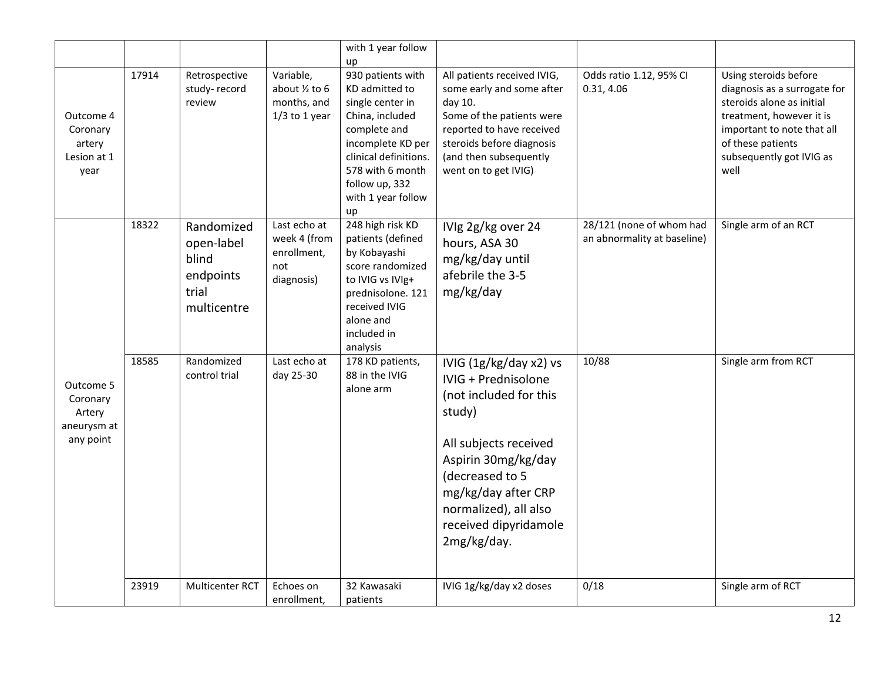|                                                             |       |                                                                        |                                                                         | with 1 year follow<br>up                                                                                                                                                                                   |                                                                                                                                                                                                                                              |                                                         |                                                                                                                                                                                                       |
|-------------------------------------------------------------|-------|------------------------------------------------------------------------|-------------------------------------------------------------------------|------------------------------------------------------------------------------------------------------------------------------------------------------------------------------------------------------------|----------------------------------------------------------------------------------------------------------------------------------------------------------------------------------------------------------------------------------------------|---------------------------------------------------------|-------------------------------------------------------------------------------------------------------------------------------------------------------------------------------------------------------|
| Outcome 4<br>Coronary<br>artery<br>Lesion at 1<br>year      | 17914 | Retrospective<br>study-record<br>review                                | Variable,<br>about $\frac{1}{2}$ to 6<br>months, and<br>$1/3$ to 1 year | 930 patients with<br>KD admitted to<br>single center in<br>China, included<br>complete and<br>incomplete KD per<br>clinical definitions.<br>578 with 6 month<br>follow up, 332<br>with 1 year follow<br>up | All patients received IVIG,<br>some early and some after<br>day 10.<br>Some of the patients were<br>reported to have received<br>steroids before diagnosis<br>(and then subsequently<br>went on to get IVIG)                                 | Odds ratio 1.12, 95% CI<br>0.31, 4.06                   | Using steroids before<br>diagnosis as a surrogate for<br>steroids alone as initial<br>treatment, however it is<br>important to note that all<br>of these patients<br>subsequently got IVIG as<br>well |
|                                                             | 18322 | Randomized<br>open-label<br>blind<br>endpoints<br>trial<br>multicentre | Last echo at<br>week 4 (from<br>enrollment,<br>not<br>diagnosis)        | 248 high risk KD<br>patients (defined<br>by Kobayashi<br>score randomized<br>to IVIG vs IVIg+<br>prednisolone. 121<br>received IVIG<br>alone and<br>included in<br>analysis                                | IVIg 2g/kg over 24<br>hours, ASA 30<br>mg/kg/day until<br>afebrile the 3-5<br>mg/kg/day                                                                                                                                                      | 28/121 (none of whom had<br>an abnormality at baseline) | Single arm of an RCT                                                                                                                                                                                  |
| Outcome 5<br>Coronary<br>Artery<br>aneurysm at<br>any point | 18585 | Randomized<br>control trial                                            | Last echo at<br>day 25-30                                               | 178 KD patients,<br>88 in the IVIG<br>alone arm                                                                                                                                                            | IVIG (1g/kg/day x2) vs<br>IVIG + Prednisolone<br>(not included for this<br>study)<br>All subjects received<br>Aspirin 30mg/kg/day<br>(decreased to 5<br>mg/kg/day after CRP<br>normalized), all also<br>received dipyridamole<br>2mg/kg/day. | 10/88                                                   | Single arm from RCT                                                                                                                                                                                   |
|                                                             | 23919 | Multicenter RCT                                                        | Echoes on<br>enrollment,                                                | 32 Kawasaki<br>patients                                                                                                                                                                                    | IVIG 1g/kg/day x2 doses                                                                                                                                                                                                                      | 0/18                                                    | Single arm of RCT                                                                                                                                                                                     |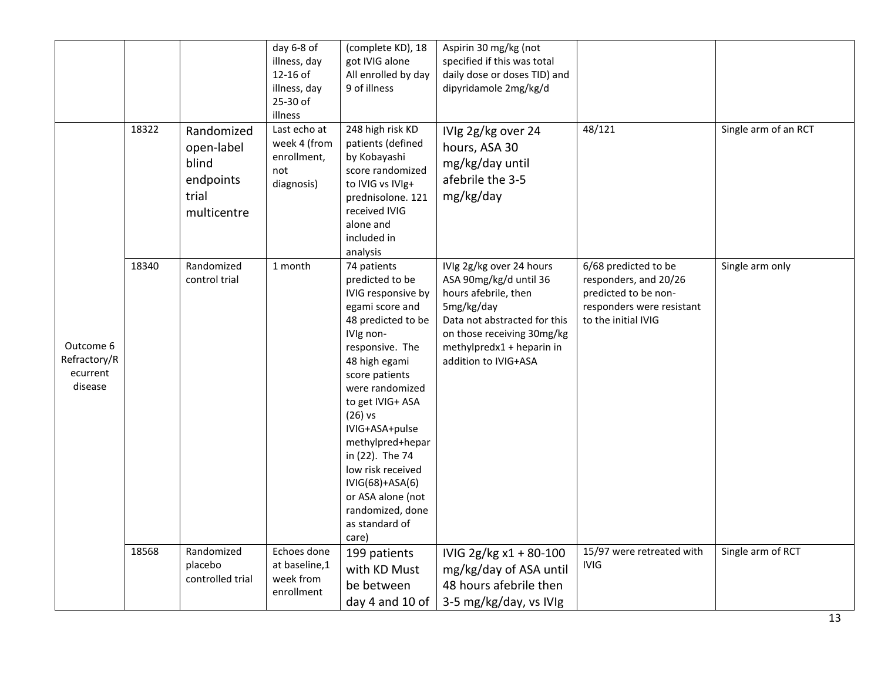|                                                  |       |                                                                        | day 6-8 of<br>illness, day<br>12-16 of<br>illness, day<br>25-30 of<br>illness | (complete KD), 18<br>got IVIG alone<br>All enrolled by day<br>9 of illness                                                                                                                                                                                                                                                                                                                  | Aspirin 30 mg/kg (not<br>specified if this was total<br>daily dose or doses TID) and<br>dipyridamole 2mg/kg/d                                                                                               |                                                                                                                           |                      |
|--------------------------------------------------|-------|------------------------------------------------------------------------|-------------------------------------------------------------------------------|---------------------------------------------------------------------------------------------------------------------------------------------------------------------------------------------------------------------------------------------------------------------------------------------------------------------------------------------------------------------------------------------|-------------------------------------------------------------------------------------------------------------------------------------------------------------------------------------------------------------|---------------------------------------------------------------------------------------------------------------------------|----------------------|
|                                                  | 18322 | Randomized<br>open-label<br>blind<br>endpoints<br>trial<br>multicentre | Last echo at<br>week 4 (from<br>enrollment,<br>not<br>diagnosis)              | 248 high risk KD<br>patients (defined<br>by Kobayashi<br>score randomized<br>to IVIG vs IVIg+<br>prednisolone. 121<br>received IVIG<br>alone and<br>included in<br>analysis                                                                                                                                                                                                                 | IVIg 2g/kg over 24<br>hours, ASA 30<br>mg/kg/day until<br>afebrile the 3-5<br>mg/kg/day                                                                                                                     | 48/121                                                                                                                    | Single arm of an RCT |
| Outcome 6<br>Refractory/R<br>ecurrent<br>disease | 18340 | Randomized<br>control trial                                            | 1 month                                                                       | 74 patients<br>predicted to be<br>IVIG responsive by<br>egami score and<br>48 predicted to be<br>IVIg non-<br>responsive. The<br>48 high egami<br>score patients<br>were randomized<br>to get IVIG+ ASA<br>$(26)$ vs<br>IVIG+ASA+pulse<br>methylpred+hepar<br>in (22). The 74<br>low risk received<br>$IVIG(68)+ASA(6)$<br>or ASA alone (not<br>randomized, done<br>as standard of<br>care) | IVIg 2g/kg over 24 hours<br>ASA 90mg/kg/d until 36<br>hours afebrile, then<br>5mg/kg/day<br>Data not abstracted for this<br>on those receiving 30mg/kg<br>methylpredx1 + heparin in<br>addition to IVIG+ASA | 6/68 predicted to be<br>responders, and 20/26<br>predicted to be non-<br>responders were resistant<br>to the initial IVIG | Single arm only      |
|                                                  | 18568 | Randomized<br>placebo<br>controlled trial                              | Echoes done<br>at baseline,1<br>week from<br>enrollment                       | 199 patients<br>with KD Must<br>be between<br>day 4 and 10 of                                                                                                                                                                                                                                                                                                                               | IVIG 2g/kg x1 + 80-100<br>mg/kg/day of ASA until<br>48 hours afebrile then<br>3-5 mg/kg/day, vs IVIg                                                                                                        | 15/97 were retreated with<br><b>IVIG</b>                                                                                  | Single arm of RCT    |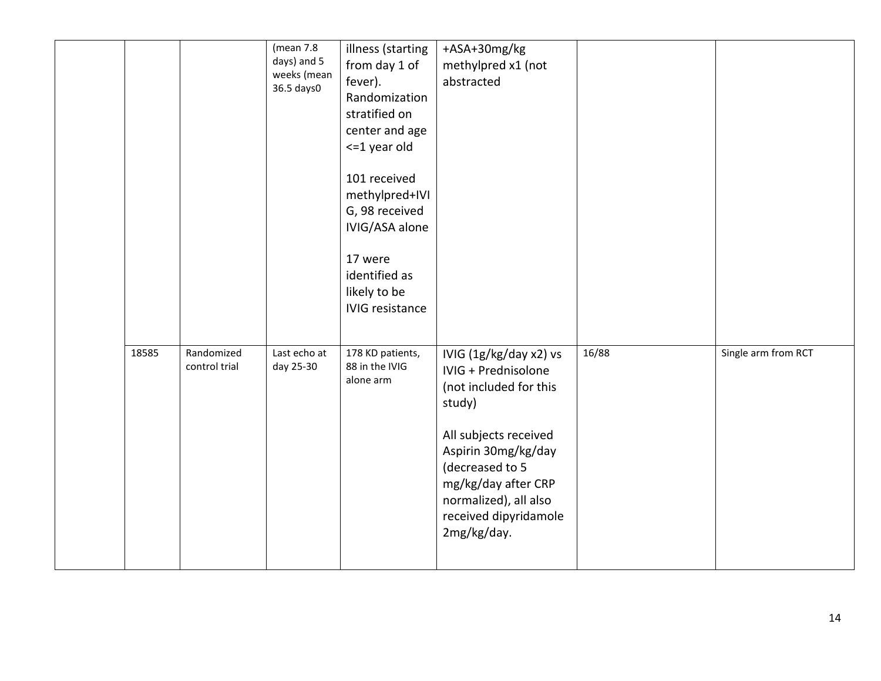|       |                             | (mean 7.8)<br>days) and 5<br>weeks (mean<br>36.5 days0 | illness (starting<br>from day 1 of<br>fever).<br>Randomization<br>stratified on<br>center and age<br><= 1 year old<br>101 received<br>methylpred+IVI<br>G, 98 received<br>IVIG/ASA alone<br>17 were<br>identified as<br>likely to be<br><b>IVIG resistance</b> | +ASA+30mg/kg<br>methylpred x1 (not<br>abstracted                                                                                                                                                                                                    |       |                     |
|-------|-----------------------------|--------------------------------------------------------|----------------------------------------------------------------------------------------------------------------------------------------------------------------------------------------------------------------------------------------------------------------|-----------------------------------------------------------------------------------------------------------------------------------------------------------------------------------------------------------------------------------------------------|-------|---------------------|
| 18585 | Randomized<br>control trial | Last echo at<br>day 25-30                              | 178 KD patients,<br>88 in the IVIG<br>alone arm                                                                                                                                                                                                                | IVIG (1g/kg/day x2) vs<br><b>IVIG + Prednisolone</b><br>(not included for this<br>study)<br>All subjects received<br>Aspirin 30mg/kg/day<br>(decreased to 5<br>mg/kg/day after CRP<br>normalized), all also<br>received dipyridamole<br>2mg/kg/day. | 16/88 | Single arm from RCT |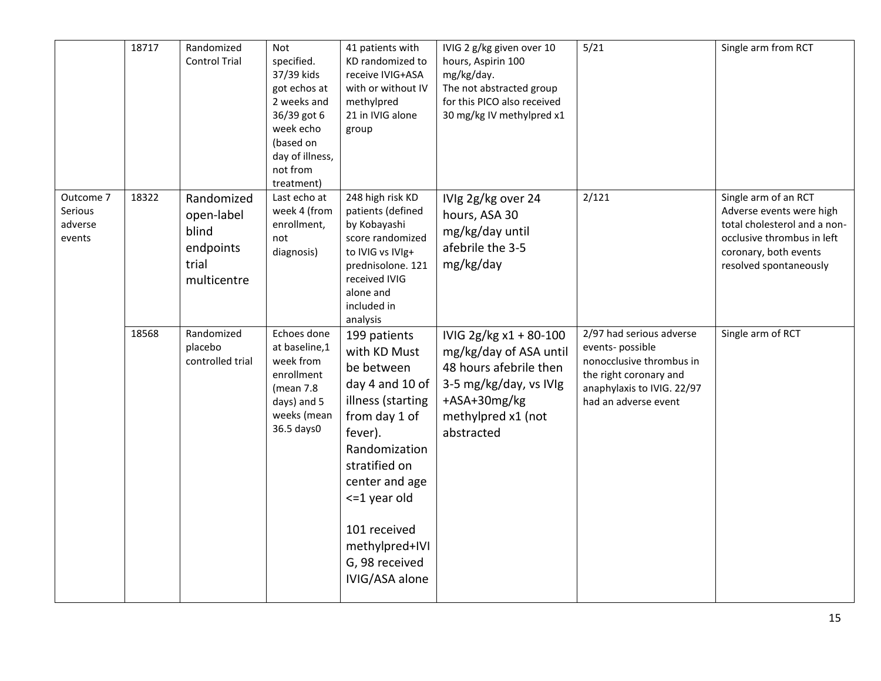|                                           | 18717 | Randomized<br><b>Control Trial</b>                                     | Not<br>specified.<br>37/39 kids<br>got echos at<br>2 weeks and<br>36/39 got 6<br>week echo<br>(based on<br>day of illness,<br>not from<br>treatment) | 41 patients with<br>KD randomized to<br>receive IVIG+ASA<br>with or without IV<br>methylpred<br>21 in IVIG alone<br>group                                                                                                                                     | IVIG 2 g/kg given over 10<br>hours, Aspirin 100<br>mg/kg/day.<br>The not abstracted group<br>for this PICO also received<br>30 mg/kg IV methylpred x1    | 5/21                                                                                                                                                    | Single arm from RCT                                                                                                                                               |
|-------------------------------------------|-------|------------------------------------------------------------------------|------------------------------------------------------------------------------------------------------------------------------------------------------|---------------------------------------------------------------------------------------------------------------------------------------------------------------------------------------------------------------------------------------------------------------|----------------------------------------------------------------------------------------------------------------------------------------------------------|---------------------------------------------------------------------------------------------------------------------------------------------------------|-------------------------------------------------------------------------------------------------------------------------------------------------------------------|
| Outcome 7<br>Serious<br>adverse<br>events | 18322 | Randomized<br>open-label<br>blind<br>endpoints<br>trial<br>multicentre | Last echo at<br>week 4 (from<br>enrollment,<br>not<br>diagnosis)                                                                                     | 248 high risk KD<br>patients (defined<br>by Kobayashi<br>score randomized<br>to IVIG vs IVIg+<br>prednisolone. 121<br>received IVIG<br>alone and<br>included in<br>analysis                                                                                   | IVIg 2g/kg over 24<br>hours, ASA 30<br>mg/kg/day until<br>afebrile the 3-5<br>mg/kg/day                                                                  | 2/121                                                                                                                                                   | Single arm of an RCT<br>Adverse events were high<br>total cholesterol and a non-<br>occlusive thrombus in left<br>coronary, both events<br>resolved spontaneously |
|                                           | 18568 | Randomized<br>placebo<br>controlled trial                              | Echoes done<br>at baseline,1<br>week from<br>enrollment<br>(mean 7.8<br>days) and 5<br>weeks (mean<br>36.5 days0                                     | 199 patients<br>with KD Must<br>be between<br>day 4 and 10 of<br>illness (starting<br>from day 1 of<br>fever).<br>Randomization<br>stratified on<br>center and age<br>$\leq$ 1 year old<br>101 received<br>methylpred+IVI<br>G, 98 received<br>IVIG/ASA alone | IVIG 2g/kg x1 + 80-100<br>mg/kg/day of ASA until<br>48 hours afebrile then<br>3-5 mg/kg/day, vs IVIg<br>+ASA+30mg/kg<br>methylpred x1 (not<br>abstracted | 2/97 had serious adverse<br>events-possible<br>nonocclusive thrombus in<br>the right coronary and<br>anaphylaxis to IVIG. 22/97<br>had an adverse event | Single arm of RCT                                                                                                                                                 |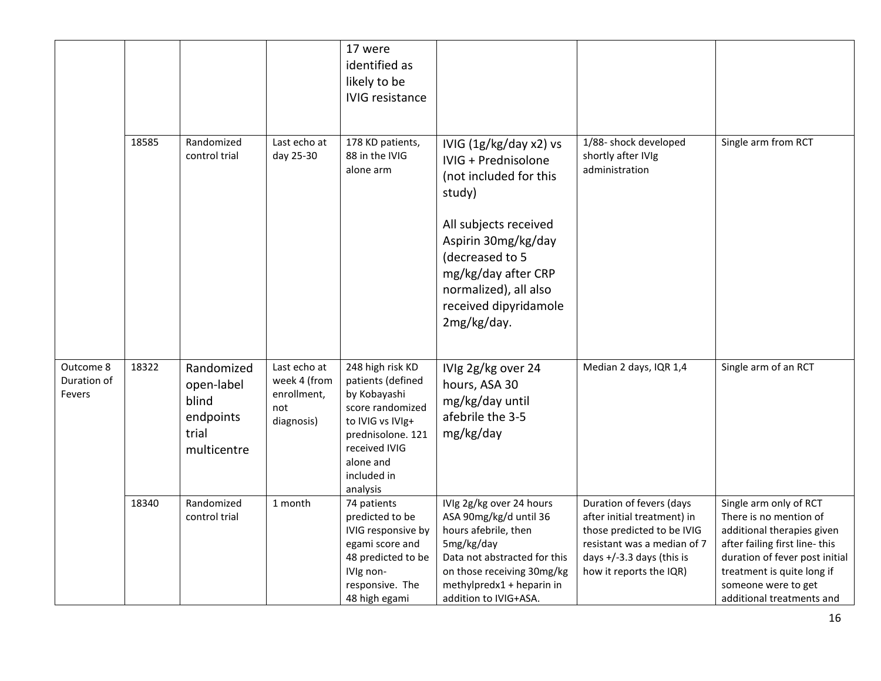|                                    |       |                                                                        |                                                                  | 17 were<br>identified as<br>likely to be<br><b>IVIG</b> resistance                                                                                                          |                                                                                                                                                                                                                                              |                                                                                                                                                                                |                                                                                                                                                                                                                                     |
|------------------------------------|-------|------------------------------------------------------------------------|------------------------------------------------------------------|-----------------------------------------------------------------------------------------------------------------------------------------------------------------------------|----------------------------------------------------------------------------------------------------------------------------------------------------------------------------------------------------------------------------------------------|--------------------------------------------------------------------------------------------------------------------------------------------------------------------------------|-------------------------------------------------------------------------------------------------------------------------------------------------------------------------------------------------------------------------------------|
|                                    | 18585 | Randomized<br>control trial                                            | Last echo at<br>day 25-30                                        | 178 KD patients,<br>88 in the IVIG<br>alone arm                                                                                                                             | IVIG (1g/kg/day x2) vs<br>IVIG + Prednisolone<br>(not included for this<br>study)<br>All subjects received<br>Aspirin 30mg/kg/day<br>(decreased to 5<br>mg/kg/day after CRP<br>normalized), all also<br>received dipyridamole<br>2mg/kg/day. | 1/88- shock developed<br>shortly after IVIg<br>administration                                                                                                                  | Single arm from RCT                                                                                                                                                                                                                 |
| Outcome 8<br>Duration of<br>Fevers | 18322 | Randomized<br>open-label<br>blind<br>endpoints<br>trial<br>multicentre | Last echo at<br>week 4 (from<br>enrollment,<br>not<br>diagnosis) | 248 high risk KD<br>patients (defined<br>by Kobayashi<br>score randomized<br>to IVIG vs IVIg+<br>prednisolone. 121<br>received IVIG<br>alone and<br>included in<br>analysis | IVIg 2g/kg over 24<br>hours, ASA 30<br>mg/kg/day until<br>afebrile the 3-5<br>mg/kg/day                                                                                                                                                      | Median 2 days, IQR 1,4                                                                                                                                                         | Single arm of an RCT                                                                                                                                                                                                                |
|                                    | 18340 | Randomized<br>control trial                                            | 1 month                                                          | 74 patients<br>predicted to be<br>IVIG responsive by<br>egami score and<br>48 predicted to be<br>IVIg non-<br>responsive. The<br>48 high egami                              | IVIg 2g/kg over 24 hours<br>ASA 90mg/kg/d until 36<br>hours afebrile, then<br>5mg/kg/day<br>Data not abstracted for this<br>on those receiving 30mg/kg<br>methylpredx1 + heparin in<br>addition to IVIG+ASA.                                 | Duration of fevers (days<br>after initial treatment) in<br>those predicted to be IVIG<br>resistant was a median of 7<br>days $+/-3.3$ days (this is<br>how it reports the IQR) | Single arm only of RCT<br>There is no mention of<br>additional therapies given<br>after failing first line-this<br>duration of fever post initial<br>treatment is quite long if<br>someone were to get<br>additional treatments and |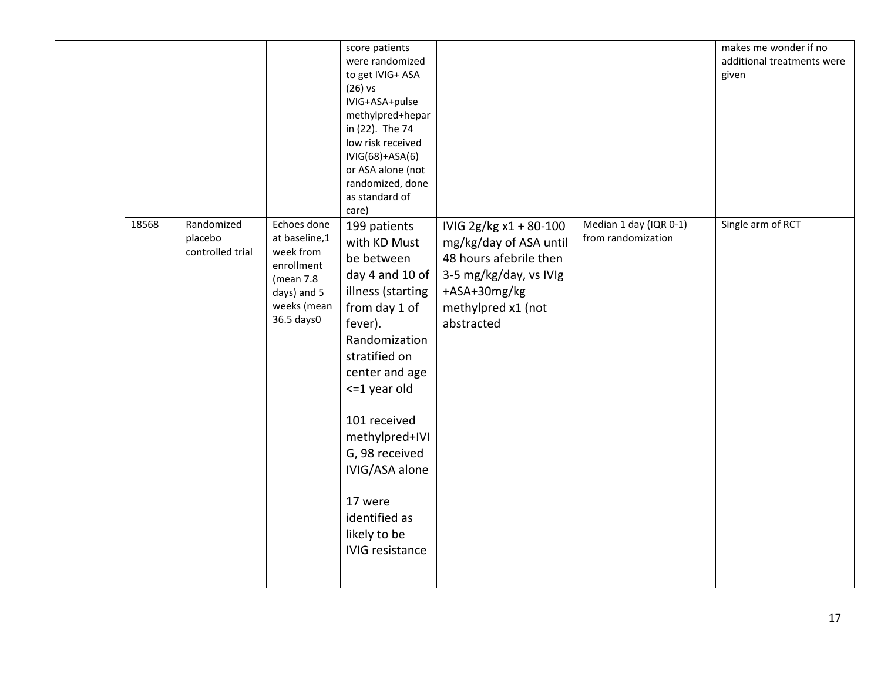|       |                                           |                                                                                                                    | score patients<br>were randomized<br>to get IVIG+ ASA<br>$(26)$ vs<br>IVIG+ASA+pulse<br>methylpred+hepar<br>in (22). The 74<br>low risk received<br>IVIG(68)+ASA(6)<br>or ASA alone (not<br>randomized, done<br>as standard of<br>care)                                                                                         |                                                                                                                                                          |                                              | makes me wonder if no<br>additional treatments were<br>given |
|-------|-------------------------------------------|--------------------------------------------------------------------------------------------------------------------|---------------------------------------------------------------------------------------------------------------------------------------------------------------------------------------------------------------------------------------------------------------------------------------------------------------------------------|----------------------------------------------------------------------------------------------------------------------------------------------------------|----------------------------------------------|--------------------------------------------------------------|
| 18568 | Randomized<br>placebo<br>controlled trial | Echoes done<br>at baseline,1<br>week from<br>enrollment<br>(mean $7.8$<br>days) and 5<br>weeks (mean<br>36.5 days0 | 199 patients<br>with KD Must<br>be between<br>day 4 and 10 of<br>illness (starting<br>from day 1 of<br>fever).<br>Randomization<br>stratified on<br>center and age<br><= 1 year old<br>101 received<br>methylpred+IVI<br>G, 98 received<br>IVIG/ASA alone<br>17 were<br>identified as<br>likely to be<br><b>IVIG</b> resistance | IVIG 2g/kg x1 + 80-100<br>mg/kg/day of ASA until<br>48 hours afebrile then<br>3-5 mg/kg/day, vs IVIg<br>+ASA+30mg/kg<br>methylpred x1 (not<br>abstracted | Median 1 day (IQR 0-1)<br>from randomization | Single arm of RCT                                            |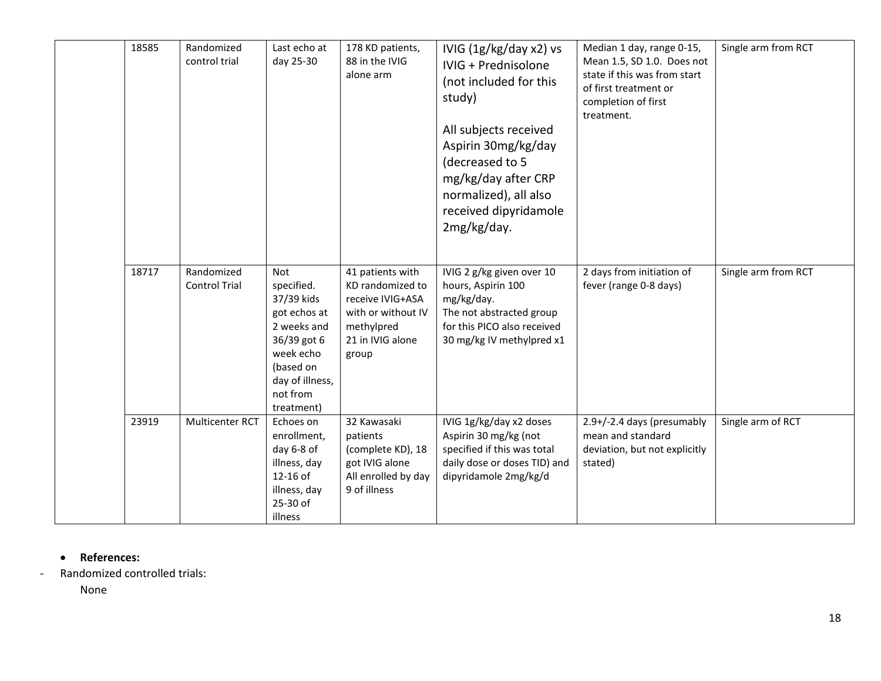| 18585 | Randomized<br>control trial        | Last echo at<br>day 25-30                                                                                                                                   | 178 KD patients,<br>88 in the IVIG<br>alone arm                                                                           | IVIG (1g/kg/day x2) vs<br>IVIG + Prednisolone<br>(not included for this<br>study)<br>All subjects received<br>Aspirin 30mg/kg/day<br>(decreased to 5<br>mg/kg/day after CRP<br>normalized), all also<br>received dipyridamole<br>2mg/kg/day. | Median 1 day, range 0-15,<br>Mean 1.5, SD 1.0. Does not<br>state if this was from start<br>of first treatment or<br>completion of first<br>treatment. | Single arm from RCT |
|-------|------------------------------------|-------------------------------------------------------------------------------------------------------------------------------------------------------------|---------------------------------------------------------------------------------------------------------------------------|----------------------------------------------------------------------------------------------------------------------------------------------------------------------------------------------------------------------------------------------|-------------------------------------------------------------------------------------------------------------------------------------------------------|---------------------|
| 18717 | Randomized<br><b>Control Trial</b> | <b>Not</b><br>specified.<br>37/39 kids<br>got echos at<br>2 weeks and<br>36/39 got 6<br>week echo<br>(based on<br>day of illness,<br>not from<br>treatment) | 41 patients with<br>KD randomized to<br>receive IVIG+ASA<br>with or without IV<br>methylpred<br>21 in IVIG alone<br>group | IVIG 2 g/kg given over 10<br>hours, Aspirin 100<br>mg/kg/day.<br>The not abstracted group<br>for this PICO also received<br>30 mg/kg IV methylpred x1                                                                                        | 2 days from initiation of<br>fever (range 0-8 days)                                                                                                   | Single arm from RCT |
| 23919 | <b>Multicenter RCT</b>             | Echoes on<br>enrollment,<br>day 6-8 of<br>illness, day<br>12-16 of<br>illness, day<br>25-30 of<br>illness                                                   | 32 Kawasaki<br>patients<br>(complete KD), 18<br>got IVIG alone<br>All enrolled by day<br>9 of illness                     | IVIG 1g/kg/day x2 doses<br>Aspirin 30 mg/kg (not<br>specified if this was total<br>daily dose or doses TID) and<br>dipyridamole 2mg/kg/d                                                                                                     | 2.9+/-2.4 days (presumably<br>mean and standard<br>deviation, but not explicitly<br>stated)                                                           | Single arm of RCT   |

### • **References:**

- Randomized controlled trials:

None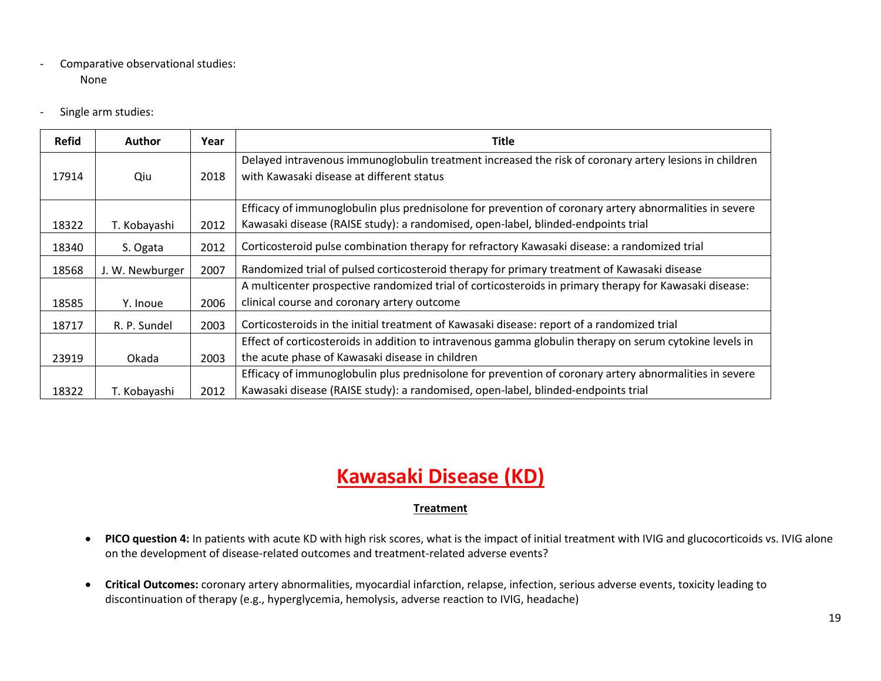### - Comparative observational studies: None

- Single arm studies:

| <b>Refid</b> | Author          | Year | <b>Title</b>                                                                                            |
|--------------|-----------------|------|---------------------------------------------------------------------------------------------------------|
|              |                 |      | Delayed intravenous immunoglobulin treatment increased the risk of coronary artery lesions in children  |
| 17914        | Qiu             | 2018 | with Kawasaki disease at different status                                                               |
|              |                 |      |                                                                                                         |
|              |                 |      | Efficacy of immunoglobulin plus prednisolone for prevention of coronary artery abnormalities in severe  |
| 18322        | T. Kobayashi    | 2012 | Kawasaki disease (RAISE study): a randomised, open-label, blinded-endpoints trial                       |
| 18340        | S. Ogata        | 2012 | Corticosteroid pulse combination therapy for refractory Kawasaki disease: a randomized trial            |
| 18568        | J. W. Newburger | 2007 | Randomized trial of pulsed corticosteroid therapy for primary treatment of Kawasaki disease             |
|              |                 |      | A multicenter prospective randomized trial of corticosteroids in primary therapy for Kawasaki disease:  |
| 18585        | Y. Inoue        | 2006 | clinical course and coronary artery outcome                                                             |
| 18717        | R. P. Sundel    | 2003 | Corticosteroids in the initial treatment of Kawasaki disease: report of a randomized trial              |
|              |                 |      | Effect of corticosteroids in addition to intravenous gamma globulin therapy on serum cytokine levels in |
| 23919        | Okada           | 2003 | the acute phase of Kawasaki disease in children                                                         |
|              |                 |      | Efficacy of immunoglobulin plus prednisolone for prevention of coronary artery abnormalities in severe  |
| 18322        | T. Kobayashi    | 2012 | Kawasaki disease (RAISE study): a randomised, open-label, blinded-endpoints trial                       |

## **Kawasaki Disease (KD)**

### **Treatment**

- **PICO question 4:** In patients with acute KD with high risk scores, what is the impact of initial treatment with IVIG and glucocorticoids vs. IVIG alone on the development of disease-related outcomes and treatment-related adverse events?
- **Critical Outcomes:** coronary artery abnormalities, myocardial infarction, relapse, infection, serious adverse events, toxicity leading to discontinuation of therapy (e.g., hyperglycemia, hemolysis, adverse reaction to IVIG, headache)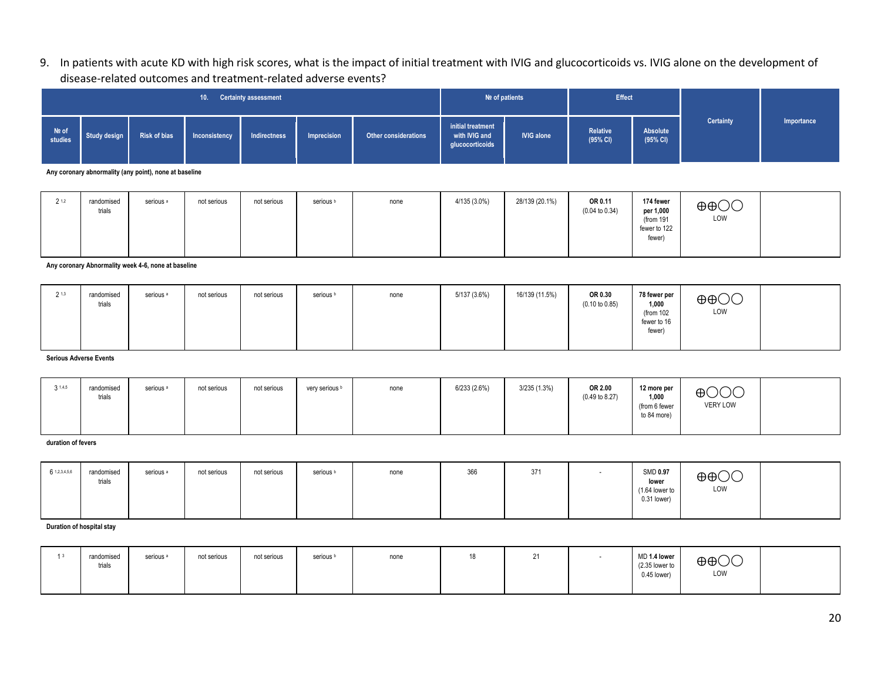### 9. In patients with acute KD with high risk scores, what is the impact of initial treatment with IVIG and glucocorticoids vs. IVIG alone on the development of disease-related outcomes and treatment-related adverse events?

| <b>Certainty assessment</b><br>10. |                   |                     |               |              |             |                             | Nº of patients                                        |                   | <b>Effect</b>        |                      |           |            |
|------------------------------------|-------------------|---------------------|---------------|--------------|-------------|-----------------------------|-------------------------------------------------------|-------------------|----------------------|----------------------|-----------|------------|
|                                    | Note Study design | <b>Risk of bias</b> | Inconsistency | Indirectness | Imprecision | <b>Other considerations</b> | initial treatment<br>with IVIG and<br>glucocorticoids | <b>IVIG alone</b> | Relative<br>(95% CI) | Absolute<br>(95% CI) | Certainty | Importance |

**Any coronary abnormality (any point), none at baseline**

| 21.2 | randomised<br>trials | serious <sup>®</sup> | not serious | not serious | serious <sup>b</sup> | none | 4/135 (3.0%) | 28/139 (20.1%) | OR 0.11<br>$(0.04 \text{ to } 0.34)$ | 174 fewer<br>per 1,000<br>(from 191<br>fewer to 122<br>fewer) | $\oplus$ $\oplus$<br>LOW |  |
|------|----------------------|----------------------|-------------|-------------|----------------------|------|--------------|----------------|--------------------------------------|---------------------------------------------------------------|--------------------------|--|
|      |                      |                      |             |             |                      |      |              |                |                                      |                                                               |                          |  |

**Any coronary Abnormality week 4-6, none at baseline**

| 21,3 | randomised<br>trials | serious <sup>a</sup> | not serious | not serious | serious <sup>b</sup> | none | 5/137 (3.6%) | 16/139 (11.5%) | OR 0.30<br>$(0.10 \text{ to } 0.85)$ | 78 fewer per<br>1,000<br>(from 102<br>fewer to 16<br>fewer) | $\oplus$ $\oplus$<br>LOW |  |
|------|----------------------|----------------------|-------------|-------------|----------------------|------|--------------|----------------|--------------------------------------|-------------------------------------------------------------|--------------------------|--|
|------|----------------------|----------------------|-------------|-------------|----------------------|------|--------------|----------------|--------------------------------------|-------------------------------------------------------------|--------------------------|--|

#### **Serious Adverse Events**

| <b>VERY LOW</b><br>(from 6 fewer<br>to 84 more) |
|-------------------------------------------------|
|-------------------------------------------------|

#### **duration of fevers**

#### **Duration of hospital stay**

| 13 | randomised<br>trials | serious <sup>a</sup> | not serious | not serious | serious <sup>b</sup> | none | 18 | $\mathbf{A}$<br>$\sim$ 1 | $\overline{\phantom{a}}$ | MD 1.4 lower<br>(2.35 lower to<br>$0.45$ lower) | $\oplus$ $\oplus$ $\odot$ $\oplus$<br>LOW |  |
|----|----------------------|----------------------|-------------|-------------|----------------------|------|----|--------------------------|--------------------------|-------------------------------------------------|-------------------------------------------|--|
|    |                      |                      |             |             |                      |      |    |                          |                          |                                                 |                                           |  |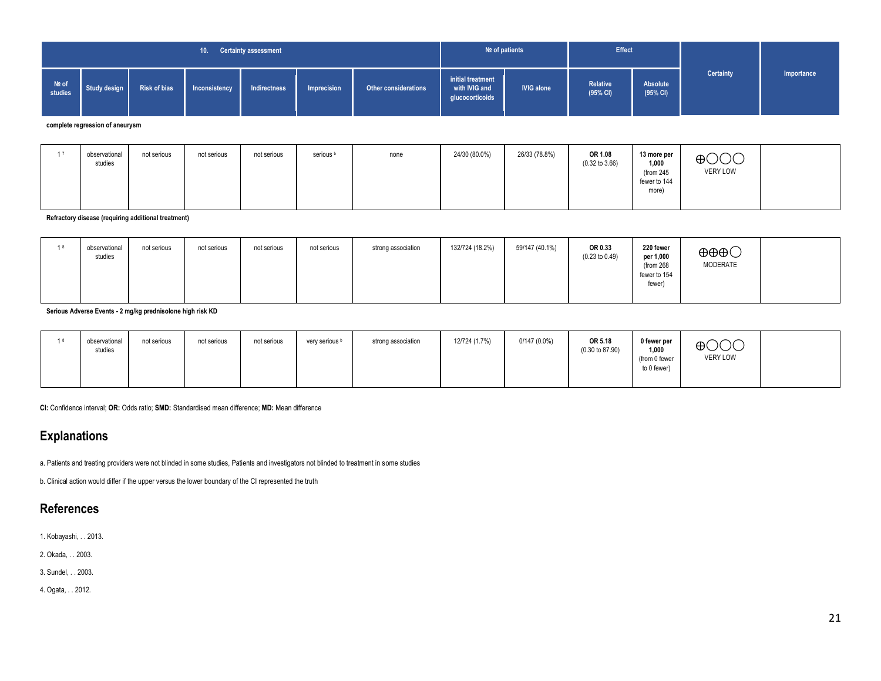|  |                                                                     | 10.           | <b>Certainty assessment</b> |             |                             | Nº of patients                                        |                   | <b>Effect</b>        |                      |           |            |
|--|---------------------------------------------------------------------|---------------|-----------------------------|-------------|-----------------------------|-------------------------------------------------------|-------------------|----------------------|----------------------|-----------|------------|
|  | Note Study design Risk of bias<br>studies Study design Risk of bias | Inconsistency | <b>Indirectness</b>         | Imprecision | <b>Other considerations</b> | initial treatment<br>with IVIG and<br>glucocorticoids | <b>IVIG alone</b> | Relative<br>(95% CI) | Absolute<br>(95% CI) | Certainty | Importance |

**complete regression of aneurysm**

|  | observational<br>studies | not serious | not serious | not serious | serious <sup>b</sup> | none | 24/30 (80.0%) | 26/33 (78.8%) | OR 1.08<br>$(0.32 \text{ to } 3.66)$ | 13 more per<br>1,000<br>(from 245<br>fewer to 144<br>more) | $\bigoplus$ OOO<br><b>VERY LOW</b> |  |
|--|--------------------------|-------------|-------------|-------------|----------------------|------|---------------|---------------|--------------------------------------|------------------------------------------------------------|------------------------------------|--|
|--|--------------------------|-------------|-------------|-------------|----------------------|------|---------------|---------------|--------------------------------------|------------------------------------------------------------|------------------------------------|--|

**Refractory disease (requiring additional treatment)**

| observational<br>studies<br>. | not serious | not serious | not serious | not serious | strong association | 132/724 (18.2%) | 59/147 (40.1%) | OR 0.33<br>$(0.23 \text{ to } 0.49)$ | 220 fewer<br>per 1,000<br>(from 268)<br>fewer to 154<br>fewer) | ⊕⊕⊕∁<br>MODERATE |  |
|-------------------------------|-------------|-------------|-------------|-------------|--------------------|-----------------|----------------|--------------------------------------|----------------------------------------------------------------|------------------|--|
|                               |             |             |             |             |                    |                 |                |                                      |                                                                |                  |  |

**Serious Adverse Events - 2 mg/kg prednisolone high risk KD**

| observational<br>studies | not serious | not serious | not serious | very serious b | strong association | 12/724 (1.7%) | $0/147(0.0\%)$ | OR 5.18<br>(0.30 to 87.90) | 0 fewer per<br>1,000<br>(from 0 fewer<br>to 0 fewer) | $\bigoplus$ OOC<br><b>VERY LOW</b> |  |
|--------------------------|-------------|-------------|-------------|----------------|--------------------|---------------|----------------|----------------------------|------------------------------------------------------|------------------------------------|--|
|                          |             |             |             |                |                    |               |                |                            |                                                      |                                    |  |

**CI:** Confidence interval; **OR:** Odds ratio; **SMD:** Standardised mean difference; **MD:** Mean difference

### **Explanations**

a. Patients and treating providers were not blinded in some studies, Patients and investigators not blinded to treatment in some studies

b. Clinical action would differ if the upper versus the lower boundary of the CI represented the truth

### **References**

1. Kobayashi, . . 2013.

2. Okada, . . 2003.

3. Sundel, . . 2003.

4. Ogata, . . 2012.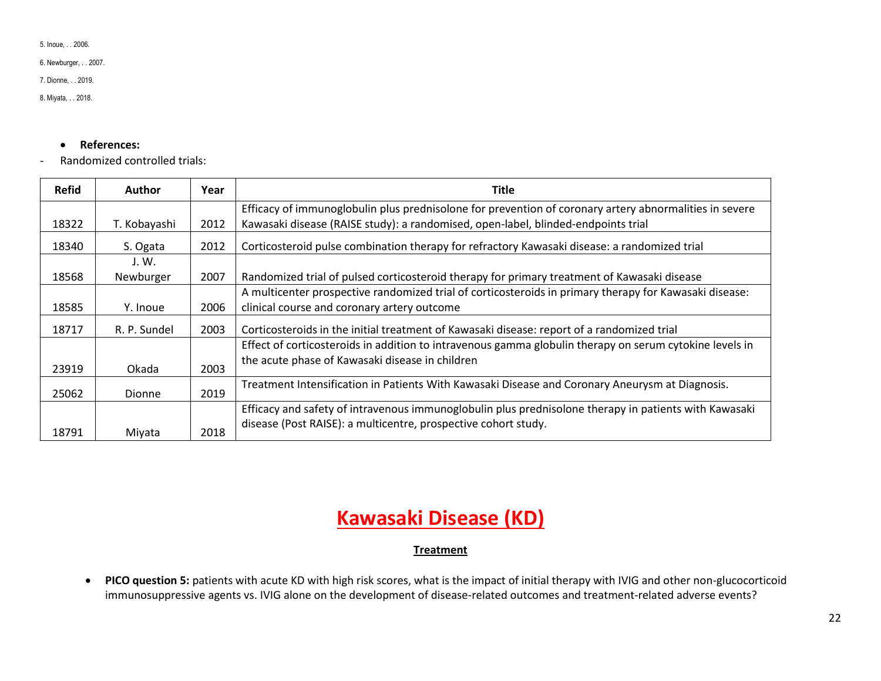5. Inoue, . . 2006.

6. Newburger, . . 2007.

7. Dionne, . . 2019.

8. Miyata, . . 2018.

### • **References:**

- Randomized controlled trials:

| <b>Refid</b> | Author        | Year | Title                                                                                                   |
|--------------|---------------|------|---------------------------------------------------------------------------------------------------------|
|              |               |      | Efficacy of immunoglobulin plus prednisolone for prevention of coronary artery abnormalities in severe  |
| 18322        | T. Kobayashi  | 2012 | Kawasaki disease (RAISE study): a randomised, open-label, blinded-endpoints trial                       |
| 18340        | S. Ogata      | 2012 | Corticosteroid pulse combination therapy for refractory Kawasaki disease: a randomized trial            |
|              | J. W.         |      |                                                                                                         |
| 18568        | Newburger     | 2007 | Randomized trial of pulsed corticosteroid therapy for primary treatment of Kawasaki disease             |
|              |               |      | A multicenter prospective randomized trial of corticosteroids in primary therapy for Kawasaki disease:  |
| 18585        | Y. Inoue      | 2006 | clinical course and coronary artery outcome                                                             |
| 18717        | R. P. Sundel  | 2003 | Corticosteroids in the initial treatment of Kawasaki disease: report of a randomized trial              |
|              |               |      | Effect of corticosteroids in addition to intravenous gamma globulin therapy on serum cytokine levels in |
| 23919        | Okada         | 2003 | the acute phase of Kawasaki disease in children                                                         |
| 25062        | <b>Dionne</b> | 2019 | Treatment Intensification in Patients With Kawasaki Disease and Coronary Aneurysm at Diagnosis.         |
|              |               |      | Efficacy and safety of intravenous immunoglobulin plus prednisolone therapy in patients with Kawasaki   |
| 18791        | Miyata        | 2018 | disease (Post RAISE): a multicentre, prospective cohort study.                                          |

## **Kawasaki Disease (KD)**

### **Treatment**

• **PICO question 5:** patients with acute KD with high risk scores, what is the impact of initial therapy with IVIG and other non-glucocorticoid immunosuppressive agents vs. IVIG alone on the development of disease-related outcomes and treatment-related adverse events?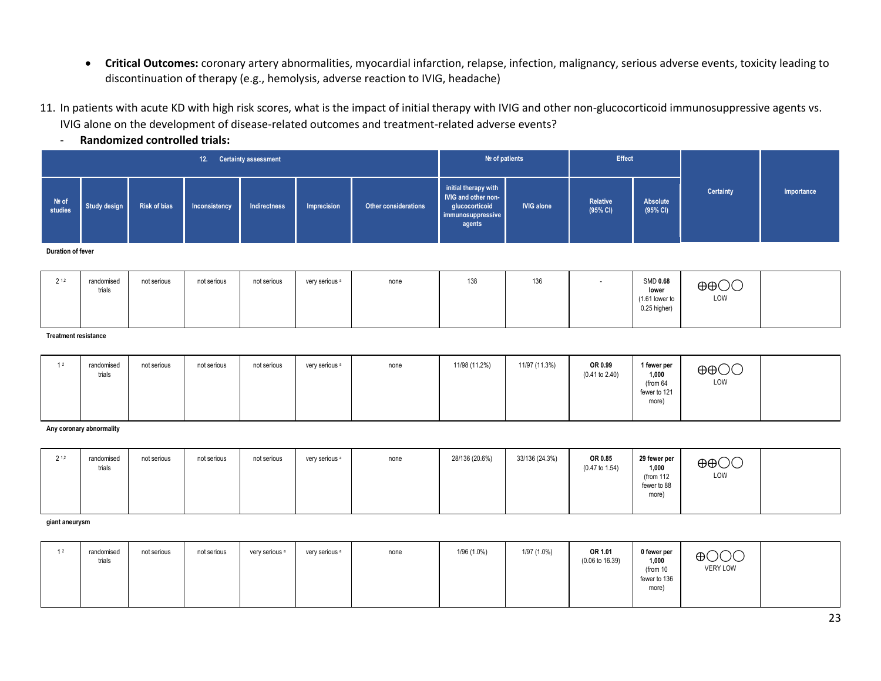- **Critical Outcomes:** coronary artery abnormalities, myocardial infarction, relapse, infection, malignancy, serious adverse events, toxicity leading to discontinuation of therapy (e.g., hemolysis, adverse reaction to IVIG, headache)
- 11. In patients with acute KD with high risk scores, what is the impact of initial therapy with IVIG and other non-glucocorticoid immunosuppressive agents vs. IVIG alone on the development of disease-related outcomes and treatment-related adverse events?
	- **Randomized controlled trials:**

|                    |              |                     | 12.           | <b>Certainty assessment</b> |             |                             | $N2$ of patients                                                                             |                   | <b>Effect</b>        |                      |                  |            |
|--------------------|--------------|---------------------|---------------|-----------------------------|-------------|-----------------------------|----------------------------------------------------------------------------------------------|-------------------|----------------------|----------------------|------------------|------------|
| $N2$ of<br>studies | Study design | <b>Risk of bias</b> | Inconsistency | Indirectness                | Imprecision | <b>Other considerations</b> | initial therapy with<br>IVIG and other non-<br>glucocorticoid<br>immunosuppressive<br>agents | <b>IVIG alone</b> | Relative<br>(95% CI) | Absolute<br>(95% CI) | <b>Certainty</b> | Importance |

**Duration of fever**

| 21,2 | randomised<br>trials | not serious | not serious | not serious | very serious <sup>a</sup> | none | 138 | 136 | <b>SMD 0.68</b><br>lower<br>(1.61 lower to<br>0.25 higher) | $\oplus$ $\oplus$<br>LOW |  |
|------|----------------------|-------------|-------------|-------------|---------------------------|------|-----|-----|------------------------------------------------------------|--------------------------|--|
|      |                      |             |             |             |                           |      |     |     |                                                            |                          |  |

**Treatment resistance**

| 12 | randomised<br>trials | not serious | not serious | not serious | very serious a | none | 11/98 (11.2%) | 11/97 (11.3%) | OR 0.99<br>(0.41 to 2.40) | 1 fewer per<br>1,000<br>(from 64<br>fewer to 121<br>more) | $\oplus$ $\oplus$<br>LOW |  |
|----|----------------------|-------------|-------------|-------------|----------------|------|---------------|---------------|---------------------------|-----------------------------------------------------------|--------------------------|--|
|    |                      |             |             |             |                |      |               |               |                           |                                                           |                          |  |

**Any coronary abnormality**

| 21.2 | randomised<br>trials | not serious | not serious | not serious | very serious a | none | 28/136 (20.6%) | 33/136 (24.3%) | OR 0.85<br>$(0.47 \text{ to } 1.54)$ | 29 fewer per<br>1,000<br>(from 112<br>fewer to 88<br>more) | $\oplus$ $\oplus$<br>LOW |  |
|------|----------------------|-------------|-------------|-------------|----------------|------|----------------|----------------|--------------------------------------|------------------------------------------------------------|--------------------------|--|
|------|----------------------|-------------|-------------|-------------|----------------|------|----------------|----------------|--------------------------------------|------------------------------------------------------------|--------------------------|--|

**giant aneurysm**

| 12 | randomised<br>trials | not serious | not serious | very serious a | very serious a | none | 1/96 (1.0%) | 1/97 (1.0%) | OR 1.01<br>$(0.06 \text{ to } 16.39)$ | 0 fewer per<br>1,000<br>(from 10<br>fewer to 136<br>more) | $\bigoplus$ OOO<br><b>VERY LOW</b> |  |
|----|----------------------|-------------|-------------|----------------|----------------|------|-------------|-------------|---------------------------------------|-----------------------------------------------------------|------------------------------------|--|
|    |                      |             |             |                |                |      |             |             |                                       |                                                           |                                    |  |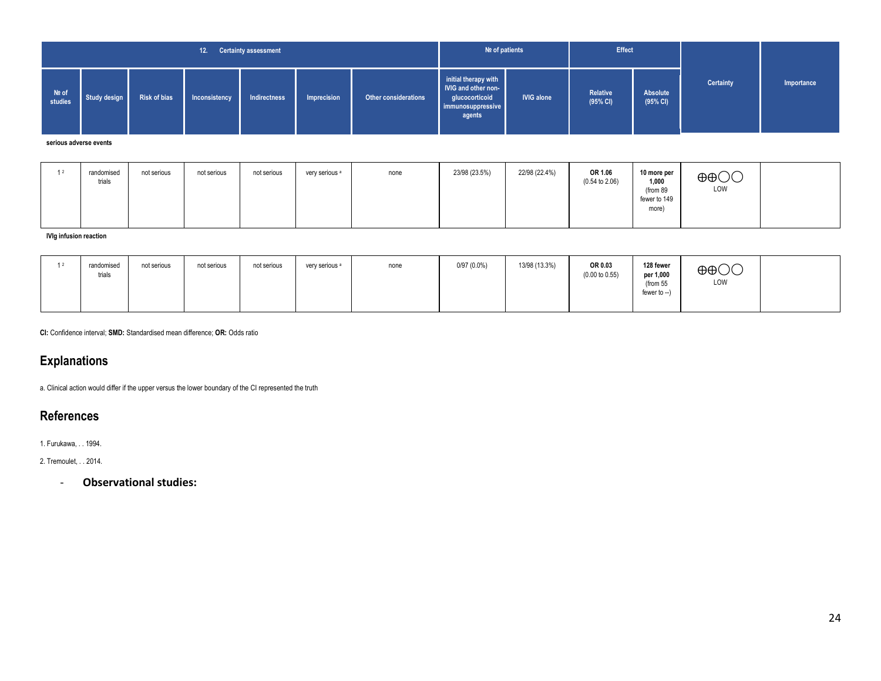|                  |              |                     | 12.           | <b>Certainty assessment</b> |             |                             | Nº of patients                                                                               |                   | <b>Effect</b>        |                      |                  |            |
|------------------|--------------|---------------------|---------------|-----------------------------|-------------|-----------------------------|----------------------------------------------------------------------------------------------|-------------------|----------------------|----------------------|------------------|------------|
| Nº of<br>studies | Study design | <b>Risk of bias</b> | Inconsistency | Indirectness                | Imprecision | <b>Other considerations</b> | initial therapy with<br>IVIG and other non-<br>glucocorticoid<br>immunosuppressive<br>agents | <b>IVIG alone</b> | Relative<br>(95% CI) | Absolute<br>(95% CI) | <b>Certainty</b> | Importance |

**serious adverse events**

| $\frac{2}{2}$ | randomised<br>trials | not serious | not serious | not serious | very serious a | none | 23/98 (23.5%) | 22/98 (22.4%) | OR 1.06<br>$(0.54 \text{ to } 2.06)$ | 10 more per<br>1,000<br>(from 89<br>fewer to 149<br>more) | $\oplus$ $\oplus$<br>LOW |  |
|---------------|----------------------|-------------|-------------|-------------|----------------|------|---------------|---------------|--------------------------------------|-----------------------------------------------------------|--------------------------|--|
|---------------|----------------------|-------------|-------------|-------------|----------------|------|---------------|---------------|--------------------------------------|-----------------------------------------------------------|--------------------------|--|

#### **IVIg infusion reaction**

**CI:** Confidence interval; **SMD:** Standardised mean difference; **OR:** Odds ratio

## **Explanations**

a. Clinical action would differ if the upper versus the lower boundary of the CI represented the truth

## **References**

1. Furukawa, . . 1994.

2. Tremoulet, . . 2014.

- **Observational studies:**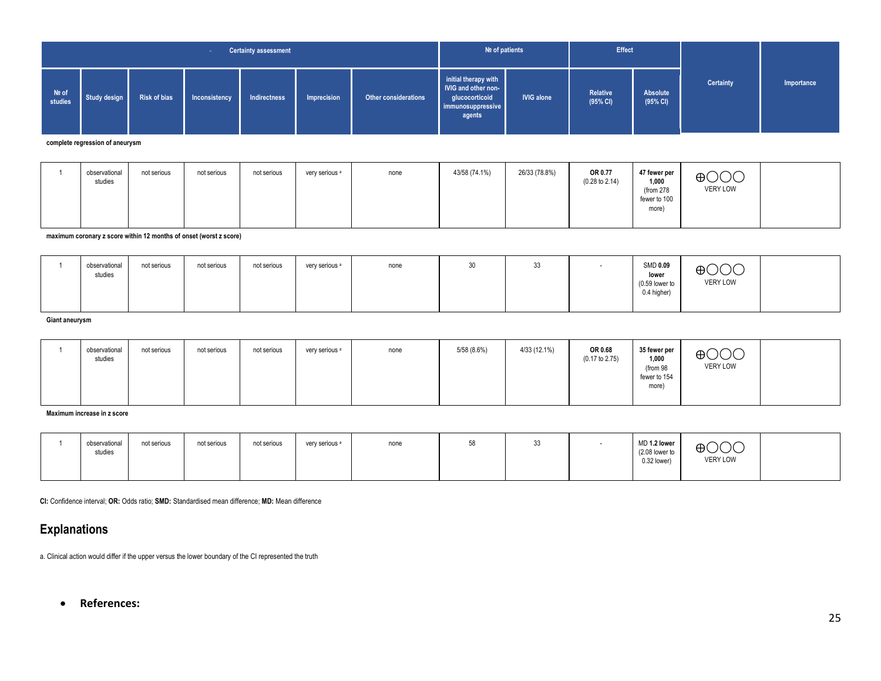|                    |              |                     |               | <b>Certainty assessment</b> |             |                      | Nº of patients                                                                               |                   | <b>Effect</b>        |                      |                  |            |
|--------------------|--------------|---------------------|---------------|-----------------------------|-------------|----------------------|----------------------------------------------------------------------------------------------|-------------------|----------------------|----------------------|------------------|------------|
| $N2$ of<br>studies | Study design | <b>Risk of bias</b> | Inconsistency | Indirectness                | Imprecision | Other considerations | initial therapy with<br>IVIG and other non-<br>glucocorticoid<br>immunosuppressive<br>agents | <b>IVIG alone</b> | Relative<br>(95% CI) | Absolute<br>(95% CI) | <b>Certainty</b> | Importance |

**complete regression of aneurysm**

| observational<br>studies | not serious | not serious | not serious | very serious <sup>a</sup> | none | 43/58 (74.1%) | 26/33 (78.8%) | OR 0.77<br>$(0.28 \text{ to } 2.14)$ | 47 fewer per<br>1,000<br>(from 278<br>fewer to 100<br>more) | $\bigoplus$ $\bigodot$ $\bigodot$<br>VERY LOW |  |
|--------------------------|-------------|-------------|-------------|---------------------------|------|---------------|---------------|--------------------------------------|-------------------------------------------------------------|-----------------------------------------------|--|
|                          |             |             |             |                           |      |               |               |                                      |                                                             |                                               |  |

**maximum coronary z score within 12 months of onset (worst z score)**

| observational<br>studies | not serious | not serious | not serious | very serious <sup>a</sup> | none | 30 | 33 | <b>SMD 0.09</b><br>lower<br>(0.59 lower to<br>0.4 higher) | $\bigoplus$ OOC<br><b>VERY LOW</b> |  |
|--------------------------|-------------|-------------|-------------|---------------------------|------|----|----|-----------------------------------------------------------|------------------------------------|--|
|                          |             |             |             |                           |      |    |    |                                                           |                                    |  |

#### **Giant aneurysm**

|  | observational<br>studies | not serious | not serious | not serious | very serious <sup>a</sup> | none | 5/58 (8.6%) | 4/33 (12.1%) | OR 0.68<br>$(0.17 \text{ to } 2.75)$ | 35 fewer per<br>1,000<br>(from 98<br>fewer to 154<br>more) | $\cap$<br>$\oplus$ OOC<br>VERY LOW |  |
|--|--------------------------|-------------|-------------|-------------|---------------------------|------|-------------|--------------|--------------------------------------|------------------------------------------------------------|------------------------------------|--|
|--|--------------------------|-------------|-------------|-------------|---------------------------|------|-------------|--------------|--------------------------------------|------------------------------------------------------------|------------------------------------|--|

#### **Maximum increase in z score**

|  | observational<br>studies | not serious | not serious | not serious | very serious a | none | 58 | $\sim$<br>აა |  | MD 1.2 lower<br>(2.08 lower to<br>0.32 lower) | $\bigoplus$ OOC<br>VERY LOW |  |
|--|--------------------------|-------------|-------------|-------------|----------------|------|----|--------------|--|-----------------------------------------------|-----------------------------|--|
|--|--------------------------|-------------|-------------|-------------|----------------|------|----|--------------|--|-----------------------------------------------|-----------------------------|--|

**CI:** Confidence interval; **OR:** Odds ratio; **SMD:** Standardised mean difference; **MD:** Mean difference

## **Explanations**

a. Clinical action would differ if the upper versus the lower boundary of the CI represented the truth

• **References:**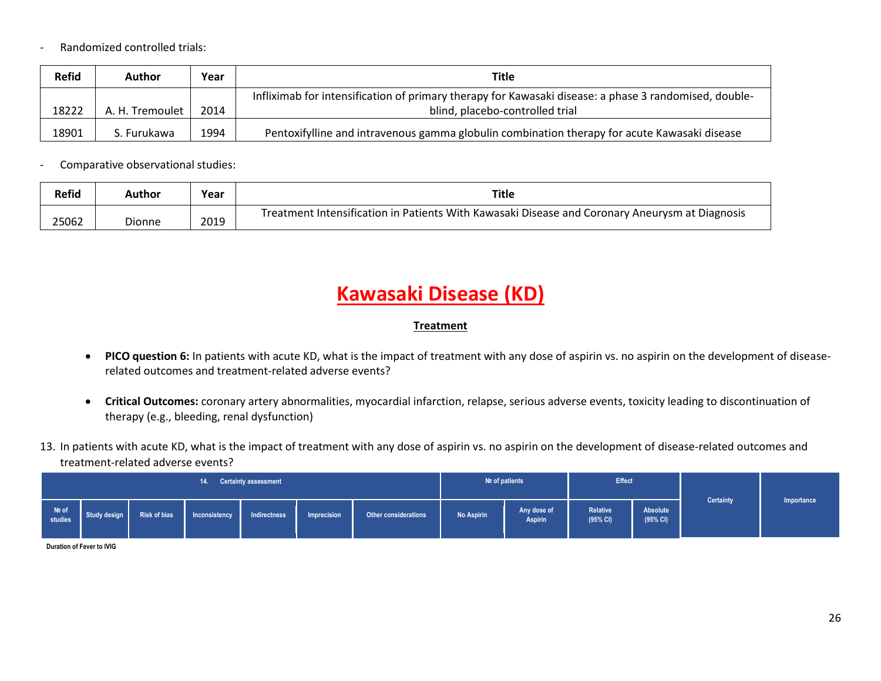- Randomized controlled trials:

| <b>Refid</b> | Author          | Year | Title                                                                                                 |
|--------------|-----------------|------|-------------------------------------------------------------------------------------------------------|
|              |                 |      | Infliximab for intensification of primary therapy for Kawasaki disease: a phase 3 randomised, double- |
| 18222        | A. H. Tremoulet | 2014 | blind, placebo-controlled trial                                                                       |
| 18901        | S. Furukawa     | 1994 | Pentoxifylline and intravenous gamma globulin combination therapy for acute Kawasaki disease          |

- Comparative observational studies:

| <b>Refid</b> | Author | Year | <b>Title</b>                                                                                   |
|--------------|--------|------|------------------------------------------------------------------------------------------------|
| 25062        | Dionne | 2019 | Treatment Intensification in Patients With Kawasaki Disease and Coronary Aneurysm at Diagnosis |

# **Kawasaki Disease (KD)**

#### **Treatment**

- **PICO question 6:** In patients with acute KD, what is the impact of treatment with any dose of aspirin vs. no aspirin on the development of diseaserelated outcomes and treatment-related adverse events?
- **Critical Outcomes:** coronary artery abnormalities, myocardial infarction, relapse, serious adverse events, toxicity leading to discontinuation of therapy (e.g., bleeding, renal dysfunction)
- 13. In patients with acute KD, what is the impact of treatment with any dose of aspirin vs. no aspirin on the development of disease-related outcomes and treatment-related adverse events?

|                    |                     | 14.           | <b>Certainty assessment</b> |             |                             |            | Nº of patients                | <b>Effect</b>               |                      |           |            |
|--------------------|---------------------|---------------|-----------------------------|-------------|-----------------------------|------------|-------------------------------|-----------------------------|----------------------|-----------|------------|
| Nº of Study design | <b>Risk of bias</b> | Inconsistency | Indirectness                | Imprecision | <b>Other considerations</b> | No Aspirin | Any dose of<br><b>Aspirin</b> | <b>Relative</b><br>(95% CI) | Absolute<br>(95% CI) | Certainty | Importance |

**Duration of Fever to IVIG**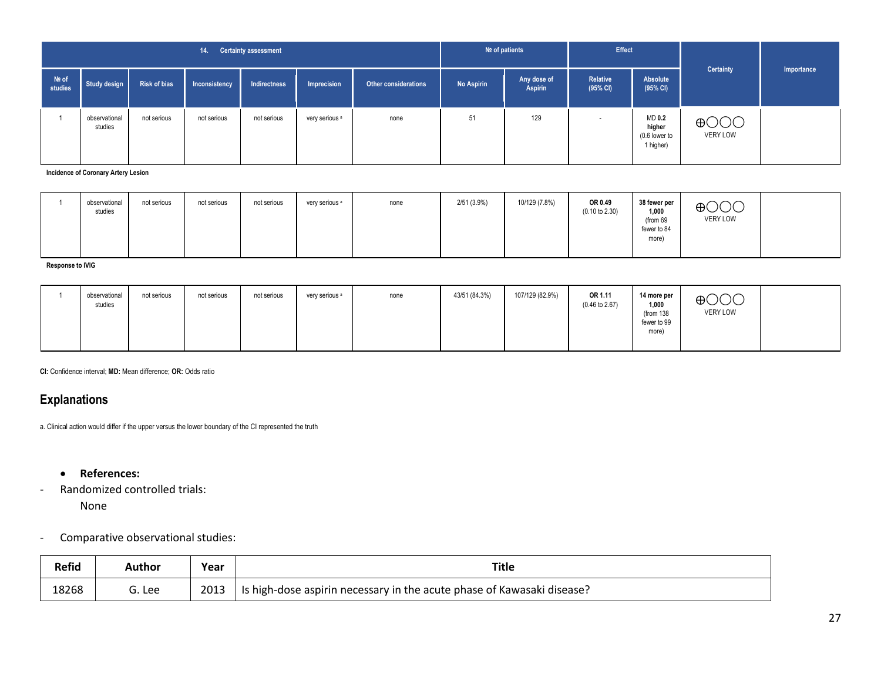|                    |                          |                     | 14.           | <b>Certainty assessment</b> |                           |                             |            | Nº of patients                | <b>Effect</b>            |                                                |                                    |            |
|--------------------|--------------------------|---------------------|---------------|-----------------------------|---------------------------|-----------------------------|------------|-------------------------------|--------------------------|------------------------------------------------|------------------------------------|------------|
| $Ne$ of<br>studies | Study design             | <b>Risk of bias</b> | Inconsistency | Indirectness                | Imprecision               | <b>Other considerations</b> | No Aspirin | Any dose of<br><b>Aspirin</b> | Relative<br>(95% CI)     | Absolute<br>(95% C)                            | <b>Certainty</b>                   | Importance |
|                    | observational<br>studies | not serious         | not serious   | not serious                 | very serious <sup>a</sup> | none                        | 51         | 129                           | $\overline{\phantom{a}}$ | MD 0.2<br>higher<br>(0.6 lower to<br>1 higher) | $\bigoplus$ OOO<br><b>VERY LOW</b> |            |

**Incidence of Coronary Artery Lesion**

|  | observational<br>studies | not serious | not serious | not serious | very serious <sup>a</sup> | none | 2/51 (3.9%) | 10/129 (7.8%) | OR 0.49<br>$(0.10 \text{ to } 2.30)$ | 38 fewer per<br>1,000<br>(from 69<br>fewer to 84<br>more) | $\bigoplus$ OOO<br><b>VERY LOW</b> |  |
|--|--------------------------|-------------|-------------|-------------|---------------------------|------|-------------|---------------|--------------------------------------|-----------------------------------------------------------|------------------------------------|--|
|--|--------------------------|-------------|-------------|-------------|---------------------------|------|-------------|---------------|--------------------------------------|-----------------------------------------------------------|------------------------------------|--|

**Response to IVIG**

|  | observational<br>studies | not serious | not serious | not serious | very serious a | none | 43/51 (84.3%) | 107/129 (82.9%) | OR 1.11<br>$(0.46 \text{ to } 2.67)$ | 14 more per<br>1,000<br>(from 138<br>fewer to 99<br>more) | $\bigoplus$ OOO<br><b>VERY LOW</b> |  |
|--|--------------------------|-------------|-------------|-------------|----------------|------|---------------|-----------------|--------------------------------------|-----------------------------------------------------------|------------------------------------|--|
|--|--------------------------|-------------|-------------|-------------|----------------|------|---------------|-----------------|--------------------------------------|-----------------------------------------------------------|------------------------------------|--|

**CI:** Confidence interval; **MD:** Mean difference; **OR:** Odds ratio

### **Explanations**

a. Clinical action would differ if the upper versus the lower boundary of the CI represented the truth

- **References:**
- Randomized controlled trials:

None

- Comparative observational studies:

| <b>Refid</b> | Author | Year | Title                                                                    |
|--------------|--------|------|--------------------------------------------------------------------------|
| 18268        | ش. Lee | 2013 | I Is high-dose aspirin necessary in the acute phase of Kawasaki disease? |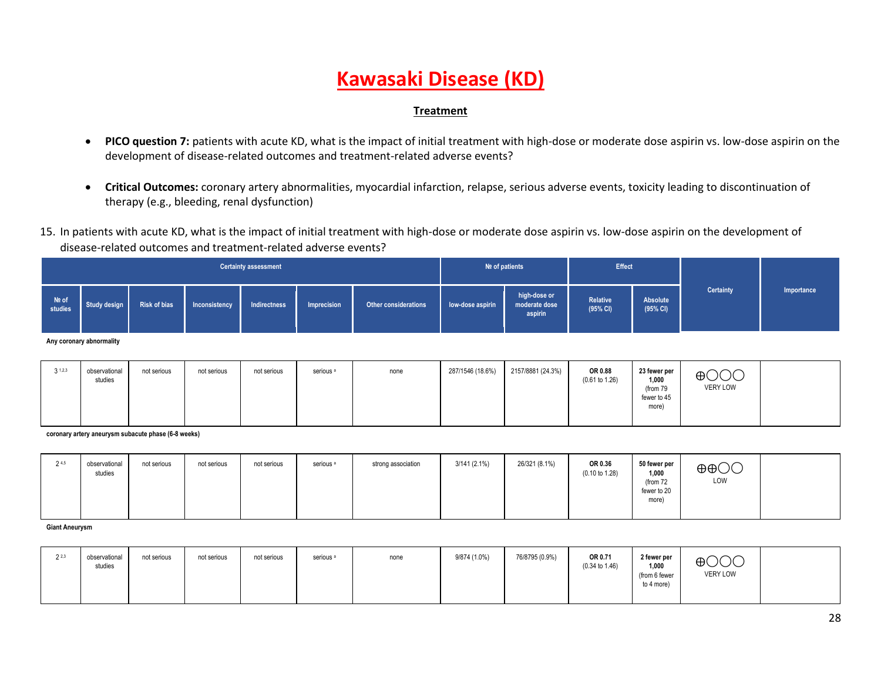#### **Treatment**

- **PICO question 7:** patients with acute KD, what is the impact of initial treatment with high-dose or moderate dose aspirin vs. low-dose aspirin on the development of disease-related outcomes and treatment-related adverse events?
- **Critical Outcomes:** coronary artery abnormalities, myocardial infarction, relapse, serious adverse events, toxicity leading to discontinuation of therapy (e.g., bleeding, renal dysfunction)
- 15. In patients with acute KD, what is the impact of initial treatment with high-dose or moderate dose aspirin vs. low-dose aspirin on the development of disease-related outcomes and treatment-related adverse events?

|                    |                     |               | <b>Certainty assessment</b> |             |                      |                  | Nº of patients                           | <b>Effect</b>        |                      |           |            |
|--------------------|---------------------|---------------|-----------------------------|-------------|----------------------|------------------|------------------------------------------|----------------------|----------------------|-----------|------------|
| Nº of Study design | <b>Risk of bias</b> | Inconsistency | Indirectness                | Imprecision | Other considerations | low-dose aspirin | high-dose or<br>moderate dose<br>aspirin | Relative<br>(95% CI) | Absolute<br>(95% CI) | Certainty | Importance |

**Any coronary abnormality**

| $3^{1,2,3}$ | observational<br>studies | not serious | not serious | not serious | serious <sup>a</sup> | none | 287/1546 (18.6%) | 2157/8881 (24.3%) | OR 0.88<br>$(0.61 \text{ to } 1.26)$ | 23 fewer per<br>1,000<br>(from 79<br>fewer to 45<br>more) | $\bigoplus$ OOO<br>VERY LOW |  |
|-------------|--------------------------|-------------|-------------|-------------|----------------------|------|------------------|-------------------|--------------------------------------|-----------------------------------------------------------|-----------------------------|--|
|-------------|--------------------------|-------------|-------------|-------------|----------------------|------|------------------|-------------------|--------------------------------------|-----------------------------------------------------------|-----------------------------|--|

**coronary artery aneurysm subacute phase (6-8 weeks)**

| 24,5 | observational<br>studies | not serious | not serious | not serious | serious <sup>a</sup> | strong association | $3/141(2.1\%)$ | 26/321 (8.1%) | OR 0.36<br>$(0.10 \text{ to } 1.28)$ | 50 fewer per<br>1,000<br>(from 72<br>fewer to 20<br>more) | $\oplus$ $\oplus$<br>LOW |  |
|------|--------------------------|-------------|-------------|-------------|----------------------|--------------------|----------------|---------------|--------------------------------------|-----------------------------------------------------------|--------------------------|--|
|------|--------------------------|-------------|-------------|-------------|----------------------|--------------------|----------------|---------------|--------------------------------------|-----------------------------------------------------------|--------------------------|--|

**Giant Aneurysm**

| 2.3 | observational<br>studies | not serious | not serious | not serious | serious <sup>a</sup><br>$\cdots$ | none | 9/874 (1.0%) | 76/8795 (0.9%) | OR 0.71<br>$(0.34 \text{ to } 1.46)$ | 2 fewer per<br>1,000<br>(from 6 fewer<br>to 4 more) | $\cap$ $\cap$<br>$\oplus$ OOC<br><b>VERY LOW</b> |  |
|-----|--------------------------|-------------|-------------|-------------|----------------------------------|------|--------------|----------------|--------------------------------------|-----------------------------------------------------|--------------------------------------------------|--|
|     |                          |             |             |             |                                  |      |              |                |                                      |                                                     |                                                  |  |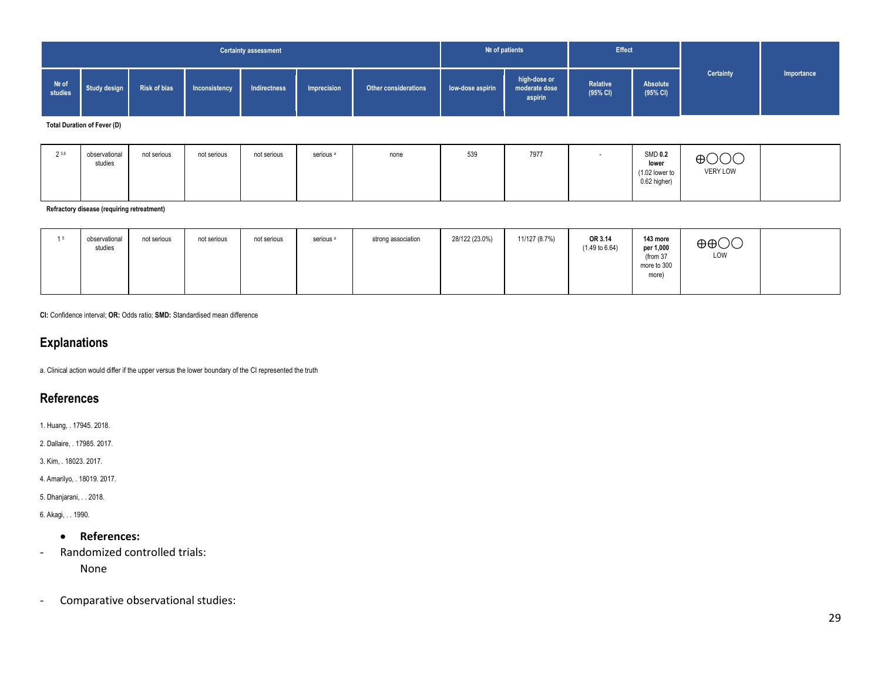|                    |              |              |               | <b>Certainty assessment</b> |             |                             |                  | Nº of patients                           | <b>Effect</b>        |                      |           |            |
|--------------------|--------------|--------------|---------------|-----------------------------|-------------|-----------------------------|------------------|------------------------------------------|----------------------|----------------------|-----------|------------|
| More of<br>Studies | Study design | Risk of bias | Inconsistency | Indirectness                | Imprecision | <b>Other considerations</b> | low-dose aspirin | high-dose or<br>moderate dose<br>aspirin | Relative<br>(95% CI) | Absolute<br>(95% CI) | Certainty | Importance |

**Total Duration of Fever (D)**

| 23,6 | observational<br>studies | not serious | not serious | not serious | serious <sup>a</sup> | none | 539 | 7977 | . . | <b>SMD 0.2</b><br>lower<br>(1.02 lower to<br>0.62 higher) | $\bigoplus$ OOC<br><b>VERY LOW</b> |  |
|------|--------------------------|-------------|-------------|-------------|----------------------|------|-----|------|-----|-----------------------------------------------------------|------------------------------------|--|
|      |                          |             |             |             |                      |      |     |      |     |                                                           |                                    |  |

**Refractory disease (requiring retreatment)**

| 15 | observational<br>not serious<br>studies | not serious<br>not serious | serious <sup>a</sup> | strong association | 28/122 (23.0%) | 11/127 (8.7%) | OR 3.14<br>$(1.49 \text{ to } 6.64)$ | 143 more<br>per 1,000<br>(from 37<br>more to 300<br>more) | $\oplus$ $\oplus$<br>LOW |  |
|----|-----------------------------------------|----------------------------|----------------------|--------------------|----------------|---------------|--------------------------------------|-----------------------------------------------------------|--------------------------|--|
|----|-----------------------------------------|----------------------------|----------------------|--------------------|----------------|---------------|--------------------------------------|-----------------------------------------------------------|--------------------------|--|

**CI:** Confidence interval; **OR:** Odds ratio; **SMD:** Standardised mean difference

### **Explanations**

a. Clinical action would differ if the upper versus the lower boundary of the CI represented the truth

#### **References**

1. Huang, . 17945. 2018.

2. Dallaire, . 17985. 2017.

3. Kim, . 18023. 2017.

4. Amarilyo, . 18019. 2017.

5. Dhanjarani, . . 2018.

6. Akagi, . . 1990.

### • **References:**

- Randomized controlled trials:

None

- Comparative observational studies: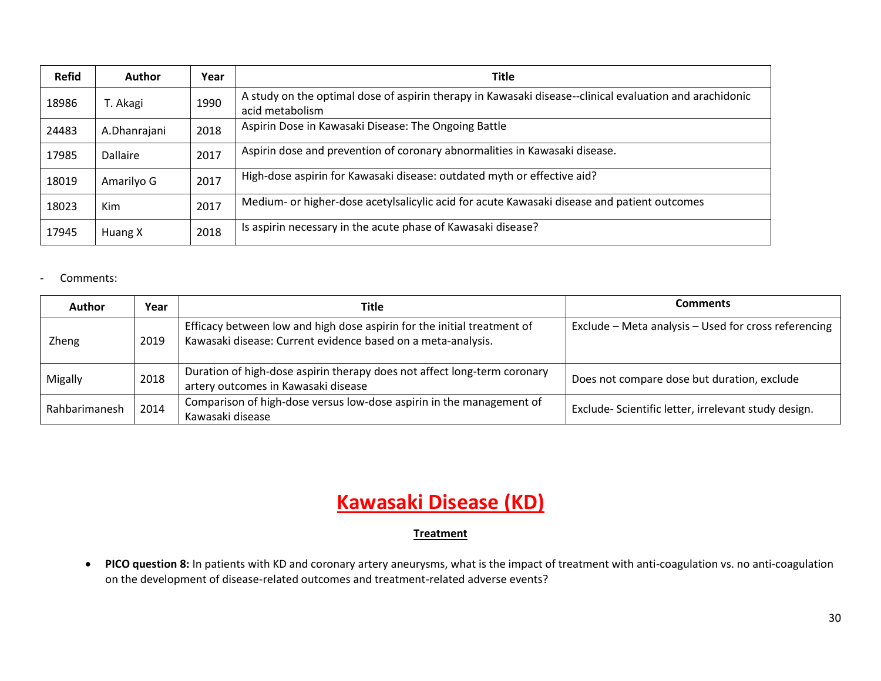| <b>Refid</b> | <b>Author</b> | Year | <b>Title</b>                                                                                                               |
|--------------|---------------|------|----------------------------------------------------------------------------------------------------------------------------|
| 18986        | T. Akagi      | 1990 | A study on the optimal dose of aspirin therapy in Kawasaki disease--clinical evaluation and arachidonic<br>acid metabolism |
| 24483        | A.Dhanrajani  | 2018 | Aspirin Dose in Kawasaki Disease: The Ongoing Battle                                                                       |
| 17985        | Dallaire      | 2017 | Aspirin dose and prevention of coronary abnormalities in Kawasaki disease.                                                 |
| 18019        | Amarilyo G    | 2017 | High-dose aspirin for Kawasaki disease: outdated myth or effective aid?                                                    |
| 18023        | <b>Kim</b>    | 2017 | Medium- or higher-dose acetylsalicylic acid for acute Kawasaki disease and patient outcomes                                |
| 17945        | Huang X       | 2018 | Is aspirin necessary in the acute phase of Kawasaki disease?                                                               |

#### - Comments:

| <b>Author</b> | Year | Title                                                                                                                                   | Comments                                             |
|---------------|------|-----------------------------------------------------------------------------------------------------------------------------------------|------------------------------------------------------|
| Zheng         | 2019 | Efficacy between low and high dose aspirin for the initial treatment of<br>Kawasaki disease: Current evidence based on a meta-analysis. | Exclude - Meta analysis - Used for cross referencing |
| Migally       | 2018 | Duration of high-dose aspirin therapy does not affect long-term coronary<br>artery outcomes in Kawasaki disease                         | Does not compare dose but duration, exclude          |
| Rahbarimanesh | 2014 | Comparison of high-dose versus low-dose aspirin in the management of<br>Kawasaki disease                                                | Exclude-Scientific letter, irrelevant study design.  |

## **Kawasaki Disease (KD)**

#### **Treatment**

• **PICO question 8:** In patients with KD and coronary artery aneurysms, what is the impact of treatment with anti-coagulation vs. no anti-coagulation on the development of disease-related outcomes and treatment-related adverse events?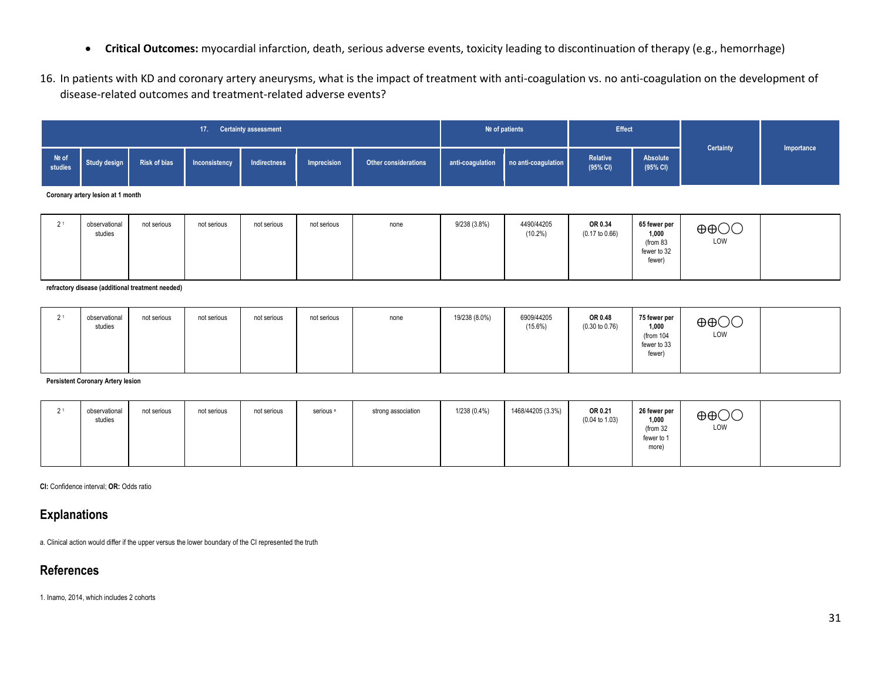- **Critical Outcomes:** myocardial infarction, death, serious adverse events, toxicity leading to discontinuation of therapy (e.g., hemorrhage)
- 16. In patients with KD and coronary artery aneurysms, what is the impact of treatment with anti-coagulation vs. no anti-coagulation on the development of disease-related outcomes and treatment-related adverse events?

| <b>Certainty assessment</b><br>17. |  |                                                            |  |             | Nº of patients       |  | <b>Effect</b>                        |                      |                      |           |            |
|------------------------------------|--|------------------------------------------------------------|--|-------------|----------------------|--|--------------------------------------|----------------------|----------------------|-----------|------------|
|                                    |  | Nº of Study design Risk of bias Inconsistency Indirectness |  | Imprecision | Other considerations |  | anti-coagulation no anti-coagulation | Relative<br>(95% CI) | Absolute<br>(95% CI) | Certainty | Importance |

**Coronary artery lesion at 1 month**

| $\sim$<br>. . | observational<br>studies | not serious | not serious | not serious | not serious | none | 9/238 (3.8%) | 4490/44205<br>$(10.2\%)$ | OR 0.34<br>$(0.17 \text{ to } 0.66)$ | 65 fewer per<br>1,000<br>(from 83<br>fewer to 32<br>fewer) | $\oplus$ $\oplus$<br>LOW |  |
|---------------|--------------------------|-------------|-------------|-------------|-------------|------|--------------|--------------------------|--------------------------------------|------------------------------------------------------------|--------------------------|--|
|---------------|--------------------------|-------------|-------------|-------------|-------------|------|--------------|--------------------------|--------------------------------------|------------------------------------------------------------|--------------------------|--|

**refractory disease (additional treatment needed)**

| observational<br>studies | not serious | not serious | not serious | not serious | none | 19/238 (8.0%) | 6909/44205<br>$(15.6\%)$ | OR 0.48<br>$(0.30 \text{ to } 0.76)$ | 75 fewer per<br>1,000<br>(from 104<br>fewer to 33<br>fewer) | $\oplus$ $\oplus$<br><b>LOW</b> |  |
|--------------------------|-------------|-------------|-------------|-------------|------|---------------|--------------------------|--------------------------------------|-------------------------------------------------------------|---------------------------------|--|
|                          |             |             |             |             |      |               |                          |                                      |                                                             |                                 |  |

**Persistent Coronary Artery lesion**

| 21 | observational<br>studies | not serious | not serious | not serious | serious <sup>a</sup> | strong association | 1/238 (0.4%) | 1468/44205 (3.3%) | OR 0.21<br>$(0.04 \text{ to } 1.03)$ | 26 fewer per<br>1,000<br>(from 32<br>fewer to 1<br>more) | $\oplus$ $\oplus$ $\odot$ $\oplus$<br>LOW |  |
|----|--------------------------|-------------|-------------|-------------|----------------------|--------------------|--------------|-------------------|--------------------------------------|----------------------------------------------------------|-------------------------------------------|--|
|----|--------------------------|-------------|-------------|-------------|----------------------|--------------------|--------------|-------------------|--------------------------------------|----------------------------------------------------------|-------------------------------------------|--|

**CI:** Confidence interval; **OR:** Odds ratio

### **Explanations**

a. Clinical action would differ if the upper versus the lower boundary of the CI represented the truth

## **References**

1. Inamo, 2014, which includes 2 cohorts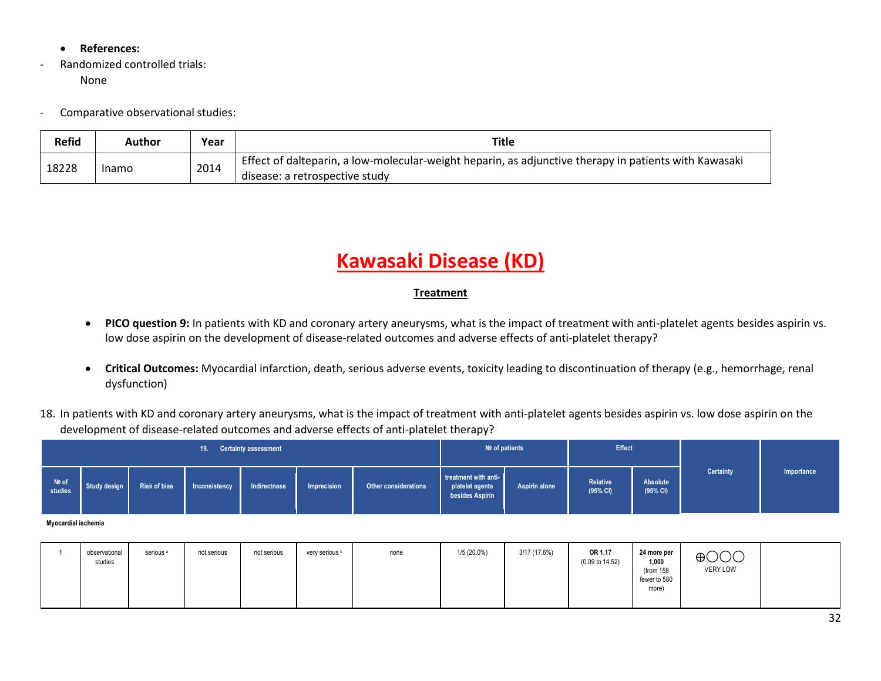- **References:**
- Randomized controlled trials: None
- Comparative observational studies:

| <b>Refid</b> | Author | Year | Title                                                                                                                                   |
|--------------|--------|------|-----------------------------------------------------------------------------------------------------------------------------------------|
| 18228        | Inamo  | 2014 | Effect of dalteparin, a low-molecular-weight heparin, as adjunctive therapy in patients with Kawasaki<br>disease: a retrospective study |

#### **Treatment**

- **PICO question 9:** In patients with KD and coronary artery aneurysms, what is the impact of treatment with anti-platelet agents besides aspirin vs. low dose aspirin on the development of disease-related outcomes and adverse effects of anti-platelet therapy?
- **Critical Outcomes:** Myocardial infarction, death, serious adverse events, toxicity leading to discontinuation of therapy (e.g., hemorrhage, renal dysfunction)
- 18. In patients with KD and coronary artery aneurysms, what is the impact of treatment with anti-platelet agents besides aspirin vs. low dose aspirin on the development of disease-related outcomes and adverse effects of anti-platelet therapy?

|                  | 19. Certainty assessment |                     |               |              |             |                      | Nº of patients                                             |               | <b>Effect</b>        |                      |           |            |
|------------------|--------------------------|---------------------|---------------|--------------|-------------|----------------------|------------------------------------------------------------|---------------|----------------------|----------------------|-----------|------------|
| Mº of<br>studies | Study design             | <b>Risk of bias</b> | Inconsistency | Indirectness | Imprecision | Other considerations | treatment with anti-<br>platelet agents<br>besides Aspirin | Aspirin alone | Relative<br>(95% CI) | Absolute<br>(95% CI) | Certainty | Importance |

**Myocardial ischemia**

| observational<br>studies | serious <sup>a</sup> | not serious | not serious | very serious b | none | 1/5 (20.0%) | 3/17 (17.6%) | OR 1.17<br>$(0.09 \text{ to } 14.52)$ | 24 more per<br>1,000<br>(from 158<br>fewer to 580 | $\cap$<br>$\bigcap$<br>— ⊕<br>$\sim$<br>$\check{ }$<br>VERY LOW |  |
|--------------------------|----------------------|-------------|-------------|----------------|------|-------------|--------------|---------------------------------------|---------------------------------------------------|-----------------------------------------------------------------|--|
|                          |                      |             |             |                |      |             |              |                                       | more)                                             |                                                                 |  |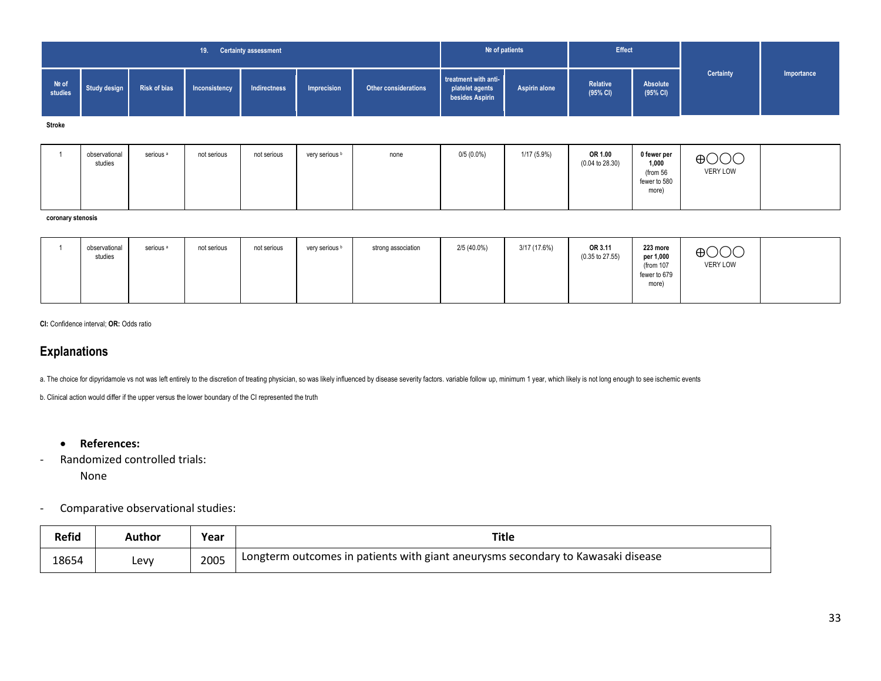|                  | <b>Certainty assessment</b><br>19.<br><b>Risk of bias</b><br>Imprecision<br>Inconsistency<br>Indirectness<br>Study design |  |  |  |  |                      | Nº of patients                                             |               | <b>Effect</b>        |                      |           |            |
|------------------|---------------------------------------------------------------------------------------------------------------------------|--|--|--|--|----------------------|------------------------------------------------------------|---------------|----------------------|----------------------|-----------|------------|
| Nº of<br>studies |                                                                                                                           |  |  |  |  | Other considerations | treatment with anti-<br>platelet agents<br>besides Aspirin | Aspirin alone | Relative<br>(95% CI) | Absolute<br>(95% CI) | Certainty | Importance |
| Stroke           |                                                                                                                           |  |  |  |  |                      |                                                            |               |                      |                      |           |            |

|  | serious <sup>a</sup><br>observational<br>studies | not serious<br>not serious | very serious b | none | $0/5(0.0\%)$ | 1/17 (5.9%) | OR 1.00<br>$(0.04 \text{ to } 28.30)$ | 0 fewer per<br>1,000<br>(from 56<br>fewer to 580<br>more) | $\bigoplus$ OOO<br><b>VERY LOW</b> |  |
|--|--------------------------------------------------|----------------------------|----------------|------|--------------|-------------|---------------------------------------|-----------------------------------------------------------|------------------------------------|--|
|--|--------------------------------------------------|----------------------------|----------------|------|--------------|-------------|---------------------------------------|-----------------------------------------------------------|------------------------------------|--|

**coronary stenosis**

| observational<br>studies | serious <sup>a</sup> | not serious | not serious | very serious b | strong association | 2/5 (40.0%) | 3/17 (17.6%) | OR 3.11<br>$(0.35 \text{ to } 27.55)$ | 223 more<br>per 1,000<br>(from 107<br>fewer to 679<br>more) | $\Omega$<br>$\oplus$ OOC<br>VERY LOW |  |
|--------------------------|----------------------|-------------|-------------|----------------|--------------------|-------------|--------------|---------------------------------------|-------------------------------------------------------------|--------------------------------------|--|
|                          |                      |             |             |                |                    |             |              |                                       |                                                             |                                      |  |

**CI:** Confidence interval; **OR:** Odds ratio

### **Explanations**

a. The choice for dipyridamole vs not was left entirely to the discretion of treating physician, so was likely influenced by disease severity factors. variable follow up, minimum 1 year, which likely is not long enough to

b. Clinical action would differ if the upper versus the lower boundary of the CI represented the truth

- **References:**
- Randomized controlled trials:

None

- Comparative observational studies:

| <b>Refid</b> | Author      | <sup>v</sup> ear | Title                                                                            |
|--------------|-------------|------------------|----------------------------------------------------------------------------------|
| 18654        | <b>Levv</b> | 2005             | Longterm outcomes in patients with giant aneurysms secondary to Kawasaki disease |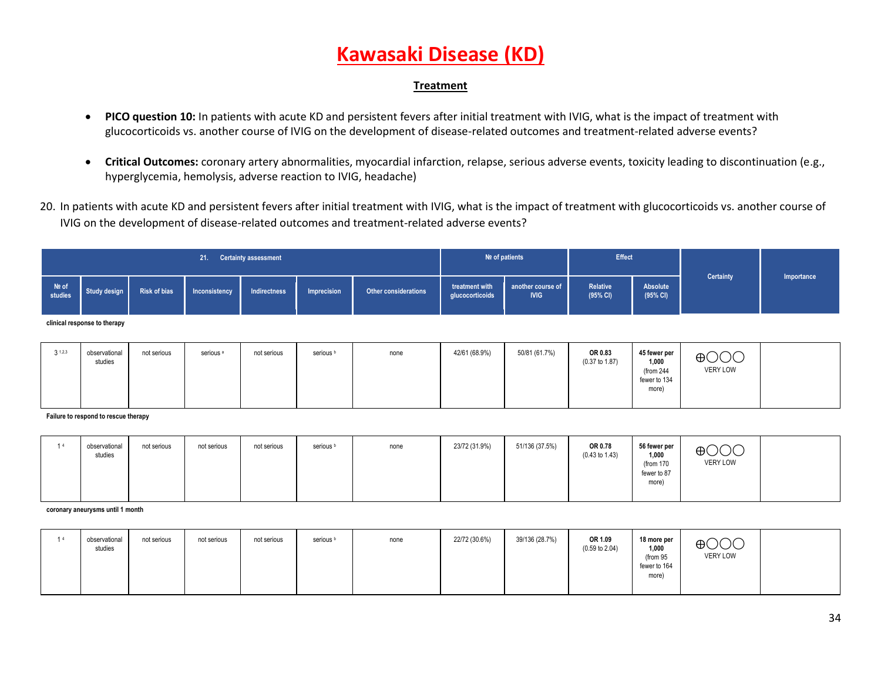#### **Treatment**

- **PICO question 10:** In patients with acute KD and persistent fevers after initial treatment with IVIG, what is the impact of treatment with glucocorticoids vs. another course of IVIG on the development of disease-related outcomes and treatment-related adverse events?
- **Critical Outcomes:** coronary artery abnormalities, myocardial infarction, relapse, serious adverse events, toxicity leading to discontinuation (e.g., hyperglycemia, hemolysis, adverse reaction to IVIG, headache)
- 20. In patients with acute KD and persistent fevers after initial treatment with IVIG, what is the impact of treatment with glucocorticoids vs. another course of IVIG on the development of disease-related outcomes and treatment-related adverse events?

| <b>Certainty assessment</b><br>21. |              |                     |               |              |             |                             | Nº of patients                    |                                  | <b>Effect</b>        |                      | <b>Certainty</b> |            |
|------------------------------------|--------------|---------------------|---------------|--------------|-------------|-----------------------------|-----------------------------------|----------------------------------|----------------------|----------------------|------------------|------------|
| Mº of<br>studies                   | Study design | <b>Risk of bias</b> | Inconsistency | Indirectness | Imprecision | <b>Other considerations</b> | treatment with<br>glucocorticoids | another course of<br><b>IVIG</b> | Relative<br>(95% CI) | Absolute<br>(95% CI) |                  | Importance |

**clinical response to therapy**

| $3^{1,2,3}$ | observational<br>studies | not serious | serious <sup>a</sup> | not serious | serious <sup>b</sup> | none | 42/61 (68.9%) | 50/81 (61.7%) | OR 0.83<br>$(0.37 \text{ to } 1.87)$ | 45 fewer per<br>1,000<br>(from 244<br>fewer to 134<br>more) | $\bigoplus$ OOC<br><b>VERY LOW</b> |  |
|-------------|--------------------------|-------------|----------------------|-------------|----------------------|------|---------------|---------------|--------------------------------------|-------------------------------------------------------------|------------------------------------|--|
|             |                          |             |                      |             |                      |      |               |               |                                      |                                                             |                                    |  |

**Failure to respond to rescue therapy**

| observational<br>studies | not serious | not serious | not serious | serious <sup>b</sup> | none | 23/72 (31.9%) | 51/136 (37.5%) | OR 0.78<br>$(0.43 \text{ to } 1.43)$ | 56 fewer per<br>1,000<br>(from 170<br>fewer to 87<br>more) | $\cap$<br>$\oplus$ OOC<br>VERY LOW |  |
|--------------------------|-------------|-------------|-------------|----------------------|------|---------------|----------------|--------------------------------------|------------------------------------------------------------|------------------------------------|--|
|                          |             |             |             |                      |      |               |                |                                      |                                                            |                                    |  |

**coronary aneurysms until 1 month**

| I 4 | observational<br>studies | not serious | not serious | not serious | serious <sup>b</sup> | none | 22/72 (30.6%) | 39/136 (28.7%) | OR 1.09<br>$(0.59 \text{ to } 2.04)$ | 18 more per<br>1,000<br>(from 95<br>fewer to 164<br>more) | $\cap$<br>$\bigoplus$ OOC<br>VERY LOW |  |
|-----|--------------------------|-------------|-------------|-------------|----------------------|------|---------------|----------------|--------------------------------------|-----------------------------------------------------------|---------------------------------------|--|
|     |                          |             |             |             |                      |      |               |                |                                      |                                                           |                                       |  |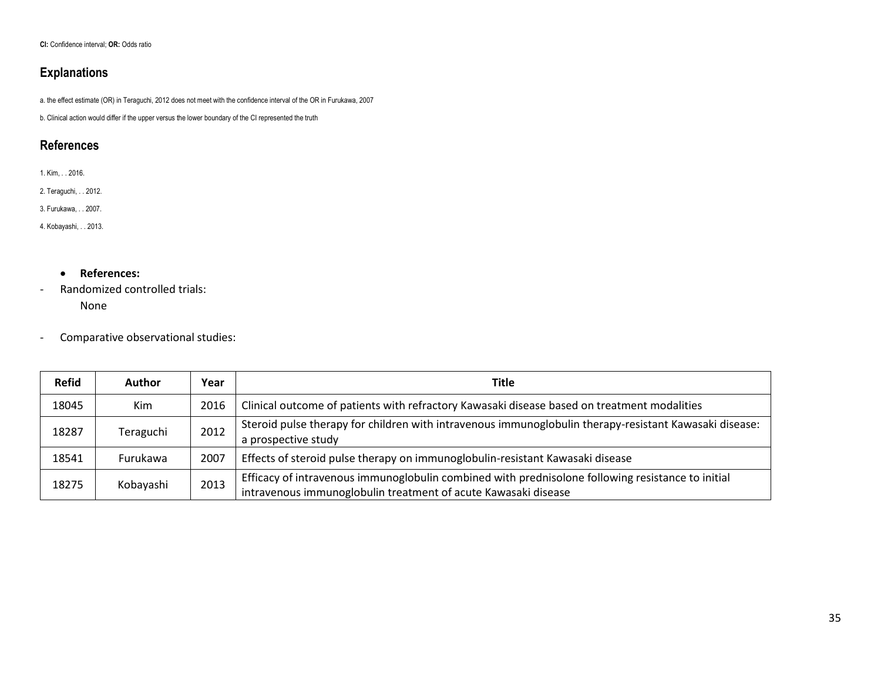**CI:** Confidence interval; **OR:** Odds ratio

## **Explanations**

a. the effect estimate (OR) in Teraguchi, 2012 does not meet with the confidence interval of the OR in Furukawa, 2007

b. Clinical action would differ if the upper versus the lower boundary of the CI represented the truth

### **References**

1. Kim, . . 2016.

2. Teraguchi, . . 2012.

3. Furukawa, . . 2007.

4. Kobayashi, . . 2013.

#### • **References:**

- Randomized controlled trials: None
- Comparative observational studies:

| <b>Refid</b> | <b>Author</b> | Year | <b>Title</b>                                                                                                                                                        |
|--------------|---------------|------|---------------------------------------------------------------------------------------------------------------------------------------------------------------------|
| 18045        | Kim           | 2016 | Clinical outcome of patients with refractory Kawasaki disease based on treatment modalities                                                                         |
| 18287        | Teraguchi     | 2012 | Steroid pulse therapy for children with intravenous immunoglobulin therapy-resistant Kawasaki disease:<br>a prospective study                                       |
| 18541        | Furukawa      | 2007 | Effects of steroid pulse therapy on immunoglobulin-resistant Kawasaki disease                                                                                       |
| 18275        | Kobayashi     | 2013 | Efficacy of intravenous immunoglobulin combined with prednisolone following resistance to initial<br>intravenous immunoglobulin treatment of acute Kawasaki disease |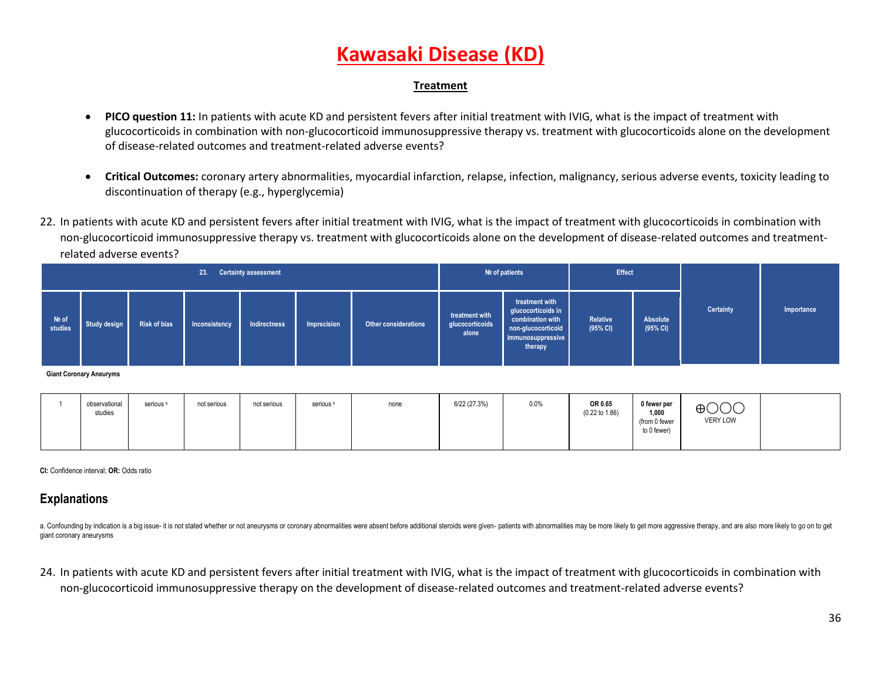#### **Treatment**

- **PICO question 11:** In patients with acute KD and persistent fevers after initial treatment with IVIG, what is the impact of treatment with glucocorticoids in combination with non-glucocorticoid immunosuppressive therapy vs. treatment with glucocorticoids alone on the development of disease-related outcomes and treatment-related adverse events?
- **Critical Outcomes:** coronary artery abnormalities, myocardial infarction, relapse, infection, malignancy, serious adverse events, toxicity leading to discontinuation of therapy (e.g., hyperglycemia)
- 22. In patients with acute KD and persistent fevers after initial treatment with IVIG, what is the impact of treatment with glucocorticoids in combination with non-glucocorticoid immunosuppressive therapy vs. treatment with glucocorticoids alone on the development of disease-related outcomes and treatmentrelated adverse events?

| <b>Certainty assessment</b><br>23. |              |                     |               |              |             |                             | Nº of patients                             |                                                                                                                | <b>Effect</b>        |                      |                  |            |
|------------------------------------|--------------|---------------------|---------------|--------------|-------------|-----------------------------|--------------------------------------------|----------------------------------------------------------------------------------------------------------------|----------------------|----------------------|------------------|------------|
| Nº of<br>studies                   | Study design | <b>Risk of bias</b> | Inconsistency | Indirectness | Imprecision | <b>Other considerations</b> | treatment with<br>glucocorticoids<br>alone | treatment with<br>glucocorticoids in<br>combination with<br>non-glucocorticoid<br>immunosuppressive<br>therapy | Relative<br>(95% CI) | Absolute<br>(95% CI) | <b>Certainty</b> | Importance |

**Giant Coronary Aneuryms**

|  | observational<br>studies | serious <sup>a</sup> | not serious | not serious | serious <sup>b</sup> | none | 6/22(27.3%) | 0.0% | OR 0.65<br>$(0.22 \text{ to } 1.86)$ | 0 fewer per<br>1,000<br>(from 0 fewer<br>to 0 fewer) | $\bigoplus$ OOO<br><b>VERY LOW</b> |  |
|--|--------------------------|----------------------|-------------|-------------|----------------------|------|-------------|------|--------------------------------------|------------------------------------------------------|------------------------------------|--|
|  |                          |                      |             |             |                      |      |             |      |                                      |                                                      |                                    |  |

**CI:** Confidence interval; **OR:** Odds ratio

### **Explanations**

a. Confounding by indication is a big issue- it is not stated whether or not aneurysms or coronary abnormalities were absent before additional steroids were given- patients with abnormalities may be more likely to get more giant coronary aneurysms

24. In patients with acute KD and persistent fevers after initial treatment with IVIG, what is the impact of treatment with glucocorticoids in combination with non-glucocorticoid immunosuppressive therapy on the development of disease-related outcomes and treatment-related adverse events?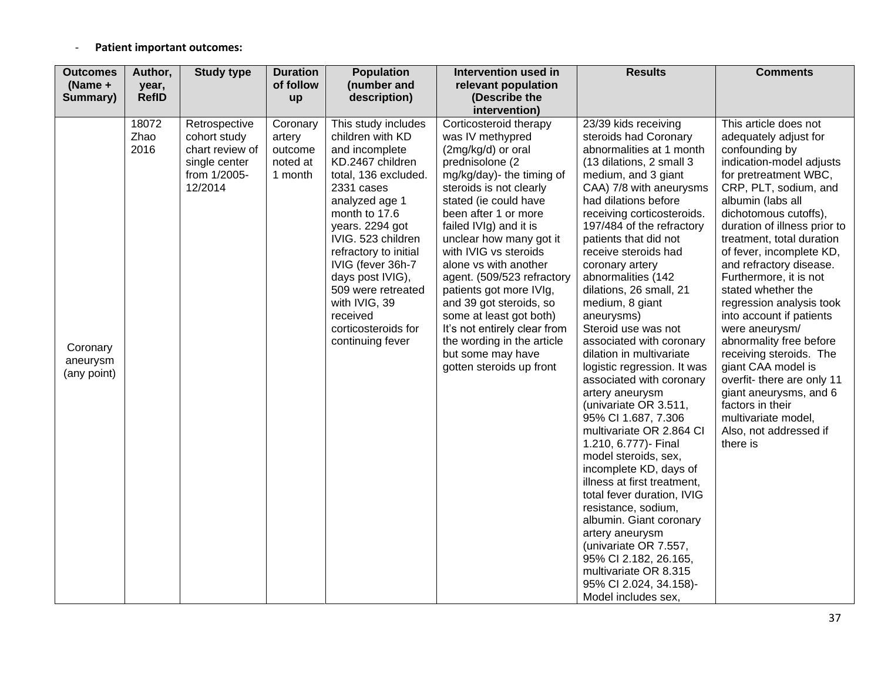### - **Patient important outcomes:**

| <b>Outcomes</b>                     | Author,               | <b>Study type</b>                                                                            | <b>Duration</b>                                      | <b>Population</b>                                                                                                                                                                                                                                                                                                                                               | Intervention used in                                                                                                                                                                                                                                                                                                                                                                                                                                                                                                              | <b>Results</b>                                                                                                                                                                                                                                                                                                                                                                                                                                                                                                                                                                                                                                                                                                                                                                                                                                                                                                                                              | <b>Comments</b>                                                                                                                                                                                                                                                                                                                                                                                                                                                                                                                                                                                                                                                 |
|-------------------------------------|-----------------------|----------------------------------------------------------------------------------------------|------------------------------------------------------|-----------------------------------------------------------------------------------------------------------------------------------------------------------------------------------------------------------------------------------------------------------------------------------------------------------------------------------------------------------------|-----------------------------------------------------------------------------------------------------------------------------------------------------------------------------------------------------------------------------------------------------------------------------------------------------------------------------------------------------------------------------------------------------------------------------------------------------------------------------------------------------------------------------------|-------------------------------------------------------------------------------------------------------------------------------------------------------------------------------------------------------------------------------------------------------------------------------------------------------------------------------------------------------------------------------------------------------------------------------------------------------------------------------------------------------------------------------------------------------------------------------------------------------------------------------------------------------------------------------------------------------------------------------------------------------------------------------------------------------------------------------------------------------------------------------------------------------------------------------------------------------------|-----------------------------------------------------------------------------------------------------------------------------------------------------------------------------------------------------------------------------------------------------------------------------------------------------------------------------------------------------------------------------------------------------------------------------------------------------------------------------------------------------------------------------------------------------------------------------------------------------------------------------------------------------------------|
| $(Name +$<br>Summary)               | year,<br><b>RefID</b> |                                                                                              | of follow<br>up                                      | (number and<br>description)                                                                                                                                                                                                                                                                                                                                     | relevant population<br>(Describe the                                                                                                                                                                                                                                                                                                                                                                                                                                                                                              |                                                                                                                                                                                                                                                                                                                                                                                                                                                                                                                                                                                                                                                                                                                                                                                                                                                                                                                                                             |                                                                                                                                                                                                                                                                                                                                                                                                                                                                                                                                                                                                                                                                 |
|                                     |                       |                                                                                              |                                                      |                                                                                                                                                                                                                                                                                                                                                                 | intervention)                                                                                                                                                                                                                                                                                                                                                                                                                                                                                                                     |                                                                                                                                                                                                                                                                                                                                                                                                                                                                                                                                                                                                                                                                                                                                                                                                                                                                                                                                                             |                                                                                                                                                                                                                                                                                                                                                                                                                                                                                                                                                                                                                                                                 |
| Coronary<br>aneurysm<br>(any point) | 18072<br>Zhao<br>2016 | Retrospective<br>cohort study<br>chart review of<br>single center<br>from 1/2005-<br>12/2014 | Coronary<br>artery<br>outcome<br>noted at<br>1 month | This study includes<br>children with KD<br>and incomplete<br>KD.2467 children<br>total, 136 excluded.<br>2331 cases<br>analyzed age 1<br>month to 17.6<br>years. 2294 got<br>IVIG. 523 children<br>refractory to initial<br>IVIG (fever 36h-7<br>days post IVIG),<br>509 were retreated<br>with IVIG, 39<br>received<br>corticosteroids for<br>continuing fever | Corticosteroid therapy<br>was IV methypred<br>(2mg/kg/d) or oral<br>prednisolone (2<br>mg/kg/day)- the timing of<br>steroids is not clearly<br>stated (ie could have<br>been after 1 or more<br>failed IVIg) and it is<br>unclear how many got it<br>with IVIG vs steroids<br>alone vs with another<br>agent. (509/523 refractory<br>patients got more IVIg,<br>and 39 got steroids, so<br>some at least got both)<br>It's not entirely clear from<br>the wording in the article<br>but some may have<br>gotten steroids up front | 23/39 kids receiving<br>steroids had Coronary<br>abnormalities at 1 month<br>(13 dilations, 2 small 3<br>medium, and 3 giant<br>CAA) 7/8 with aneurysms<br>had dilations before<br>receiving corticosteroids.<br>197/484 of the refractory<br>patients that did not<br>receive steroids had<br>coronary artery<br>abnormalities (142<br>dilations, 26 small, 21<br>medium, 8 giant<br>aneurysms)<br>Steroid use was not<br>associated with coronary<br>dilation in multivariate<br>logistic regression. It was<br>associated with coronary<br>artery aneurysm<br>(univariate OR 3.511,<br>95% CI 1.687, 7.306<br>multivariate OR 2.864 CI<br>1.210, 6.777) - Final<br>model steroids, sex,<br>incomplete KD, days of<br>illness at first treatment,<br>total fever duration, IVIG<br>resistance, sodium,<br>albumin. Giant coronary<br>artery aneurysm<br>(univariate OR 7.557,<br>95% CI 2.182, 26.165,<br>multivariate OR 8.315<br>95% CI 2.024, 34.158)- | This article does not<br>adequately adjust for<br>confounding by<br>indication-model adjusts<br>for pretreatment WBC,<br>CRP, PLT, sodium, and<br>albumin (labs all<br>dichotomous cutoffs),<br>duration of illness prior to<br>treatment, total duration<br>of fever, incomplete KD,<br>and refractory disease.<br>Furthermore, it is not<br>stated whether the<br>regression analysis took<br>into account if patients<br>were aneurysm/<br>abnormality free before<br>receiving steroids. The<br>giant CAA model is<br>overfit- there are only 11<br>giant aneurysms, and 6<br>factors in their<br>multivariate model,<br>Also, not addressed if<br>there is |
|                                     |                       |                                                                                              |                                                      |                                                                                                                                                                                                                                                                                                                                                                 |                                                                                                                                                                                                                                                                                                                                                                                                                                                                                                                                   | Model includes sex,                                                                                                                                                                                                                                                                                                                                                                                                                                                                                                                                                                                                                                                                                                                                                                                                                                                                                                                                         |                                                                                                                                                                                                                                                                                                                                                                                                                                                                                                                                                                                                                                                                 |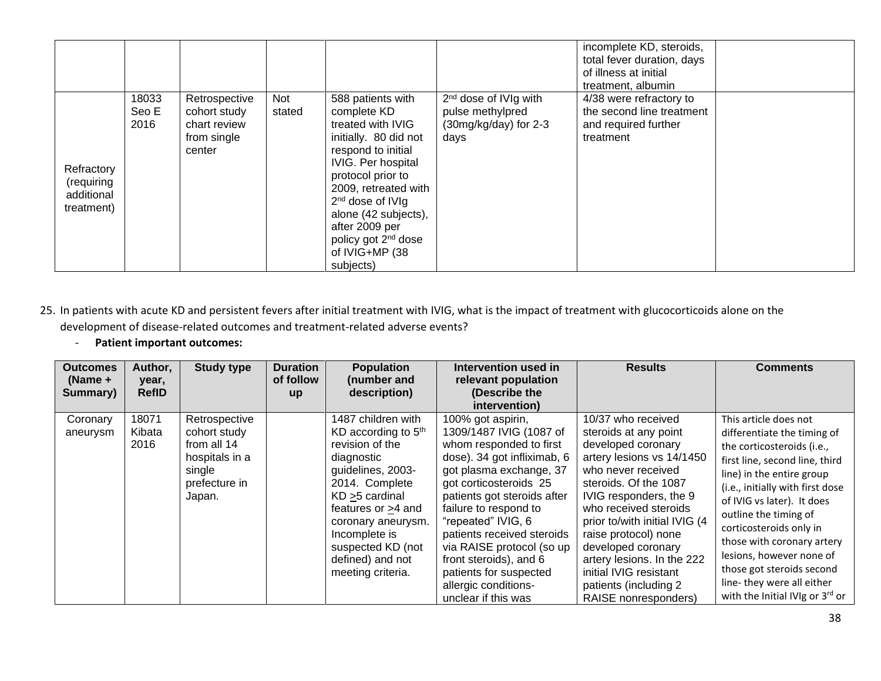|                                                      |                        |                                                                        |               |                                                                                                                                                                                                                                                                                                           |                                                                                        | incomplete KD, steroids,<br>total fever duration, days<br>of illness at initial<br>treatment, albumin |  |
|------------------------------------------------------|------------------------|------------------------------------------------------------------------|---------------|-----------------------------------------------------------------------------------------------------------------------------------------------------------------------------------------------------------------------------------------------------------------------------------------------------------|----------------------------------------------------------------------------------------|-------------------------------------------------------------------------------------------------------|--|
| Refractory<br>(requiring<br>additional<br>treatment) | 18033<br>Seo E<br>2016 | Retrospective<br>cohort study<br>chart review<br>from single<br>center | Not<br>stated | 588 patients with<br>complete KD<br>treated with IVIG<br>initially. 80 did not<br>respond to initial<br>IVIG. Per hospital<br>protocol prior to<br>2009, retreated with<br>$2nd$ dose of IVIg<br>alone (42 subjects),<br>after 2009 per<br>policy got 2 <sup>nd</sup> dose<br>of IVIG+MP (38<br>subjects) | 2 <sup>nd</sup> dose of IVIg with<br>pulse methylpred<br>(30mg/kg/day) for 2-3<br>days | 4/38 were refractory to<br>the second line treatment<br>and required further<br>treatment             |  |

- 25. In patients with acute KD and persistent fevers after initial treatment with IVIG, what is the impact of treatment with glucocorticoids alone on the development of disease-related outcomes and treatment-related adverse events?
	- **Patient important outcomes:**

| <b>Outcomes</b><br>$(Name +$<br>Summary) | Author,<br>year,<br><b>RefID</b> | <b>Study type</b>                                                                                   | <b>Duration</b><br>of follow<br><b>up</b> | <b>Population</b><br>(number and<br>description)                                                                                                                                                                                                                              | Intervention used in<br>relevant population<br>(Describe the                                                                                                                                                                                                                                                                                                                                                             | <b>Results</b>                                                                                                                                                                                                                                                                                                                                                                            | Comments                                                                                                                                                                                                                                                                                                                                                                                                                       |
|------------------------------------------|----------------------------------|-----------------------------------------------------------------------------------------------------|-------------------------------------------|-------------------------------------------------------------------------------------------------------------------------------------------------------------------------------------------------------------------------------------------------------------------------------|--------------------------------------------------------------------------------------------------------------------------------------------------------------------------------------------------------------------------------------------------------------------------------------------------------------------------------------------------------------------------------------------------------------------------|-------------------------------------------------------------------------------------------------------------------------------------------------------------------------------------------------------------------------------------------------------------------------------------------------------------------------------------------------------------------------------------------|--------------------------------------------------------------------------------------------------------------------------------------------------------------------------------------------------------------------------------------------------------------------------------------------------------------------------------------------------------------------------------------------------------------------------------|
| Coronary<br>aneurysm                     | 18071<br>Kibata<br>2016          | Retrospective<br>cohort study<br>from all 14<br>hospitals in a<br>single<br>prefecture in<br>Japan. |                                           | 1487 children with<br>KD according to 5 <sup>th</sup><br>revision of the<br>diagnostic<br>guidelines, 2003-<br>2014. Complete<br>$KD > 5$ cardinal<br>features or >4 and<br>coronary aneurysm.<br>Incomplete is<br>suspected KD (not<br>defined) and not<br>meeting criteria. | intervention)<br>100% got aspirin,<br>1309/1487 IVIG (1087 of<br>whom responded to first<br>dose). 34 got infliximab, 6<br>got plasma exchange, 37<br>got corticosteroids 25<br>patients got steroids after<br>failure to respond to<br>"repeated" IVIG, 6<br>patients received steroids<br>via RAISE protocol (so up<br>front steroids), and 6<br>patients for suspected<br>allergic conditions-<br>unclear if this was | 10/37 who received<br>steroids at any point<br>developed coronary<br>artery lesions vs 14/1450<br>who never received<br>steroids. Of the 1087<br>IVIG responders, the 9<br>who received steroids<br>prior to/with initial IVIG (4<br>raise protocol) none<br>developed coronary<br>artery lesions. In the 222<br>initial IVIG resistant<br>patients (including 2)<br>RAISE nonresponders) | This article does not<br>differentiate the timing of<br>the corticosteroids (i.e.,<br>first line, second line, third<br>line) in the entire group<br>(i.e., initially with first dose<br>of IVIG vs later). It does<br>outline the timing of<br>corticosteroids only in<br>those with coronary artery<br>lesions, however none of<br>those got steroids second<br>line-they were all either<br>with the Initial IVIg or 3rd or |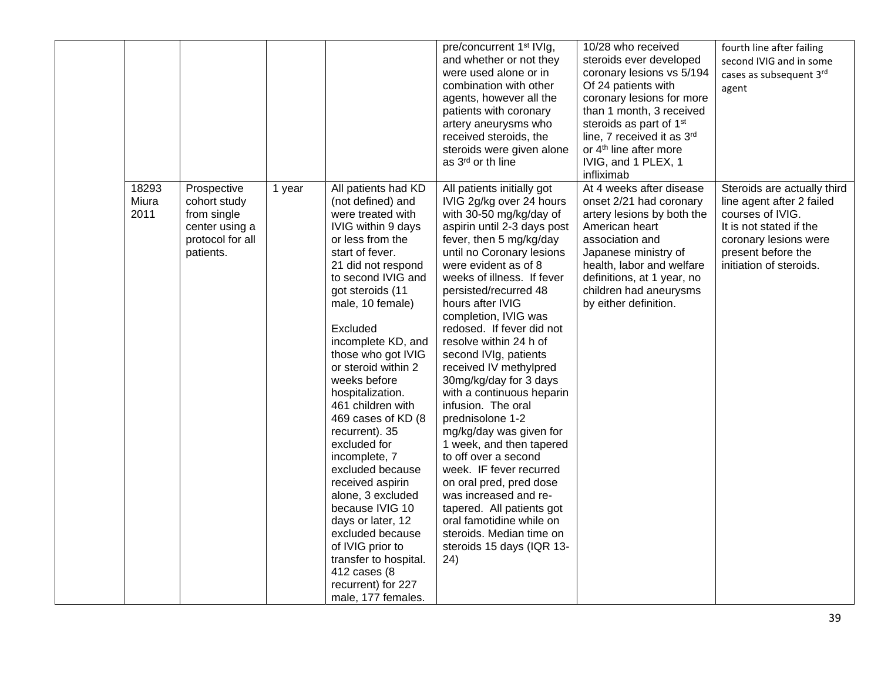|                        |                                                                                               |        |                                                                                                                                                                                                                                                                                                                                                                                                                                                                                                                                                                                                                                                                   | pre/concurrent 1 <sup>st</sup> IVIg,<br>and whether or not they<br>were used alone or in<br>combination with other<br>agents, however all the<br>patients with coronary<br>artery aneurysms who<br>received steroids, the<br>steroids were given alone<br>as 3rd or th line                                                                                                                                                                                                                                                                                                                                                                                                                                                                                                                           | 10/28 who received<br>steroids ever developed<br>coronary lesions vs 5/194<br>Of 24 patients with<br>coronary lesions for more<br>than 1 month, 3 received<br>steroids as part of 1 <sup>st</sup><br>line, 7 received it as 3rd<br>or 4 <sup>th</sup> line after more<br>IVIG, and 1 PLEX, 1<br>infliximab | fourth line after failing<br>second IVIG and in some<br>cases as subsequent 3rd<br>agent                                                                                          |
|------------------------|-----------------------------------------------------------------------------------------------|--------|-------------------------------------------------------------------------------------------------------------------------------------------------------------------------------------------------------------------------------------------------------------------------------------------------------------------------------------------------------------------------------------------------------------------------------------------------------------------------------------------------------------------------------------------------------------------------------------------------------------------------------------------------------------------|-------------------------------------------------------------------------------------------------------------------------------------------------------------------------------------------------------------------------------------------------------------------------------------------------------------------------------------------------------------------------------------------------------------------------------------------------------------------------------------------------------------------------------------------------------------------------------------------------------------------------------------------------------------------------------------------------------------------------------------------------------------------------------------------------------|------------------------------------------------------------------------------------------------------------------------------------------------------------------------------------------------------------------------------------------------------------------------------------------------------------|-----------------------------------------------------------------------------------------------------------------------------------------------------------------------------------|
| 18293<br>Miura<br>2011 | Prospective<br>cohort study<br>from single<br>center using a<br>protocol for all<br>patients. | 1 year | All patients had KD<br>(not defined) and<br>were treated with<br>IVIG within 9 days<br>or less from the<br>start of fever.<br>21 did not respond<br>to second IVIG and<br>got steroids (11<br>male, 10 female)<br>Excluded<br>incomplete KD, and<br>those who got IVIG<br>or steroid within 2<br>weeks before<br>hospitalization.<br>461 children with<br>469 cases of KD (8<br>recurrent). 35<br>excluded for<br>incomplete, 7<br>excluded because<br>received aspirin<br>alone, 3 excluded<br>because IVIG 10<br>days or later, 12<br>excluded because<br>of IVIG prior to<br>transfer to hospital.<br>412 cases (8<br>recurrent) for 227<br>male, 177 females. | All patients initially got<br>IVIG 2g/kg over 24 hours<br>with 30-50 mg/kg/day of<br>aspirin until 2-3 days post<br>fever, then 5 mg/kg/day<br>until no Coronary lesions<br>were evident as of 8<br>weeks of illness. If fever<br>persisted/recurred 48<br>hours after IVIG<br>completion, IVIG was<br>redosed. If fever did not<br>resolve within 24 h of<br>second IVIg, patients<br>received IV methylpred<br>30mg/kg/day for 3 days<br>with a continuous heparin<br>infusion. The oral<br>prednisolone 1-2<br>mg/kg/day was given for<br>1 week, and then tapered<br>to off over a second<br>week. IF fever recurred<br>on oral pred, pred dose<br>was increased and re-<br>tapered. All patients got<br>oral famotidine while on<br>steroids. Median time on<br>steroids 15 days (IQR 13-<br>24) | At 4 weeks after disease<br>onset 2/21 had coronary<br>artery lesions by both the<br>American heart<br>association and<br>Japanese ministry of<br>health, labor and welfare<br>definitions, at 1 year, no<br>children had aneurysms<br>by either definition.                                               | Steroids are actually third<br>line agent after 2 failed<br>courses of IVIG.<br>It is not stated if the<br>coronary lesions were<br>present before the<br>initiation of steroids. |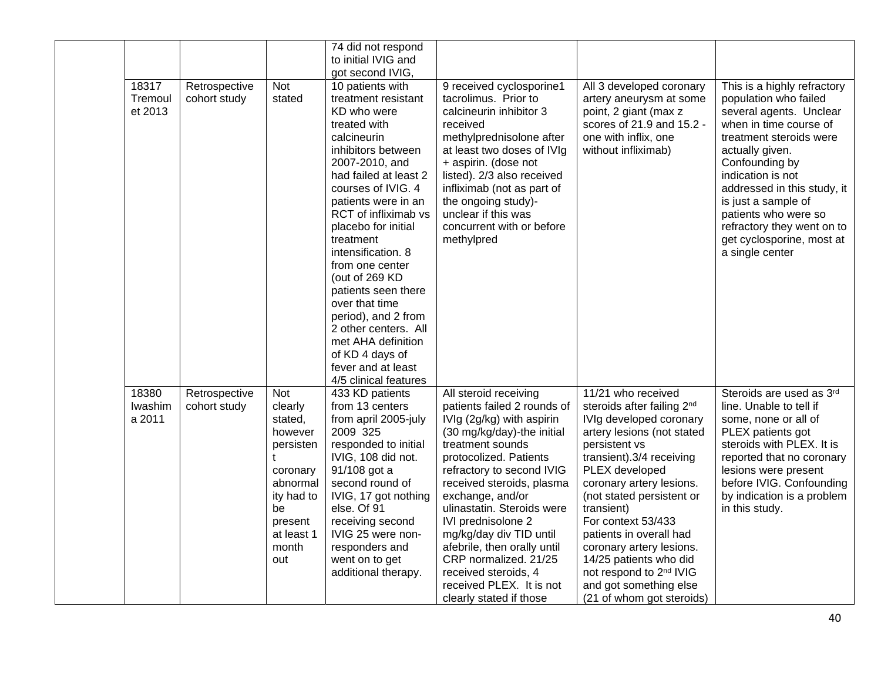|                             |                               |                                                                                                                                        | 74 did not respond<br>to initial IVIG and<br>got second IVIG,                                                                                                                                                                                                                                                                                                                                                                                                                                              |                                                                                                                                                                                                                                                                                                                                                                                                                                                                   |                                                                                                                                                                                                                                                                                                                                                                                                                                                                  |                                                                                                                                                                                                                                                                                                                                                            |
|-----------------------------|-------------------------------|----------------------------------------------------------------------------------------------------------------------------------------|------------------------------------------------------------------------------------------------------------------------------------------------------------------------------------------------------------------------------------------------------------------------------------------------------------------------------------------------------------------------------------------------------------------------------------------------------------------------------------------------------------|-------------------------------------------------------------------------------------------------------------------------------------------------------------------------------------------------------------------------------------------------------------------------------------------------------------------------------------------------------------------------------------------------------------------------------------------------------------------|------------------------------------------------------------------------------------------------------------------------------------------------------------------------------------------------------------------------------------------------------------------------------------------------------------------------------------------------------------------------------------------------------------------------------------------------------------------|------------------------------------------------------------------------------------------------------------------------------------------------------------------------------------------------------------------------------------------------------------------------------------------------------------------------------------------------------------|
| 18317<br>Tremoul<br>et 2013 | Retrospective<br>cohort study | <b>Not</b><br>stated                                                                                                                   | 10 patients with<br>treatment resistant<br>KD who were<br>treated with<br>calcineurin<br>inhibitors between<br>2007-2010, and<br>had failed at least 2<br>courses of IVIG. 4<br>patients were in an<br>RCT of infliximab vs<br>placebo for initial<br>treatment<br>intensification. 8<br>from one center<br>(out of 269 KD<br>patients seen there<br>over that time<br>period), and 2 from<br>2 other centers. All<br>met AHA definition<br>of KD 4 days of<br>fever and at least<br>4/5 clinical features | 9 received cyclosporine1<br>tacrolimus. Prior to<br>calcineurin inhibitor 3<br>received<br>methylprednisolone after<br>at least two doses of IVIg<br>+ aspirin. (dose not<br>listed). 2/3 also received<br>infliximab (not as part of<br>the ongoing study)-<br>unclear if this was<br>concurrent with or before<br>methylpred                                                                                                                                    | All 3 developed coronary<br>artery aneurysm at some<br>point, 2 giant (max z<br>scores of 21.9 and 15.2 -<br>one with inflix, one<br>without infliximab)                                                                                                                                                                                                                                                                                                         | This is a highly refractory<br>population who failed<br>several agents. Unclear<br>when in time course of<br>treatment steroids were<br>actually given.<br>Confounding by<br>indication is not<br>addressed in this study, it<br>is just a sample of<br>patients who were so<br>refractory they went on to<br>get cyclosporine, most at<br>a single center |
| 18380<br>Iwashim<br>a 2011  | Retrospective<br>cohort study | Not<br>clearly<br>stated,<br>however<br>persisten<br>coronary<br>abnormal<br>ity had to<br>be<br>present<br>at least 1<br>month<br>out | 433 KD patients<br>from 13 centers<br>from april 2005-july<br>2009 325<br>responded to initial<br>IVIG, 108 did not.<br>91/108 got a<br>second round of<br>IVIG, 17 got nothing<br>else. Of 91<br>receiving second<br>IVIG 25 were non-<br>responders and<br>went on to get<br>additional therapy.                                                                                                                                                                                                         | All steroid receiving<br>patients failed 2 rounds of<br>IVIg (2g/kg) with aspirin<br>(30 mg/kg/day)-the initial<br>treatment sounds<br>protocolized. Patients<br>refractory to second IVIG<br>received steroids, plasma<br>exchange, and/or<br>ulinastatin. Steroids were<br>IVI prednisolone 2<br>mg/kg/day div TID until<br>afebrile, then orally until<br>CRP normalized. 21/25<br>received steroids, 4<br>received PLEX. It is not<br>clearly stated if those | 11/21 who received<br>steroids after failing 2 <sup>nd</sup><br>IVIg developed coronary<br>artery lesions (not stated<br>persistent vs<br>transient).3/4 receiving<br>PLEX developed<br>coronary artery lesions.<br>(not stated persistent or<br>transient)<br>For context 53/433<br>patients in overall had<br>coronary artery lesions.<br>14/25 patients who did<br>not respond to 2 <sup>nd</sup> IVIG<br>and got something else<br>(21 of whom got steroids) | Steroids are used as 3rd<br>line. Unable to tell if<br>some, none or all of<br>PLEX patients got<br>steroids with PLEX. It is<br>reported that no coronary<br>lesions were present<br>before IVIG. Confounding<br>by indication is a problem<br>in this study.                                                                                             |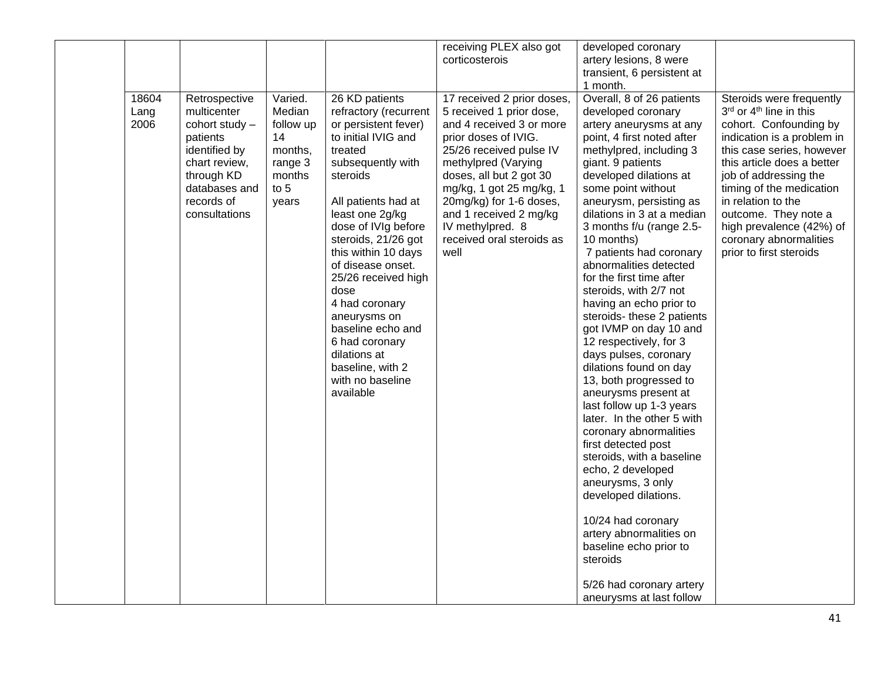|                       |                                                                                                                                                            |                                                                                         |                                                                                                                                                                                                                                                                                                                                                                                                                                                     | receiving PLEX also got<br>corticosterois                                                                                                                                                                                                                                                                                         | developed coronary<br>artery lesions, 8 were<br>transient, 6 persistent at<br>1 month.                                                                                                                                                                                                                                                                                                                                                                                                                                                                                                                                                                                                                                                                                                                                                                                                                                                                                                            |                                                                                                                                                                                                                                                                                                                                                                        |
|-----------------------|------------------------------------------------------------------------------------------------------------------------------------------------------------|-----------------------------------------------------------------------------------------|-----------------------------------------------------------------------------------------------------------------------------------------------------------------------------------------------------------------------------------------------------------------------------------------------------------------------------------------------------------------------------------------------------------------------------------------------------|-----------------------------------------------------------------------------------------------------------------------------------------------------------------------------------------------------------------------------------------------------------------------------------------------------------------------------------|---------------------------------------------------------------------------------------------------------------------------------------------------------------------------------------------------------------------------------------------------------------------------------------------------------------------------------------------------------------------------------------------------------------------------------------------------------------------------------------------------------------------------------------------------------------------------------------------------------------------------------------------------------------------------------------------------------------------------------------------------------------------------------------------------------------------------------------------------------------------------------------------------------------------------------------------------------------------------------------------------|------------------------------------------------------------------------------------------------------------------------------------------------------------------------------------------------------------------------------------------------------------------------------------------------------------------------------------------------------------------------|
| 18604<br>Lang<br>2006 | Retrospective<br>multicenter<br>cohort study -<br>patients<br>identified by<br>chart review,<br>through KD<br>databases and<br>records of<br>consultations | Varied.<br>Median<br>follow up<br>14<br>months,<br>range 3<br>months<br>to $5$<br>years | 26 KD patients<br>refractory (recurrent<br>or persistent fever)<br>to initial IVIG and<br>treated<br>subsequently with<br>steroids<br>All patients had at<br>least one 2g/kg<br>dose of IVIg before<br>steroids, 21/26 got<br>this within 10 days<br>of disease onset.<br>25/26 received high<br>dose<br>4 had coronary<br>aneurysms on<br>baseline echo and<br>6 had coronary<br>dilations at<br>baseline, with 2<br>with no baseline<br>available | 17 received 2 prior doses,<br>5 received 1 prior dose,<br>and 4 received 3 or more<br>prior doses of IVIG.<br>25/26 received pulse IV<br>methylpred (Varying<br>doses, all but 2 got 30<br>mg/kg, 1 got 25 mg/kg, 1<br>20mg/kg) for 1-6 doses,<br>and 1 received 2 mg/kg<br>IV methylpred. 8<br>received oral steroids as<br>well | Overall, 8 of 26 patients<br>developed coronary<br>artery aneurysms at any<br>point, 4 first noted after<br>methylpred, including 3<br>giant. 9 patients<br>developed dilations at<br>some point without<br>aneurysm, persisting as<br>dilations in 3 at a median<br>3 months f/u (range 2.5-<br>10 months)<br>7 patients had coronary<br>abnormalities detected<br>for the first time after<br>steroids, with 2/7 not<br>having an echo prior to<br>steroids- these 2 patients<br>got IVMP on day 10 and<br>12 respectively, for 3<br>days pulses, coronary<br>dilations found on day<br>13, both progressed to<br>aneurysms present at<br>last follow up 1-3 years<br>later. In the other 5 with<br>coronary abnormalities<br>first detected post<br>steroids, with a baseline<br>echo, 2 developed<br>aneurysms, 3 only<br>developed dilations.<br>10/24 had coronary<br>artery abnormalities on<br>baseline echo prior to<br>steroids<br>5/26 had coronary artery<br>aneurysms at last follow | Steroids were frequently<br>3rd or 4 <sup>th</sup> line in this<br>cohort. Confounding by<br>indication is a problem in<br>this case series, however<br>this article does a better<br>job of addressing the<br>timing of the medication<br>in relation to the<br>outcome. They note a<br>high prevalence (42%) of<br>coronary abnormalities<br>prior to first steroids |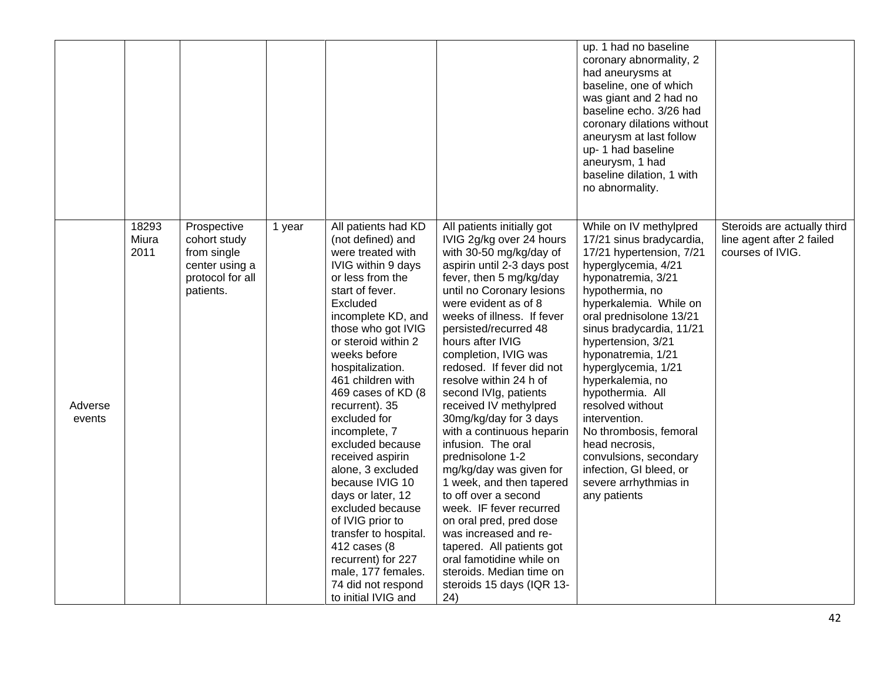|                   |                        |                                                                                               |        |                                                                                                                                                                                                                                                                                                                                                                                                                                                                                                                                                                                                                            |                                                                                                                                                                                                                                                                                                                                                                                                                                                                                                                                                                                                                                                                                                                                                                                                       | up. 1 had no baseline<br>coronary abnormality, 2<br>had aneurysms at<br>baseline, one of which<br>was giant and 2 had no<br>baseline echo. 3/26 had<br>coronary dilations without<br>aneurysm at last follow<br>up-1 had baseline<br>aneurysm, 1 had<br>baseline dilation, 1 with<br>no abnormality.                                                                                                                                                                                                                      |                                                                              |
|-------------------|------------------------|-----------------------------------------------------------------------------------------------|--------|----------------------------------------------------------------------------------------------------------------------------------------------------------------------------------------------------------------------------------------------------------------------------------------------------------------------------------------------------------------------------------------------------------------------------------------------------------------------------------------------------------------------------------------------------------------------------------------------------------------------------|-------------------------------------------------------------------------------------------------------------------------------------------------------------------------------------------------------------------------------------------------------------------------------------------------------------------------------------------------------------------------------------------------------------------------------------------------------------------------------------------------------------------------------------------------------------------------------------------------------------------------------------------------------------------------------------------------------------------------------------------------------------------------------------------------------|---------------------------------------------------------------------------------------------------------------------------------------------------------------------------------------------------------------------------------------------------------------------------------------------------------------------------------------------------------------------------------------------------------------------------------------------------------------------------------------------------------------------------|------------------------------------------------------------------------------|
| Adverse<br>events | 18293<br>Miura<br>2011 | Prospective<br>cohort study<br>from single<br>center using a<br>protocol for all<br>patients. | 1 year | All patients had KD<br>(not defined) and<br>were treated with<br>IVIG within 9 days<br>or less from the<br>start of fever.<br>Excluded<br>incomplete KD, and<br>those who got IVIG<br>or steroid within 2<br>weeks before<br>hospitalization.<br>461 children with<br>469 cases of KD (8<br>recurrent). 35<br>excluded for<br>incomplete, 7<br>excluded because<br>received aspirin<br>alone, 3 excluded<br>because IVIG 10<br>days or later, 12<br>excluded because<br>of IVIG prior to<br>transfer to hospital.<br>412 cases (8<br>recurrent) for 227<br>male, 177 females.<br>74 did not respond<br>to initial IVIG and | All patients initially got<br>IVIG 2g/kg over 24 hours<br>with 30-50 mg/kg/day of<br>aspirin until 2-3 days post<br>fever, then 5 mg/kg/day<br>until no Coronary lesions<br>were evident as of 8<br>weeks of illness. If fever<br>persisted/recurred 48<br>hours after IVIG<br>completion, IVIG was<br>redosed. If fever did not<br>resolve within 24 h of<br>second IVIg, patients<br>received IV methylpred<br>30mg/kg/day for 3 days<br>with a continuous heparin<br>infusion. The oral<br>prednisolone 1-2<br>mg/kg/day was given for<br>1 week, and then tapered<br>to off over a second<br>week. IF fever recurred<br>on oral pred, pred dose<br>was increased and re-<br>tapered. All patients got<br>oral famotidine while on<br>steroids. Median time on<br>steroids 15 days (IQR 13-<br>24) | While on IV methylpred<br>17/21 sinus bradycardia,<br>17/21 hypertension, 7/21<br>hyperglycemia, 4/21<br>hyponatremia, 3/21<br>hypothermia, no<br>hyperkalemia. While on<br>oral prednisolone 13/21<br>sinus bradycardia, 11/21<br>hypertension, 3/21<br>hyponatremia, 1/21<br>hyperglycemia, 1/21<br>hyperkalemia, no<br>hypothermia. All<br>resolved without<br>intervention.<br>No thrombosis, femoral<br>head necrosis,<br>convulsions, secondary<br>infection, GI bleed, or<br>severe arrhythmias in<br>any patients | Steroids are actually third<br>line agent after 2 failed<br>courses of IVIG. |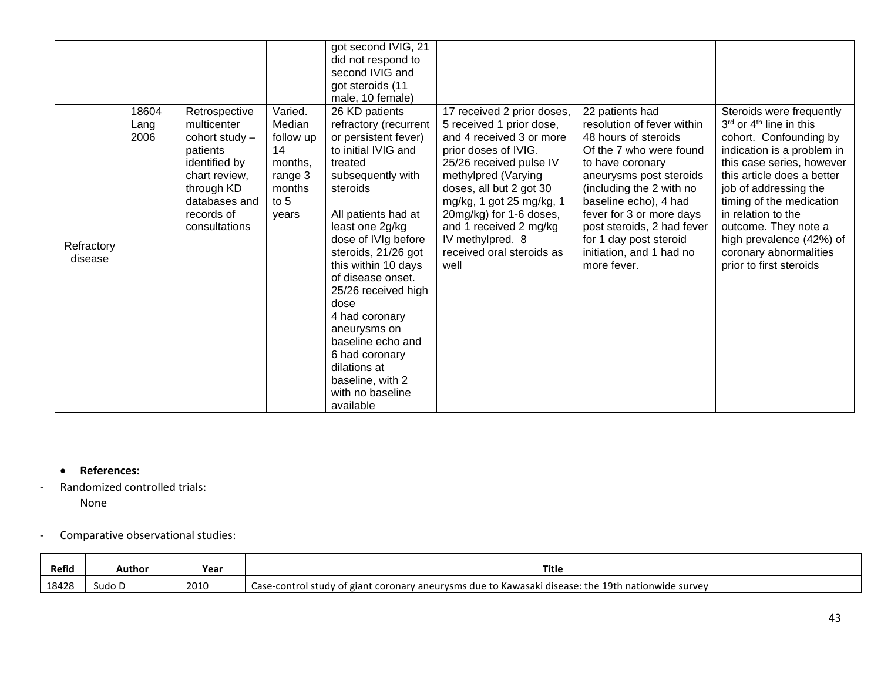|                       |                       |                                                                                                                                                            |                                                                                         | got second IVIG, 21<br>did not respond to<br>second IVIG and<br>got steroids (11<br>male, 10 female)                                                                                                                                                                                                                                                                                                                                                |                                                                                                                                                                                                                                                                                                                                   |                                                                                                                                                                                                                                                                                                                                     |                                                                                                                                                                                                                                                                                                                                                                |
|-----------------------|-----------------------|------------------------------------------------------------------------------------------------------------------------------------------------------------|-----------------------------------------------------------------------------------------|-----------------------------------------------------------------------------------------------------------------------------------------------------------------------------------------------------------------------------------------------------------------------------------------------------------------------------------------------------------------------------------------------------------------------------------------------------|-----------------------------------------------------------------------------------------------------------------------------------------------------------------------------------------------------------------------------------------------------------------------------------------------------------------------------------|-------------------------------------------------------------------------------------------------------------------------------------------------------------------------------------------------------------------------------------------------------------------------------------------------------------------------------------|----------------------------------------------------------------------------------------------------------------------------------------------------------------------------------------------------------------------------------------------------------------------------------------------------------------------------------------------------------------|
| Refractory<br>disease | 18604<br>Lang<br>2006 | Retrospective<br>multicenter<br>cohort study -<br>patients<br>identified by<br>chart review,<br>through KD<br>databases and<br>records of<br>consultations | Varied.<br>Median<br>follow up<br>14<br>months.<br>range 3<br>months<br>to $5$<br>years | 26 KD patients<br>refractory (recurrent<br>or persistent fever)<br>to initial IVIG and<br>treated<br>subsequently with<br>steroids<br>All patients had at<br>least one 2g/kg<br>dose of IVIg before<br>steroids, 21/26 got<br>this within 10 days<br>of disease onset.<br>25/26 received high<br>dose<br>4 had coronary<br>aneurysms on<br>baseline echo and<br>6 had coronary<br>dilations at<br>baseline, with 2<br>with no baseline<br>available | 17 received 2 prior doses,<br>5 received 1 prior dose,<br>and 4 received 3 or more<br>prior doses of IVIG.<br>25/26 received pulse IV<br>methylpred (Varying<br>doses, all but 2 got 30<br>mg/kg, 1 got 25 mg/kg, 1<br>20mg/kg) for 1-6 doses,<br>and 1 received 2 mg/kg<br>IV methylpred. 8<br>received oral steroids as<br>well | 22 patients had<br>resolution of fever within<br>48 hours of steroids<br>Of the 7 who were found<br>to have coronary<br>aneurysms post steroids<br>(including the 2 with no<br>baseline echo), 4 had<br>fever for 3 or more days<br>post steroids, 2 had fever<br>for 1 day post steroid<br>initiation, and 1 had no<br>more fever. | Steroids were frequently<br>$3rd$ or $4th$ line in this<br>cohort. Confounding by<br>indication is a problem in<br>this case series, however<br>this article does a better<br>job of addressing the<br>timing of the medication<br>in relation to the<br>outcome. They note a<br>high prevalence (42%) of<br>coronary abnormalities<br>prior to first steroids |

- **References:**
- Randomized controlled trials:

None

### - Comparative observational studies:

| <b>Refid</b> | Author | Year | Title                                                                                                     |
|--------------|--------|------|-----------------------------------------------------------------------------------------------------------|
| 18428        | Sudo D | 2010 | a-control study of giant coronary aneurysms due to Kawasaki disease: the 19th nationwide survey<br>ا-Case |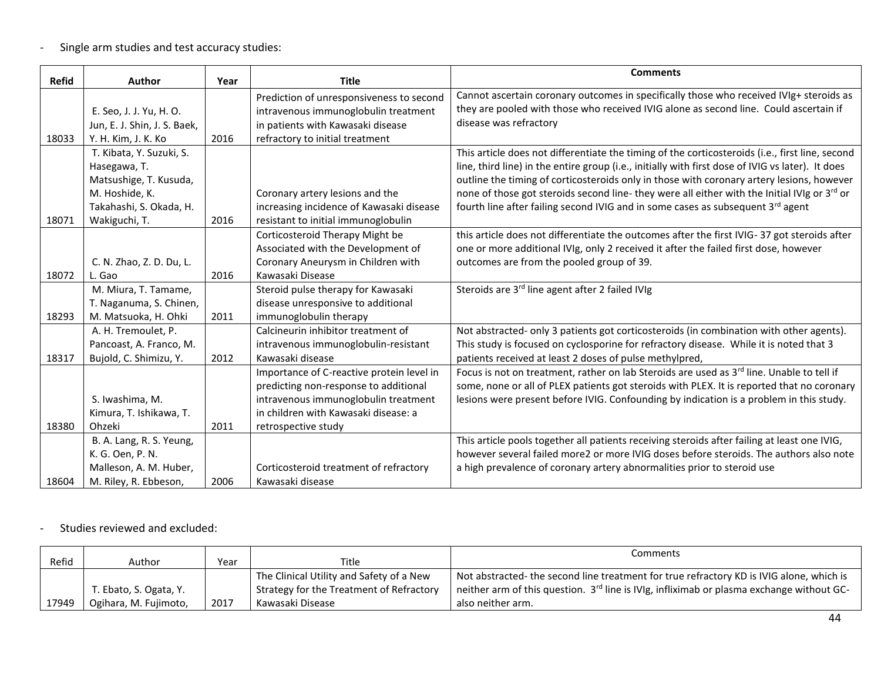## - Single arm studies and test accuracy studies:

|              |                              |      |                                           | <b>Comments</b>                                                                                   |
|--------------|------------------------------|------|-------------------------------------------|---------------------------------------------------------------------------------------------------|
| <b>Refid</b> | Author                       | Year | <b>Title</b>                              |                                                                                                   |
|              |                              |      | Prediction of unresponsiveness to second  | Cannot ascertain coronary outcomes in specifically those who received IVIg+ steroids as           |
|              | E. Seo, J. J. Yu, H. O.      |      | intravenous immunoglobulin treatment      | they are pooled with those who received IVIG alone as second line. Could ascertain if             |
|              | Jun, E. J. Shin, J. S. Baek, |      | in patients with Kawasaki disease         | disease was refractory                                                                            |
| 18033        | Y. H. Kim, J. K. Ko          | 2016 | refractory to initial treatment           |                                                                                                   |
|              | T. Kibata, Y. Suzuki, S.     |      |                                           | This article does not differentiate the timing of the corticosteroids (i.e., first line, second   |
|              | Hasegawa, T.                 |      |                                           | line, third line) in the entire group (i.e., initially with first dose of IVIG vs later). It does |
|              | Matsushige, T. Kusuda,       |      |                                           | outline the timing of corticosteroids only in those with coronary artery lesions, however         |
|              | M. Hoshide, K.               |      | Coronary artery lesions and the           | none of those got steroids second line- they were all either with the Initial IVIg or 3rd or      |
|              | Takahashi, S. Okada, H.      |      | increasing incidence of Kawasaki disease  | fourth line after failing second IVIG and in some cases as subsequent 3rd agent                   |
| 18071        | Wakiguchi, T.                | 2016 | resistant to initial immunoglobulin       |                                                                                                   |
|              |                              |      | Corticosteroid Therapy Might be           | this article does not differentiate the outcomes after the first IVIG-37 got steroids after       |
|              |                              |      | Associated with the Development of        | one or more additional IVIg, only 2 received it after the failed first dose, however              |
|              | C. N. Zhao, Z. D. Du, L.     |      | Coronary Aneurysm in Children with        | outcomes are from the pooled group of 39.                                                         |
| 18072        | L. Gao                       | 2016 | Kawasaki Disease                          |                                                                                                   |
|              | M. Miura, T. Tamame,         |      | Steroid pulse therapy for Kawasaki        | Steroids are 3rd line agent after 2 failed IVIg                                                   |
|              | T. Naganuma, S. Chinen,      |      | disease unresponsive to additional        |                                                                                                   |
| 18293        | M. Matsuoka, H. Ohki         | 2011 | immunoglobulin therapy                    |                                                                                                   |
|              | A. H. Tremoulet, P.          |      | Calcineurin inhibitor treatment of        | Not abstracted- only 3 patients got corticosteroids (in combination with other agents).           |
|              | Pancoast, A. Franco, M.      |      | intravenous immunoglobulin-resistant      | This study is focused on cyclosporine for refractory disease. While it is noted that 3            |
| 18317        | Bujold, C. Shimizu, Y.       | 2012 | Kawasaki disease                          | patients received at least 2 doses of pulse methylpred,                                           |
|              |                              |      | Importance of C-reactive protein level in | Focus is not on treatment, rather on lab Steroids are used as 3rd line. Unable to tell if         |
|              |                              |      | predicting non-response to additional     | some, none or all of PLEX patients got steroids with PLEX. It is reported that no coronary        |
|              | S. Iwashima, M.              |      | intravenous immunoglobulin treatment      | lesions were present before IVIG. Confounding by indication is a problem in this study.           |
|              | Kimura, T. Ishikawa, T.      |      | in children with Kawasaki disease: a      |                                                                                                   |
| 18380        | Ohzeki                       | 2011 | retrospective study                       |                                                                                                   |
|              | B. A. Lang, R. S. Yeung,     |      |                                           | This article pools together all patients receiving steroids after failing at least one IVIG,      |
|              | K. G. Oen, P. N.             |      |                                           | however several failed more2 or more IVIG doses before steroids. The authors also note            |
|              | Malleson, A. M. Huber,       |      | Corticosteroid treatment of refractory    | a high prevalence of coronary artery abnormalities prior to steroid use                           |
| 18604        | M. Riley, R. Ebbeson,        | 2006 | Kawasaki disease                          |                                                                                                   |

### - Studies reviewed and excluded:

| Refid | Author                 | Year | Title                                    | Comments                                                                                                          |
|-------|------------------------|------|------------------------------------------|-------------------------------------------------------------------------------------------------------------------|
|       |                        |      | The Clinical Utility and Safety of a New | Not abstracted- the second line treatment for true refractory KD is IVIG alone, which is                          |
|       | T. Ebato, S. Ogata, Y. |      | Strategy for the Treatment of Refractory | $\parallel$ neither arm of this question. 3 <sup>rd</sup> line is IVIg, infliximab or plasma exchange without GC- |
| 17949 | Ogihara, M. Fujimoto,  | 2017 | Kawasaki Disease                         | also neither arm.                                                                                                 |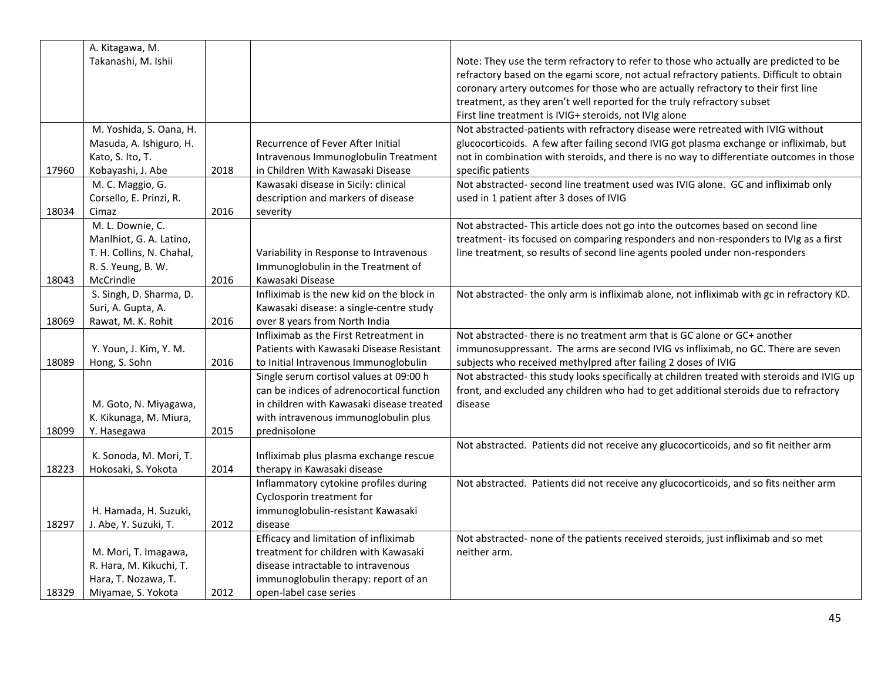|       | A. Kitagawa, M.           |      |                                           |                                                                                            |
|-------|---------------------------|------|-------------------------------------------|--------------------------------------------------------------------------------------------|
|       | Takanashi, M. Ishii       |      |                                           | Note: They use the term refractory to refer to those who actually are predicted to be      |
|       |                           |      |                                           | refractory based on the egami score, not actual refractory patients. Difficult to obtain   |
|       |                           |      |                                           | coronary artery outcomes for those who are actually refractory to their first line         |
|       |                           |      |                                           | treatment, as they aren't well reported for the truly refractory subset                    |
|       |                           |      |                                           | First line treatment is IVIG+ steroids, not IVIg alone                                     |
|       | M. Yoshida, S. Oana, H.   |      |                                           | Not abstracted-patients with refractory disease were retreated with IVIG without           |
|       | Masuda, A. Ishiguro, H.   |      | Recurrence of Fever After Initial         | glucocorticoids. A few after failing second IVIG got plasma exchange or infliximab, but    |
|       | Kato, S. Ito, T.          |      | Intravenous Immunoglobulin Treatment      | not in combination with steroids, and there is no way to differentiate outcomes in those   |
| 17960 | Kobayashi, J. Abe         | 2018 | in Children With Kawasaki Disease         | specific patients                                                                          |
|       | M. C. Maggio, G.          |      | Kawasaki disease in Sicily: clinical      | Not abstracted- second line treatment used was IVIG alone. GC and infliximab only          |
|       | Corsello, E. Prinzi, R.   |      | description and markers of disease        | used in 1 patient after 3 doses of IVIG                                                    |
| 18034 | Cimaz                     | 2016 | severity                                  |                                                                                            |
|       | M. L. Downie, C.          |      |                                           | Not abstracted-This article does not go into the outcomes based on second line             |
|       | Manlhiot, G. A. Latino,   |      |                                           | treatment- its focused on comparing responders and non-responders to IVIg as a first       |
|       | T. H. Collins, N. Chahal, |      | Variability in Response to Intravenous    | line treatment, so results of second line agents pooled under non-responders               |
|       | R. S. Yeung, B. W.        |      | Immunoglobulin in the Treatment of        |                                                                                            |
| 18043 | McCrindle                 | 2016 | Kawasaki Disease                          |                                                                                            |
|       | S. Singh, D. Sharma, D.   |      | Infliximab is the new kid on the block in | Not abstracted-the only arm is infliximab alone, not infliximab with gc in refractory KD.  |
|       | Suri, A. Gupta, A.        |      | Kawasaki disease: a single-centre study   |                                                                                            |
| 18069 | Rawat, M. K. Rohit        | 2016 | over 8 years from North India             |                                                                                            |
|       |                           |      | Infliximab as the First Retreatment in    | Not abstracted-there is no treatment arm that is GC alone or GC+ another                   |
|       | Y. Youn, J. Kim, Y. M.    |      | Patients with Kawasaki Disease Resistant  | immunosuppressant. The arms are second IVIG vs infliximab, no GC. There are seven          |
| 18089 | Hong, S. Sohn             | 2016 | to Initial Intravenous Immunoglobulin     | subjects who received methylpred after failing 2 doses of IVIG                             |
|       |                           |      | Single serum cortisol values at 09:00 h   | Not abstracted-this study looks specifically at children treated with steroids and IVIG up |
|       |                           |      | can be indices of adrenocortical function | front, and excluded any children who had to get additional steroids due to refractory      |
|       | M. Goto, N. Miyagawa,     |      | in children with Kawasaki disease treated | disease                                                                                    |
|       | K. Kikunaga, M. Miura,    |      | with intravenous immunoglobulin plus      |                                                                                            |
| 18099 | Y. Hasegawa               | 2015 | prednisolone                              |                                                                                            |
|       |                           |      |                                           | Not abstracted. Patients did not receive any glucocorticoids, and so fit neither arm       |
|       | K. Sonoda, M. Mori, T.    |      | Infliximab plus plasma exchange rescue    |                                                                                            |
| 18223 | Hokosaki, S. Yokota       | 2014 | therapy in Kawasaki disease               |                                                                                            |
|       |                           |      | Inflammatory cytokine profiles during     | Not abstracted. Patients did not receive any glucocorticoids, and so fits neither arm      |
|       |                           |      | Cyclosporin treatment for                 |                                                                                            |
|       | H. Hamada, H. Suzuki,     |      | immunoglobulin-resistant Kawasaki         |                                                                                            |
| 18297 | J. Abe, Y. Suzuki, T.     | 2012 | disease                                   |                                                                                            |
|       |                           |      | Efficacy and limitation of infliximab     | Not abstracted- none of the patients received steroids, just infliximab and so met         |
|       | M. Mori, T. Imagawa,      |      | treatment for children with Kawasaki      | neither arm.                                                                               |
|       | R. Hara, M. Kikuchi, T.   |      | disease intractable to intravenous        |                                                                                            |
|       | Hara, T. Nozawa, T.       |      | immunoglobulin therapy: report of an      |                                                                                            |
| 18329 | Miyamae, S. Yokota        | 2012 | open-label case series                    |                                                                                            |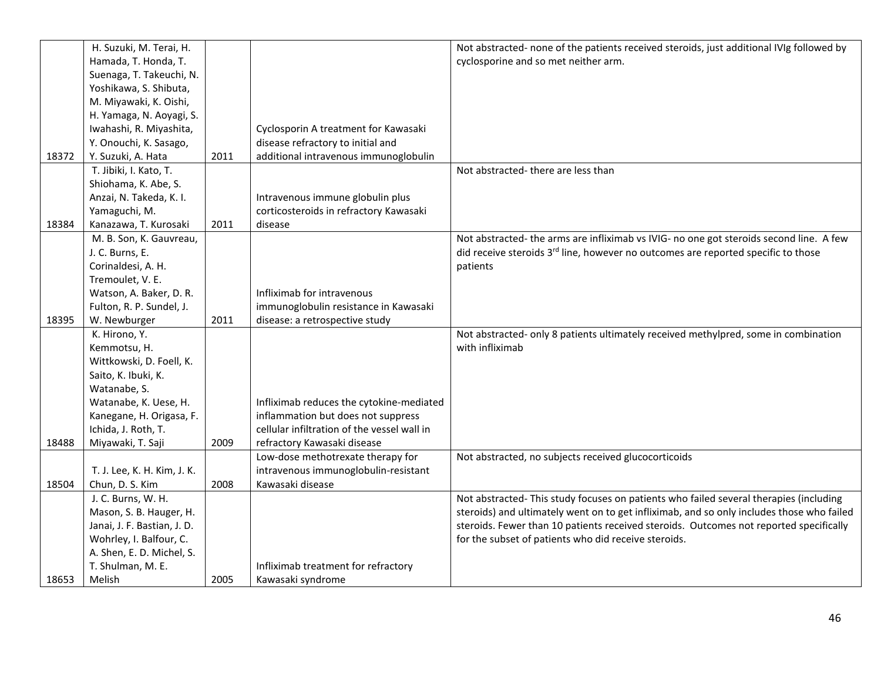|       | H. Suzuki, M. Terai, H.     |      |                                             | Not abstracted- none of the patients received steroids, just additional IVIg followed by      |
|-------|-----------------------------|------|---------------------------------------------|-----------------------------------------------------------------------------------------------|
|       | Hamada, T. Honda, T.        |      |                                             | cyclosporine and so met neither arm.                                                          |
|       | Suenaga, T. Takeuchi, N.    |      |                                             |                                                                                               |
|       | Yoshikawa, S. Shibuta,      |      |                                             |                                                                                               |
|       | M. Miyawaki, K. Oishi,      |      |                                             |                                                                                               |
|       | H. Yamaga, N. Aoyagi, S.    |      |                                             |                                                                                               |
|       | Iwahashi, R. Miyashita,     |      | Cyclosporin A treatment for Kawasaki        |                                                                                               |
|       | Y. Onouchi, K. Sasago,      |      | disease refractory to initial and           |                                                                                               |
| 18372 | Y. Suzuki, A. Hata          | 2011 | additional intravenous immunoglobulin       |                                                                                               |
|       | T. Jibiki, I. Kato, T.      |      |                                             | Not abstracted-there are less than                                                            |
|       | Shiohama, K. Abe, S.        |      |                                             |                                                                                               |
|       | Anzai, N. Takeda, K. I.     |      | Intravenous immune globulin plus            |                                                                                               |
|       | Yamaguchi, M.               |      | corticosteroids in refractory Kawasaki      |                                                                                               |
| 18384 | Kanazawa, T. Kurosaki       | 2011 | disease                                     |                                                                                               |
|       | M. B. Son, K. Gauvreau,     |      |                                             | Not abstracted- the arms are infliximab vs IVIG- no one got steroids second line. A few       |
|       | J. C. Burns, E.             |      |                                             | did receive steroids 3 <sup>rd</sup> line, however no outcomes are reported specific to those |
|       | Corinaldesi, A. H.          |      |                                             | patients                                                                                      |
|       | Tremoulet, V. E.            |      |                                             |                                                                                               |
|       | Watson, A. Baker, D. R.     |      | Infliximab for intravenous                  |                                                                                               |
|       | Fulton, R. P. Sundel, J.    |      | immunoglobulin resistance in Kawasaki       |                                                                                               |
| 18395 | W. Newburger                | 2011 | disease: a retrospective study              |                                                                                               |
|       | K. Hirono, Y.               |      |                                             | Not abstracted- only 8 patients ultimately received methylpred, some in combination           |
|       | Kemmotsu, H.                |      |                                             | with infliximab                                                                               |
|       | Wittkowski, D. Foell, K.    |      |                                             |                                                                                               |
|       | Saito, K. Ibuki, K.         |      |                                             |                                                                                               |
|       | Watanabe, S.                |      |                                             |                                                                                               |
|       | Watanabe, K. Uese, H.       |      | Infliximab reduces the cytokine-mediated    |                                                                                               |
|       | Kanegane, H. Origasa, F.    |      | inflammation but does not suppress          |                                                                                               |
|       | Ichida, J. Roth, T.         |      | cellular infiltration of the vessel wall in |                                                                                               |
| 18488 | Miyawaki, T. Saji           | 2009 | refractory Kawasaki disease                 |                                                                                               |
|       |                             |      | Low-dose methotrexate therapy for           | Not abstracted, no subjects received glucocorticoids                                          |
|       | T. J. Lee, K. H. Kim, J. K. |      | intravenous immunoglobulin-resistant        |                                                                                               |
| 18504 | Chun, D. S. Kim             | 2008 | Kawasaki disease                            |                                                                                               |
|       | J. C. Burns, W. H.          |      |                                             | Not abstracted-This study focuses on patients who failed several therapies (including         |
|       | Mason, S. B. Hauger, H.     |      |                                             | steroids) and ultimately went on to get infliximab, and so only includes those who failed     |
|       | Janai, J. F. Bastian, J. D. |      |                                             | steroids. Fewer than 10 patients received steroids. Outcomes not reported specifically        |
|       | Wohrley, I. Balfour, C.     |      |                                             | for the subset of patients who did receive steroids.                                          |
|       | A. Shen, E. D. Michel, S.   |      |                                             |                                                                                               |
|       | T. Shulman, M. E.           |      | Infliximab treatment for refractory         |                                                                                               |
| 18653 | Melish                      | 2005 | Kawasaki syndrome                           |                                                                                               |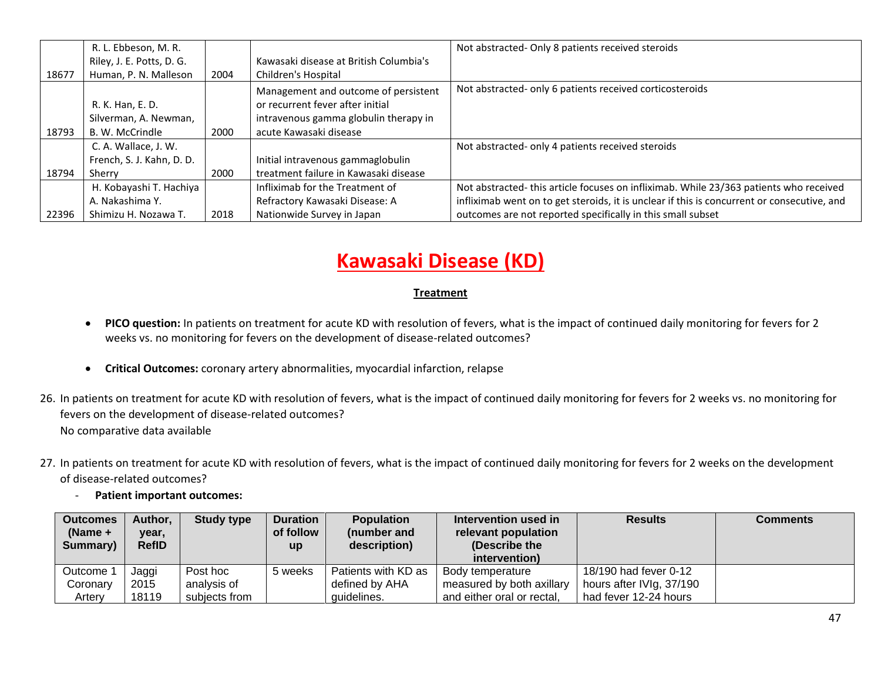|       | R. L. Ebbeson, M. R.      |      |                                        | Not abstracted- Only 8 patients received steroids                                           |
|-------|---------------------------|------|----------------------------------------|---------------------------------------------------------------------------------------------|
|       | Riley, J. E. Potts, D. G. |      | Kawasaki disease at British Columbia's |                                                                                             |
| 18677 | Human, P. N. Malleson     | 2004 | Children's Hospital                    |                                                                                             |
|       |                           |      | Management and outcome of persistent   | Not abstracted- only 6 patients received corticosteroids                                    |
|       | R. K. Han, E. D.          |      | or recurrent fever after initial       |                                                                                             |
|       | Silverman, A. Newman,     |      | intravenous gamma globulin therapy in  |                                                                                             |
| 18793 | B. W. McCrindle           | 2000 | acute Kawasaki disease                 |                                                                                             |
|       | C. A. Wallace, J. W.      |      |                                        | Not abstracted- only 4 patients received steroids                                           |
|       | French, S. J. Kahn, D. D. |      | Initial intravenous gammaglobulin      |                                                                                             |
| 18794 | Sherry                    | 2000 | treatment failure in Kawasaki disease  |                                                                                             |
|       | H. Kobayashi T. Hachiya   |      | Infliximab for the Treatment of        | Not abstracted-this article focuses on infliximab. While 23/363 patients who received       |
|       | A. Nakashima Y.           |      | Refractory Kawasaki Disease: A         | infliximab went on to get steroids, it is unclear if this is concurrent or consecutive, and |
| 22396 | Shimizu H. Nozawa T.      | 2018 | Nationwide Survey in Japan             | outcomes are not reported specifically in this small subset                                 |

#### **Treatment**

- **PICO question:** In patients on treatment for acute KD with resolution of fevers, what is the impact of continued daily monitoring for fevers for 2 weeks vs. no monitoring for fevers on the development of disease-related outcomes?
- **Critical Outcomes:** coronary artery abnormalities, myocardial infarction, relapse
- 26. In patients on treatment for acute KD with resolution of fevers, what is the impact of continued daily monitoring for fevers for 2 weeks vs. no monitoring for fevers on the development of disease-related outcomes? No comparative data available
- 27. In patients on treatment for acute KD with resolution of fevers, what is the impact of continued daily monitoring for fevers for 2 weeks on the development of disease-related outcomes?
	- **Patient important outcomes:**

| <b>Outcomes</b><br>$(Name +$<br>Summary) | Author,<br>year,<br><b>RefID</b> | <b>Study type</b>       | <b>Duration</b><br>of follow<br><b>up</b> | <b>Population</b><br>(number and<br>description) | Intervention used in<br>relevant population<br>(Describe the<br>intervention) | <b>Results</b>                                    | <b>Comments</b> |
|------------------------------------------|----------------------------------|-------------------------|-------------------------------------------|--------------------------------------------------|-------------------------------------------------------------------------------|---------------------------------------------------|-----------------|
| Outcome 1<br>Coronary                    | Jaggi<br>2015                    | Post hoc<br>analysis of | 5 weeks                                   | Patients with KD as<br>defined by AHA            | Body temperature<br>measured by both axillary                                 | 18/190 had fever 0-12<br>hours after IVIg, 37/190 |                 |
| Artery                                   | 18119                            | subiects from           |                                           | quidelines.                                      | and either oral or rectal,                                                    | had fever 12-24 hours                             |                 |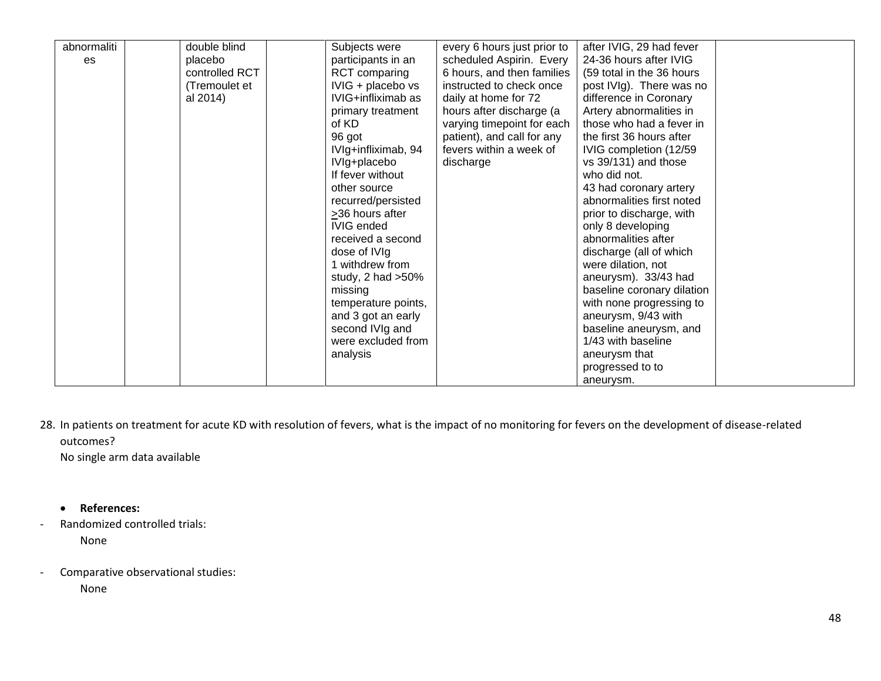| abnormaliti | double blind   | Subjects were        | every 6 hours just prior to | after IVIG, 29 had fever                 |  |
|-------------|----------------|----------------------|-----------------------------|------------------------------------------|--|
| es          | placebo        | participants in an   | scheduled Aspirin. Every    | 24-36 hours after IVIG                   |  |
|             | controlled RCT | <b>RCT</b> comparing | 6 hours, and then families  | (59 total in the 36 hours                |  |
|             | (Tremoulet et  | IVIG + placebo vs    | instructed to check once    | post IVIg). There was no                 |  |
|             | al 2014)       | IVIG+infliximab as   | daily at home for 72        | difference in Coronary                   |  |
|             |                | primary treatment    | hours after discharge (a    | Artery abnormalities in                  |  |
|             |                | of KD                | varying timepoint for each  | those who had a fever in                 |  |
|             |                | 96 got               | patient), and call for any  | the first 36 hours after                 |  |
|             |                | IVIg+infliximab, 94  | fevers within a week of     | IVIG completion (12/59                   |  |
|             |                | IVIg+placebo         | discharge                   | vs 39/131) and those                     |  |
|             |                | If fever without     |                             | who did not.                             |  |
|             |                | other source         |                             | 43 had coronary artery                   |  |
|             |                | recurred/persisted   |                             | abnormalities first noted                |  |
|             |                | >36 hours after      |                             |                                          |  |
|             |                | <b>IVIG</b> ended    |                             | prior to discharge, with                 |  |
|             |                |                      |                             | only 8 developing<br>abnormalities after |  |
|             |                | received a second    |                             |                                          |  |
|             |                | dose of IVIg         |                             | discharge (all of which                  |  |
|             |                | 1 withdrew from      |                             | were dilation, not                       |  |
|             |                | study, 2 had > 50%   |                             | aneurysm). 33/43 had                     |  |
|             |                | missing              |                             | baseline coronary dilation               |  |
|             |                | temperature points,  |                             | with none progressing to                 |  |
|             |                | and 3 got an early   |                             | aneurysm, 9/43 with                      |  |
|             |                | second IVIg and      |                             | baseline aneurysm, and                   |  |
|             |                | were excluded from   |                             | 1/43 with baseline                       |  |
|             |                | analysis             |                             | aneurysm that                            |  |
|             |                |                      |                             | progressed to to                         |  |
|             |                |                      |                             | aneurysm.                                |  |

28. In patients on treatment for acute KD with resolution of fevers, what is the impact of no monitoring for fevers on the development of disease-related outcomes?

No single arm data available

- **References:**
- Randomized controlled trials:

None

- Comparative observational studies: None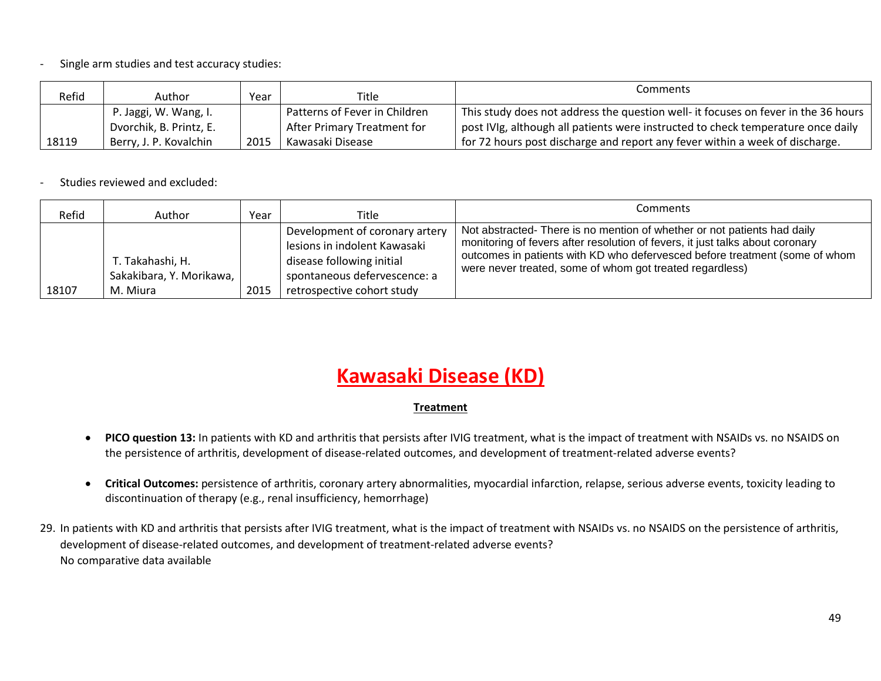- Single arm studies and test accuracy studies:

| Refid | Author                  | Year | Title                         | Comments                                                                           |
|-------|-------------------------|------|-------------------------------|------------------------------------------------------------------------------------|
|       | P. Jaggi, W. Wang, I.   |      | Patterns of Fever in Children | This study does not address the question well- it focuses on fever in the 36 hours |
|       | Dvorchik, B. Printz, E. |      | After Primary Treatment for   | post IVIg, although all patients were instructed to check temperature once daily   |
| 18119 | Berry, J. P. Kovalchin  | 2015 | Kawasaki Disease              | for 72 hours post discharge and report any fever within a week of discharge.       |

- Studies reviewed and excluded:

| Refid | Author                                                     | Year | Title                                                                                                                                                     | Comments                                                                                                                                                                                                                                                                                             |
|-------|------------------------------------------------------------|------|-----------------------------------------------------------------------------------------------------------------------------------------------------------|------------------------------------------------------------------------------------------------------------------------------------------------------------------------------------------------------------------------------------------------------------------------------------------------------|
| 18107 | T. Takahashi, H.<br>Sakakibara, Y. Morikawa,  <br>M. Miura | 2015 | Development of coronary artery<br>lesions in indolent Kawasaki<br>disease following initial<br>spontaneous defervescence: a<br>retrospective cohort study | Not abstracted- There is no mention of whether or not patients had daily<br>monitoring of fevers after resolution of fevers, it just talks about coronary<br>outcomes in patients with KD who defervesced before treatment (some of whom<br>were never treated, some of whom got treated regardless) |

## **Kawasaki Disease (KD)**

#### **Treatment**

- **PICO question 13:** In patients with KD and arthritis that persists after IVIG treatment, what is the impact of treatment with NSAIDs vs. no NSAIDS on the persistence of arthritis, development of disease-related outcomes, and development of treatment-related adverse events?
- **Critical Outcomes:** persistence of arthritis, coronary artery abnormalities, myocardial infarction, relapse, serious adverse events, toxicity leading to discontinuation of therapy (e.g., renal insufficiency, hemorrhage)
- 29. In patients with KD and arthritis that persists after IVIG treatment, what is the impact of treatment with NSAIDs vs. no NSAIDS on the persistence of arthritis, development of disease-related outcomes, and development of treatment-related adverse events? No comparative data available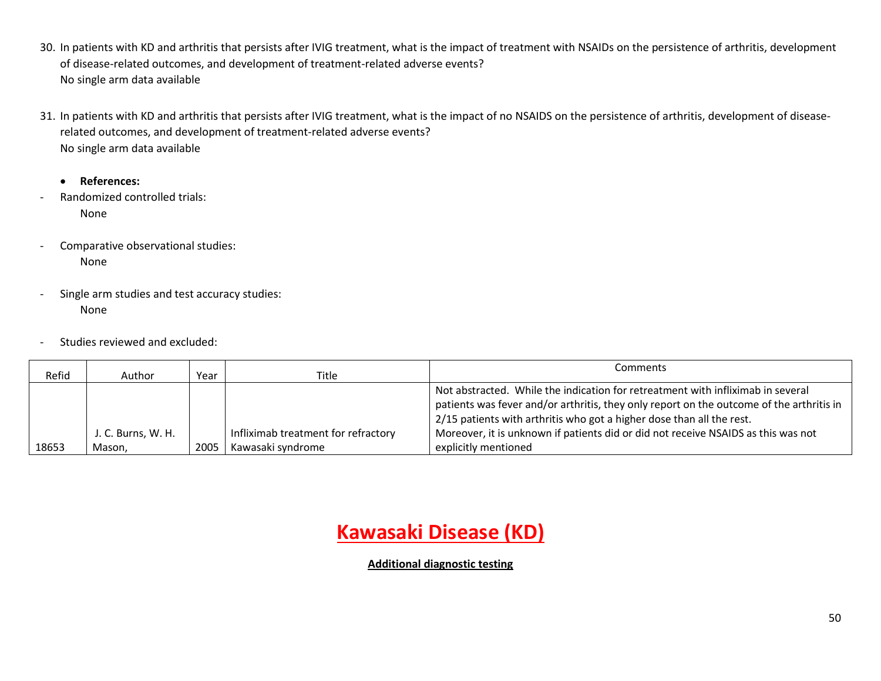- 30. In patients with KD and arthritis that persists after IVIG treatment, what is the impact of treatment with NSAIDs on the persistence of arthritis, development of disease-related outcomes, and development of treatment-related adverse events? No single arm data available
- 31. In patients with KD and arthritis that persists after IVIG treatment, what is the impact of no NSAIDS on the persistence of arthritis, development of diseaserelated outcomes, and development of treatment-related adverse events? No single arm data available
	- **References:**
- Randomized controlled trials: None
- Comparative observational studies: None
- Single arm studies and test accuracy studies: None
- Studies reviewed and excluded:

| Refid | Author             | Year | Title                               | Comments                                                                                                                                                                                                                                             |
|-------|--------------------|------|-------------------------------------|------------------------------------------------------------------------------------------------------------------------------------------------------------------------------------------------------------------------------------------------------|
|       |                    |      |                                     | Not abstracted. While the indication for retreatment with infliximab in several<br>patients was fever and/or arthritis, they only report on the outcome of the arthritis in<br>2/15 patients with arthritis who got a higher dose than all the rest. |
|       | J. C. Burns, W. H. |      | Infliximab treatment for refractory | Moreover, it is unknown if patients did or did not receive NSAIDS as this was not                                                                                                                                                                    |
| 18653 | Mason.             | 2005 | Kawasaki syndrome                   | explicitly mentioned                                                                                                                                                                                                                                 |

**Additional diagnostic testing**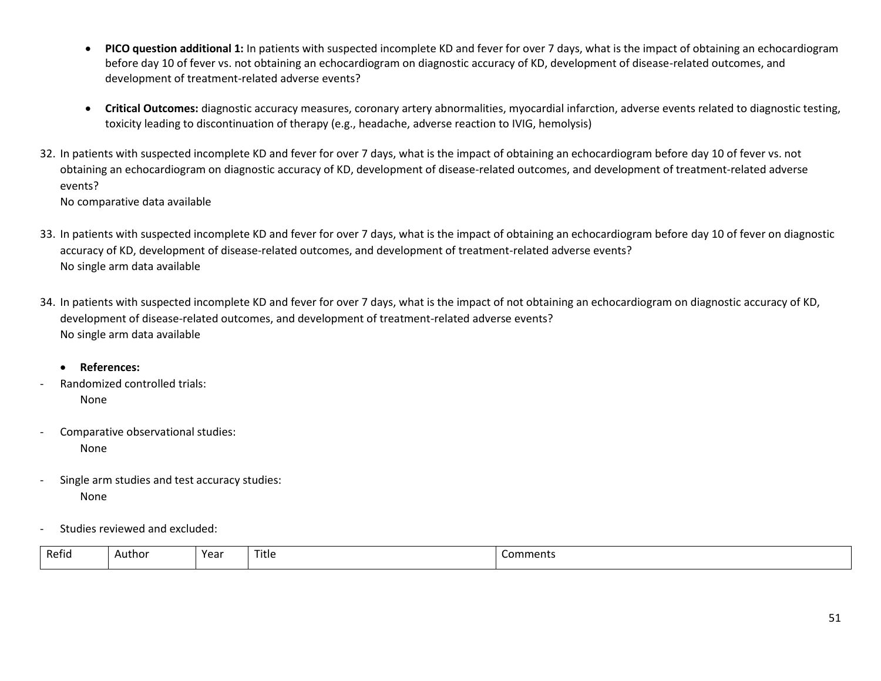- **PICO question additional 1:** In patients with suspected incomplete KD and fever for over 7 days, what is the impact of obtaining an echocardiogram before day 10 of fever vs. not obtaining an echocardiogram on diagnostic accuracy of KD, development of disease-related outcomes, and development of treatment-related adverse events?
- **Critical Outcomes:** diagnostic accuracy measures, coronary artery abnormalities, myocardial infarction, adverse events related to diagnostic testing, toxicity leading to discontinuation of therapy (e.g., headache, adverse reaction to IVIG, hemolysis)
- 32. In patients with suspected incomplete KD and fever for over 7 days, what is the impact of obtaining an echocardiogram before day 10 of fever vs. not obtaining an echocardiogram on diagnostic accuracy of KD, development of disease-related outcomes, and development of treatment-related adverse events? No comparative data available
- 33. In patients with suspected incomplete KD and fever for over 7 days, what is the impact of obtaining an echocardiogram before day 10 of fever on diagnostic accuracy of KD, development of disease-related outcomes, and development of treatment-related adverse events? No single arm data available
- 34. In patients with suspected incomplete KD and fever for over 7 days, what is the impact of not obtaining an echocardiogram on diagnostic accuracy of KD, development of disease-related outcomes, and development of treatment-related adverse events? No single arm data available

#### • **References:**

- Randomized controlled trials: None
- Comparative observational studies: None
- Single arm studies and test accuracy studies: None
- Studies reviewed and excluded:

| Refid | Author | Year | Title | Comments |
|-------|--------|------|-------|----------|
|       |        |      |       |          |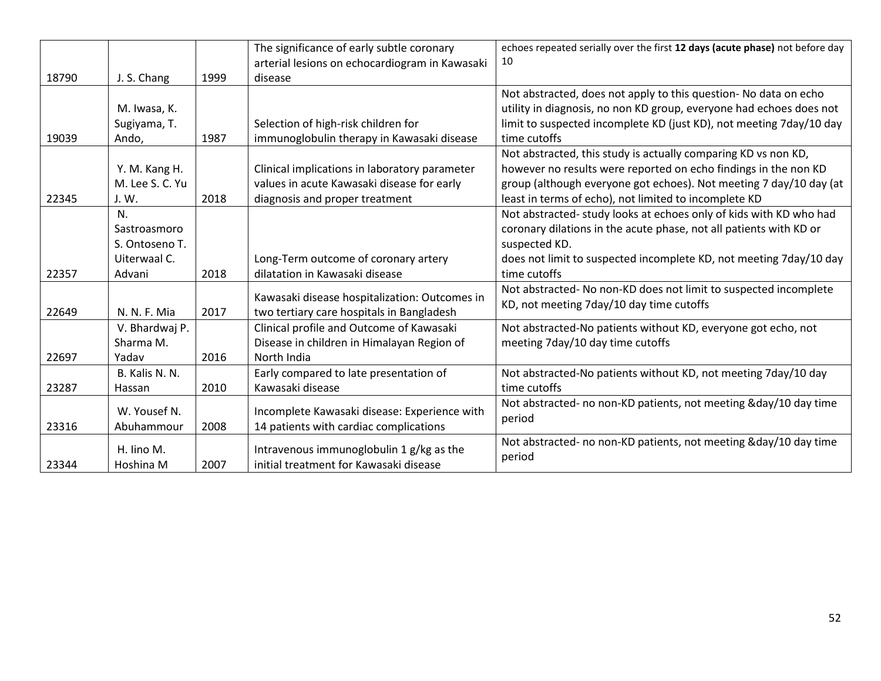|       |                 |      | The significance of early subtle coronary                                                  | echoes repeated serially over the first 12 days (acute phase) not before day                      |
|-------|-----------------|------|--------------------------------------------------------------------------------------------|---------------------------------------------------------------------------------------------------|
|       |                 |      | arterial lesions on echocardiogram in Kawasaki                                             | 10                                                                                                |
| 18790 | J. S. Chang     | 1999 | disease                                                                                    |                                                                                                   |
|       |                 |      |                                                                                            | Not abstracted, does not apply to this question-No data on echo                                   |
|       | M. Iwasa, K.    |      |                                                                                            | utility in diagnosis, no non KD group, everyone had echoes does not                               |
|       | Sugiyama, T.    |      | Selection of high-risk children for                                                        | limit to suspected incomplete KD (just KD), not meeting 7day/10 day                               |
| 19039 | Ando,           | 1987 | immunoglobulin therapy in Kawasaki disease                                                 | time cutoffs                                                                                      |
|       |                 |      |                                                                                            | Not abstracted, this study is actually comparing KD vs non KD,                                    |
|       | Y. M. Kang H.   |      | Clinical implications in laboratory parameter                                              | however no results were reported on echo findings in the non KD                                   |
|       | M. Lee S. C. Yu |      | values in acute Kawasaki disease for early                                                 | group (although everyone got echoes). Not meeting 7 day/10 day (at                                |
| 22345 | J.W.            | 2018 | diagnosis and proper treatment                                                             | least in terms of echo), not limited to incomplete KD                                             |
|       | N.              |      |                                                                                            | Not abstracted-study looks at echoes only of kids with KD who had                                 |
|       | Sastroasmoro    |      |                                                                                            | coronary dilations in the acute phase, not all patients with KD or                                |
|       | S. Ontoseno T.  |      |                                                                                            | suspected KD.                                                                                     |
|       | Uiterwaal C.    |      | Long-Term outcome of coronary artery                                                       | does not limit to suspected incomplete KD, not meeting 7day/10 day                                |
| 22357 | Advani          | 2018 | dilatation in Kawasaki disease                                                             | time cutoffs                                                                                      |
|       |                 |      |                                                                                            | Not abstracted- No non-KD does not limit to suspected incomplete                                  |
| 22649 | N. N. F. Mia    | 2017 | Kawasaki disease hospitalization: Outcomes in<br>two tertiary care hospitals in Bangladesh | KD, not meeting 7day/10 day time cutoffs                                                          |
|       | V. Bhardwaj P.  |      | Clinical profile and Outcome of Kawasaki                                                   |                                                                                                   |
|       | Sharma M.       |      | Disease in children in Himalayan Region of                                                 | Not abstracted-No patients without KD, everyone got echo, not<br>meeting 7day/10 day time cutoffs |
| 22697 | Yadav           | 2016 | North India                                                                                |                                                                                                   |
|       | B. Kalis N. N.  |      | Early compared to late presentation of                                                     | Not abstracted-No patients without KD, not meeting 7day/10 day                                    |
| 23287 |                 | 2010 | Kawasaki disease                                                                           | time cutoffs                                                                                      |
|       | Hassan          |      |                                                                                            |                                                                                                   |
|       | W. Yousef N.    |      | Incomplete Kawasaki disease: Experience with                                               | Not abstracted- no non-KD patients, not meeting &day/10 day time                                  |
| 23316 | Abuhammour      | 2008 | 14 patients with cardiac complications                                                     | period                                                                                            |
|       |                 |      |                                                                                            | Not abstracted- no non-KD patients, not meeting &day/10 day time                                  |
|       | H. lino M.      |      | Intravenous immunoglobulin 1 g/kg as the                                                   | period                                                                                            |
| 23344 | Hoshina M       | 2007 | initial treatment for Kawasaki disease                                                     |                                                                                                   |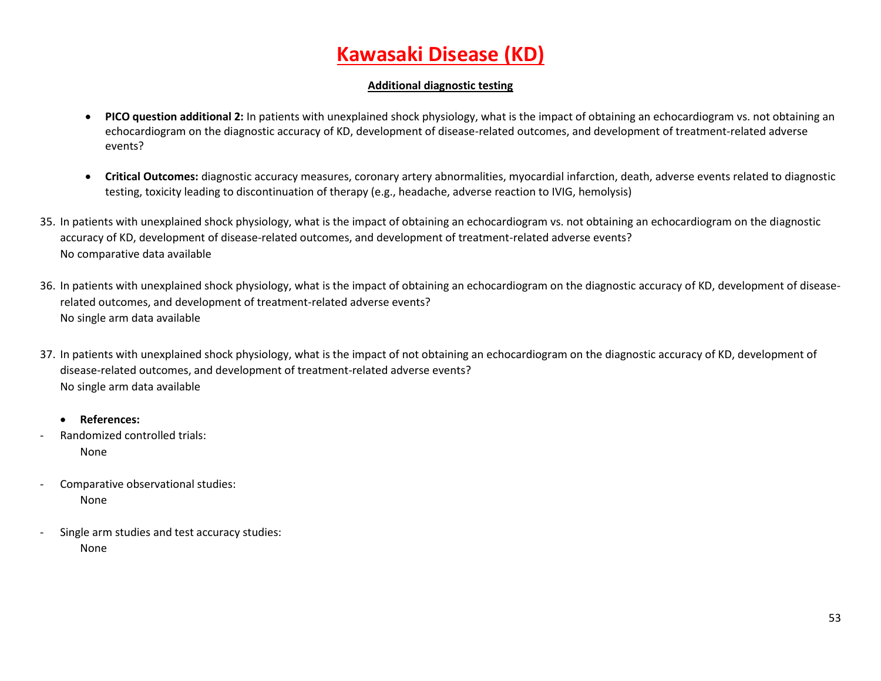#### **Additional diagnostic testing**

- **PICO question additional 2:** In patients with unexplained shock physiology, what is the impact of obtaining an echocardiogram vs. not obtaining an echocardiogram on the diagnostic accuracy of KD, development of disease-related outcomes, and development of treatment-related adverse events?
- **Critical Outcomes:** diagnostic accuracy measures, coronary artery abnormalities, myocardial infarction, death, adverse events related to diagnostic testing, toxicity leading to discontinuation of therapy (e.g., headache, adverse reaction to IVIG, hemolysis)
- 35. In patients with unexplained shock physiology, what is the impact of obtaining an echocardiogram vs. not obtaining an echocardiogram on the diagnostic accuracy of KD, development of disease-related outcomes, and development of treatment-related adverse events? No comparative data available
- 36. In patients with unexplained shock physiology, what is the impact of obtaining an echocardiogram on the diagnostic accuracy of KD, development of diseaserelated outcomes, and development of treatment-related adverse events? No single arm data available
- 37. In patients with unexplained shock physiology, what is the impact of not obtaining an echocardiogram on the diagnostic accuracy of KD, development of disease-related outcomes, and development of treatment-related adverse events? No single arm data available
	- **References:**
- Randomized controlled trials: None
- Comparative observational studies: None
- Single arm studies and test accuracy studies: None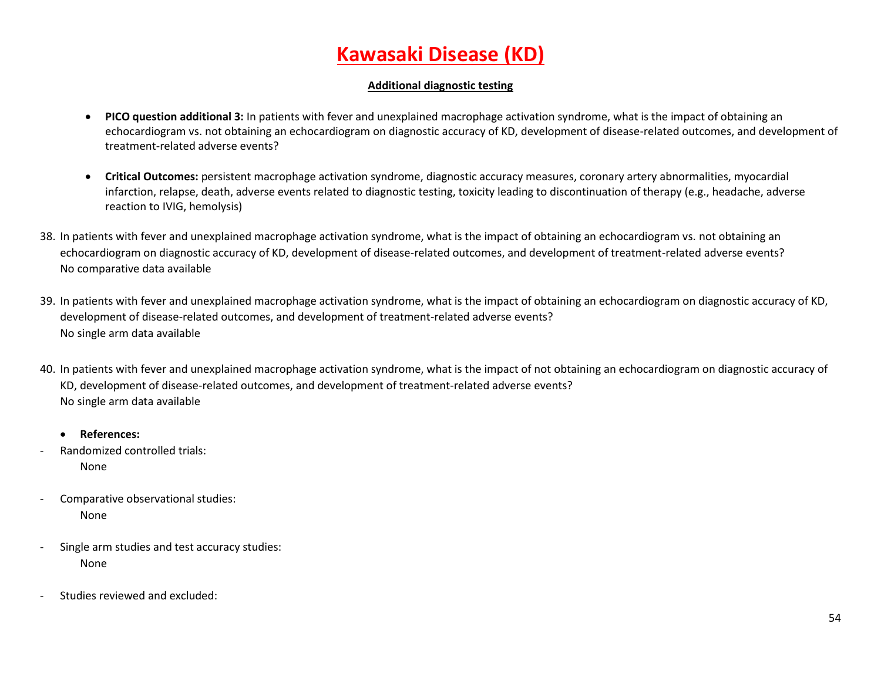#### **Additional diagnostic testing**

- **PICO question additional 3:** In patients with fever and unexplained macrophage activation syndrome, what is the impact of obtaining an echocardiogram vs. not obtaining an echocardiogram on diagnostic accuracy of KD, development of disease-related outcomes, and development of treatment-related adverse events?
- **Critical Outcomes:** persistent macrophage activation syndrome, diagnostic accuracy measures, coronary artery abnormalities, myocardial infarction, relapse, death, adverse events related to diagnostic testing, toxicity leading to discontinuation of therapy (e.g., headache, adverse reaction to IVIG, hemolysis)
- 38. In patients with fever and unexplained macrophage activation syndrome, what is the impact of obtaining an echocardiogram vs. not obtaining an echocardiogram on diagnostic accuracy of KD, development of disease-related outcomes, and development of treatment-related adverse events? No comparative data available
- 39. In patients with fever and unexplained macrophage activation syndrome, what is the impact of obtaining an echocardiogram on diagnostic accuracy of KD, development of disease-related outcomes, and development of treatment-related adverse events? No single arm data available
- 40. In patients with fever and unexplained macrophage activation syndrome, what is the impact of not obtaining an echocardiogram on diagnostic accuracy of KD, development of disease-related outcomes, and development of treatment-related adverse events? No single arm data available
	- **References:**
- Randomized controlled trials: None
- Comparative observational studies: None
- Single arm studies and test accuracy studies: None
- Studies reviewed and excluded: